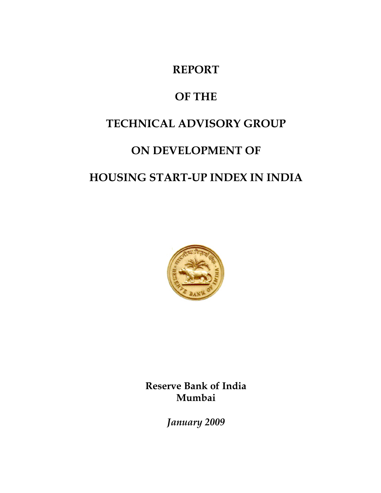## **REPORT**

# **OF THE**

# **TECHNICAL ADVISORY GROUP**

# **ON DEVELOPMENT OF**

# **HOUSING START-UP INDEX IN INDIA**



**Reserve Bank of India Mumbai** 

*January 2009*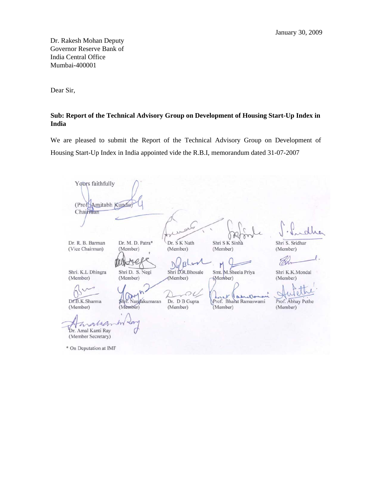Dr. Rakesh Mohan Deputy Governor Reserve Bank of India Central Office Mumbai-400001

Dear Sir,

#### **Sub: Report of the Technical Advisory Group on Development of Housing Start-Up Index in India**

We are pleased to submit the Report of the Technical Advisory Group on Development of Housing Start-Up Index in India appointed vide the R.B.I, memorandum dated 31-07-2007

Yours faithfully (Prof. Amitabh Kundu) Chairman Dr. R. B. Barman Dr. M. D. Patra\* Dr. S K Nath Shri S K Sinha Shri S. Sridhar (Vice Chairman) (Member) (Member) (Member) (Member) .<br>TXd M WW J)  $\mathbf{B}$ M Shri. K.L Dhingra Smt. M.Sheela Priya Shri D. S. Negi Shri D.R.Bhosale Shri K.K.Mondal (Member) (Member) (Member) (Member) (Member) aprille Prof. Abhay Pethe Dr.B.K.Sharma Shri. Nandakumaran Dr. D B Gupta Prof. Bharat Ramaswami (Member) (Member) (Member) (Member) (Member) anno Dr. Amal Kanti Ray (Member Secretary) \* On Deputation at IMF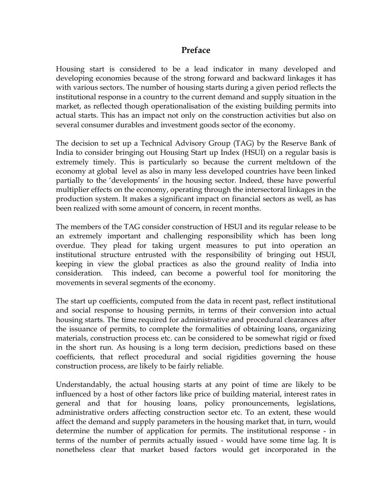## **Preface**

Housing start is considered to be a lead indicator in many developed and developing economies because of the strong forward and backward linkages it has with various sectors. The number of housing starts during a given period reflects the institutional response in a country to the current demand and supply situation in the market, as reflected though operationalisation of the existing building permits into actual starts. This has an impact not only on the construction activities but also on several consumer durables and investment goods sector of the economy.

The decision to set up a Technical Advisory Group (TAG) by the Reserve Bank of India to consider bringing out Housing Start up Index (HSUI) on a regular basis is extremely timely. This is particularly so because the current meltdown of the economy at global level as also in many less developed countries have been linked partially to the 'developments' in the housing sector. Indeed, these have powerful multiplier effects on the economy, operating through the intersectoral linkages in the production system. It makes a significant impact on financial sectors as well, as has been realized with some amount of concern, in recent months.

The members of the TAG consider construction of HSUI and its regular release to be an extremely important and challenging responsibility which has been long overdue. They plead for taking urgent measures to put into operation an institutional structure entrusted with the responsibility of bringing out HSUI, keeping in view the global practices as also the ground reality of India into consideration. This indeed, can become a powerful tool for monitoring the movements in several segments of the economy.

The start up coefficients, computed from the data in recent past, reflect institutional and social response to housing permits, in terms of their conversion into actual housing starts. The time required for administrative and procedural clearances after the issuance of permits, to complete the formalities of obtaining loans, organizing materials, construction process etc. can be considered to be somewhat rigid or fixed in the short run. As housing is a long term decision, predictions based on these coefficients, that reflect procedural and social rigidities governing the house construction process, are likely to be fairly reliable.

Understandably, the actual housing starts at any point of time are likely to be influenced by a host of other factors like price of building material, interest rates in general and that for housing loans, policy pronouncements, legislations, administrative orders affecting construction sector etc. To an extent, these would affect the demand and supply parameters in the housing market that, in turn, would determine the number of application for permits. The institutional response - in terms of the number of permits actually issued - would have some time lag. It is nonetheless clear that market based factors would get incorporated in the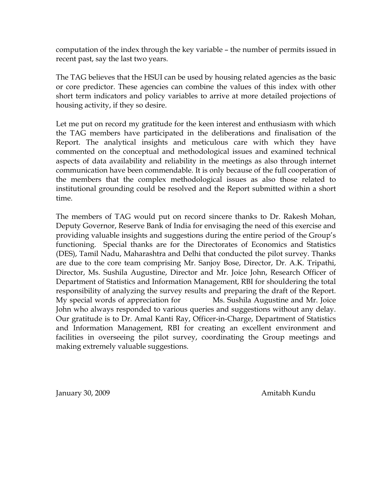computation of the index through the key variable – the number of permits issued in recent past, say the last two years.

The TAG believes that the HSUI can be used by housing related agencies as the basic or core predictor. These agencies can combine the values of this index with other short term indicators and policy variables to arrive at more detailed projections of housing activity, if they so desire.

Let me put on record my gratitude for the keen interest and enthusiasm with which the TAG members have participated in the deliberations and finalisation of the Report. The analytical insights and meticulous care with which they have commented on the conceptual and methodological issues and examined technical aspects of data availability and reliability in the meetings as also through internet communication have been commendable. It is only because of the full cooperation of the members that the complex methodological issues as also those related to institutional grounding could be resolved and the Report submitted within a short time.

The members of TAG would put on record sincere thanks to Dr. Rakesh Mohan, Deputy Governor, Reserve Bank of India for envisaging the need of this exercise and providing valuable insights and suggestions during the entire period of the Group's functioning. Special thanks are for the Directorates of Economics and Statistics (DES), Tamil Nadu, Maharashtra and Delhi that conducted the pilot survey. Thanks are due to the core team comprising Mr. Sanjoy Bose, Director, Dr. A.K. Tripathi, Director, Ms. Sushila Augustine, Director and Mr. Joice John, Research Officer of Department of Statistics and Information Management, RBI for shouldering the total responsibility of analyzing the survey results and preparing the draft of the Report. My special words of appreciation for Ms. Sushila Augustine and Mr. Joice John who always responded to various queries and suggestions without any delay. Our gratitude is to Dr. Amal Kanti Ray, Officer-in-Charge, Department of Statistics and Information Management, RBI for creating an excellent environment and facilities in overseeing the pilot survey, coordinating the Group meetings and making extremely valuable suggestions.

January 30, 2009 **Amitabh Kundu**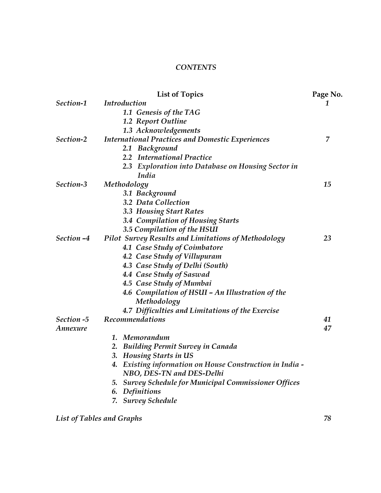## *CONTENTS*

|            | <b>List of Topics</b>                                           | Page No. |
|------------|-----------------------------------------------------------------|----------|
| Section-1  | <b>Introduction</b>                                             | 1        |
|            | 1.1 Genesis of the TAG                                          |          |
|            | 1.2 Report Outline                                              |          |
|            | 1.3 Acknowledgements                                            |          |
| Section-2  | <b>International Practices and Domestic Experiences</b>         | 7        |
|            | 2.1 Background                                                  |          |
|            | 2.2 International Practice                                      |          |
|            | 2.3 Exploration into Database on Housing Sector in              |          |
|            | India                                                           |          |
| Section-3  | Methodology                                                     | 15       |
|            | 3.1 Background                                                  |          |
|            | 3.2 Data Collection                                             |          |
|            | <b>3.3 Housing Start Rates</b>                                  |          |
|            | 3.4 Compilation of Housing Starts                               |          |
|            | 3.5 Compilation of the HSUI                                     |          |
| Section -4 | <b>Pilot Survey Results and Limitations of Methodology</b>      | 23       |
|            | 4.1 Case Study of Coimbatore                                    |          |
|            | 4.2 Case Study of Villupuram                                    |          |
|            | 4.3 Case Study of Delhi (South)                                 |          |
|            | 4.4 Case Study of Saswad                                        |          |
|            | 4.5 Case Study of Mumbai                                        |          |
|            | 4.6 Compilation of HSUI - An Illustration of the                |          |
|            | Methodology                                                     |          |
|            | 4.7 Difficulties and Limitations of the Exercise                |          |
| Section -5 | Recommendations                                                 | 41       |
| Annexure   |                                                                 | 47       |
|            | Memorandum<br>1.                                                |          |
|            | 2. Building Permit Survey in Canada                             |          |
|            | 3. Housing Starts in US                                         |          |
|            | 4. Existing information on House Construction in India -        |          |
|            | NBO, DES-TN and DES-Delhi                                       |          |
|            | <b>Survey Schedule for Municipal Commissioner Offices</b><br>5. |          |
|            | Definitions<br>6.                                               |          |
|            | 7. Survey Schedule                                              |          |
|            |                                                                 |          |

*List of Tables and Graphs 78*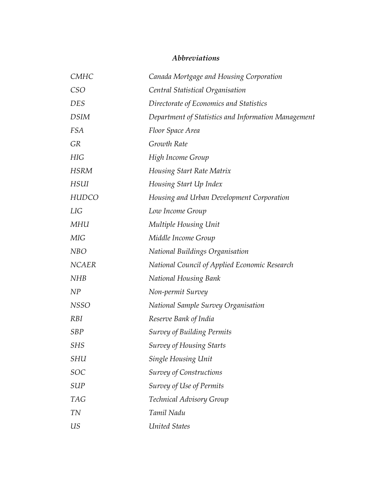## *Abbreviations*

| CMHC         | Canada Mortgage and Housing Corporation              |
|--------------|------------------------------------------------------|
| CSO          | Central Statistical Organisation                     |
| <b>DES</b>   | Directorate of Economics and Statistics              |
| <b>DSIM</b>  | Department of Statistics and Information Management  |
| <b>FSA</b>   | Floor Space Area                                     |
| <b>GR</b>    | Growth Rate                                          |
| HIG          | High Income Group                                    |
| <b>HSRM</b>  | Housing Start Rate Matrix                            |
| <b>HSUI</b>  | Housing Start Up Index                               |
| <b>HUDCO</b> | Housing and Urban Development Corporation            |
| LIG          | Low Income Group                                     |
| MHU          | Multiple Housing Unit                                |
| <b>MIG</b>   | Middle Income Group                                  |
| <b>NBO</b>   | National Buildings Organisation                      |
| <b>NCAER</b> | <b>National Council of Applied Economic Research</b> |
| <b>NHB</b>   | <b>National Housing Bank</b>                         |
| NP           | Non-permit Survey                                    |
| <b>NSSO</b>  | <b>National Sample Survey Organisation</b>           |
| <i>RBI</i>   | Reserve Bank of India                                |
| <b>SBP</b>   | <b>Survey of Building Permits</b>                    |
| <b>SHS</b>   | <b>Survey of Housing Starts</b>                      |
| SHU          | Single Housing Unit                                  |
| SOC          | <b>Survey of Constructions</b>                       |
| SUP          | Survey of Use of Permits                             |
| <b>TAG</b>   | Technical Advisory Group                             |
| <b>TN</b>    | Tamil Nadu                                           |
| US           | <b>United States</b>                                 |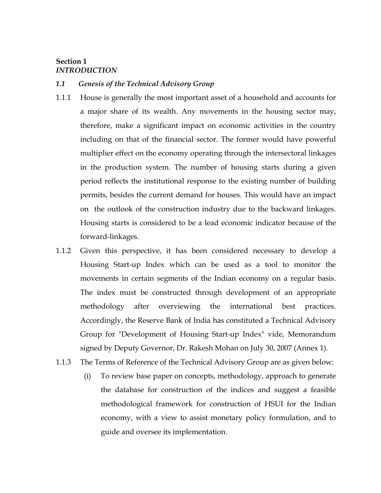## **Section 1**  *INTRODUCTION*

### *1.1 Genesis of the Technical Advisory Group*

- 1.1.1 House is generally the most important asset of a household and accounts for a major share of its wealth. Any movements in the housing sector may, therefore, make a significant impact on economic activities in the country including on that of the financial sector. The former would have powerful multiplier effect on the economy operating through the intersectoral linkages in the production system. The number of housing starts during a given period reflects the institutional response to the existing number of building permits, besides the current demand for houses. This would have an impact on the outlook of the construction industry due to the backward linkages. Housing starts is considered to be a lead economic indicator because of the forward-linkages.
- 1.1.2 Given this perspective, it has been considered necessary to develop a Housing Start-up Index which can be used as a tool to monitor the movements in certain segments of the Indian economy on a regular basis. The index must be constructed through development of an appropriate methodology after overviewing the international best practices. Accordingly, the Reserve Bank of India has constituted a Technical Advisory Group for "Development of Housing Start-up Index" vide, Memorandum signed by Deputy Governor, Dr. Rakesh Mohan on July 30, 2007 (Annex 1).
- 1.1.3 The Terms of Reference of the Technical Advisory Group are as given below:
	- (i) To review base paper on concepts, methodology, approach to generate the database for construction of the indices and suggest a feasible methodological framework for construction of HSUI for the Indian economy, with a view to assist monetary policy formulation, and to guide and oversee its implementation.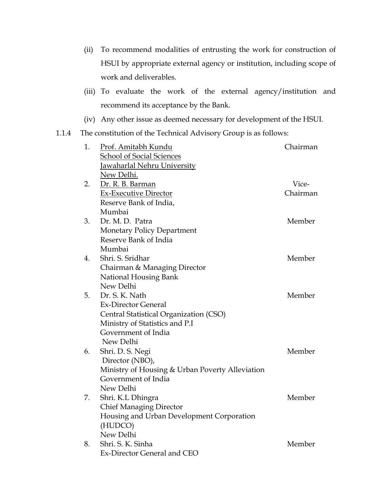- (ii) To recommend modalities of entrusting the work for construction of HSUI by appropriate external agency or institution, including scope of work and deliverables.
- (iii) To evaluate the work of the external agency/institution and recommend its acceptance by the Bank.
- (iv) Any other issue as deemed necessary for development of the HSUI.
- 1.1.4 The constitution of the Technical Advisory Group is as follows:

| 1. | <u>Prof. Amitabh Kundu</u>                      | Chairman |
|----|-------------------------------------------------|----------|
|    | School of Social Sciences                       |          |
|    | Jawaharlal Nehru University                     |          |
|    | New Delhi.                                      |          |
| 2. | Dr. R. B. Barman                                | Vice-    |
|    | <b>Ex-Executive Director</b>                    | Chairman |
|    | Reserve Bank of India,                          |          |
|    | Mumbai                                          |          |
| 3. | Dr. M. D. Patra                                 | Member   |
|    | Monetary Policy Department                      |          |
|    | Reserve Bank of India                           |          |
|    | Mumbai                                          |          |
| 4. | Shri, S. Sridhar                                | Member   |
|    | Chairman & Managing Director                    |          |
|    | National Housing Bank                           |          |
|    | New Delhi                                       |          |
| 5. | Dr. S. K. Nath                                  | Member   |
|    | <b>Ex-Director General</b>                      |          |
|    | Central Statistical Organization (CSO)          |          |
|    | Ministry of Statistics and P.I                  |          |
|    | Government of India                             |          |
|    | New Delhi                                       |          |
| 6. | Shri. D. S. Negi                                | Member   |
|    | Director (NBO),                                 |          |
|    | Ministry of Housing & Urban Poverty Alleviation |          |
|    | Government of India                             |          |
|    | New Delhi                                       |          |
| 7. | Shri. K.L Dhingra                               | Member   |
|    | <b>Chief Managing Director</b>                  |          |
|    | Housing and Urban Development Corporation       |          |
|    | (HUDCO)                                         |          |
|    | New Delhi                                       |          |
| 8. | Shri. S. K. Sinha                               | Member   |
|    | Ex-Director General and CEO                     |          |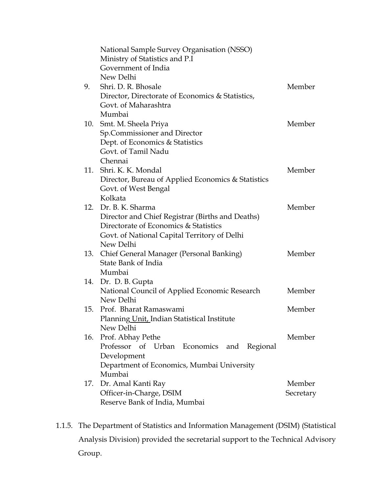|     | National Sample Survey Organisation (NSSO)<br>Ministry of Statistics and P.I |           |
|-----|------------------------------------------------------------------------------|-----------|
|     | Government of India                                                          |           |
|     | New Delhi                                                                    |           |
| 9.  | Shri, D. R. Bhosale                                                          | Member    |
|     | Director, Directorate of Economics & Statistics,                             |           |
|     | Govt. of Maharashtra                                                         |           |
|     | Mumbai                                                                       |           |
|     | 10. Smt. M. Sheela Priya                                                     | Member    |
|     | Sp.Commissioner and Director                                                 |           |
|     | Dept. of Economics & Statistics                                              |           |
|     | Govt. of Tamil Nadu                                                          |           |
|     | Chennai                                                                      |           |
|     | 11. Shri, K. K. Mondal                                                       | Member    |
|     | Director, Bureau of Applied Economics & Statistics                           |           |
|     | Govt. of West Bengal                                                         |           |
|     | Kolkata                                                                      |           |
|     | 12. Dr. B. K. Sharma                                                         | Member    |
|     | Director and Chief Registrar (Births and Deaths)                             |           |
|     | Directorate of Economics & Statistics                                        |           |
|     | Govt. of National Capital Territory of Delhi                                 |           |
|     | New Delhi                                                                    |           |
| 13. | Chief General Manager (Personal Banking)                                     | Member    |
|     | State Bank of India                                                          |           |
|     | Mumbai                                                                       |           |
|     | 14. Dr. D. B. Gupta                                                          |           |
|     | National Council of Applied Economic Research                                | Member    |
|     | New Delhi                                                                    |           |
| 15. | Prof. Bharat Ramaswami                                                       | Member    |
|     | Planning Unit, Indian Statistical Institute                                  |           |
|     | New Delhi                                                                    |           |
|     | 16. Prof. Abhay Pethe                                                        | Member    |
|     | Professor of Urban Economics and<br>Regional                                 |           |
|     | Development                                                                  |           |
|     | Department of Economics, Mumbai University                                   |           |
|     | Mumbai                                                                       |           |
| 17. | Dr. Amal Kanti Ray                                                           | Member    |
|     | Officer-in-Charge, DSIM<br>Reserve Bank of India, Mumbai                     | Secretary |
|     |                                                                              |           |

1.1.5. The Department of Statistics and Information Management (DSIM) (Statistical Analysis Division) provided the secretarial support to the Technical Advisory Group.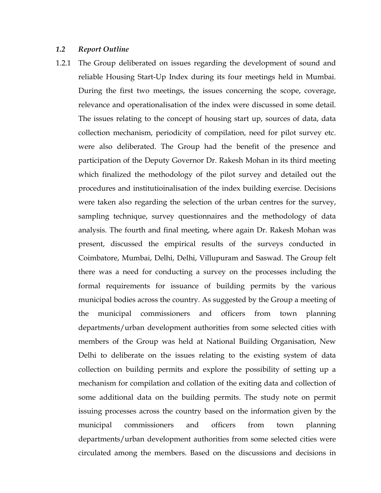## *1.2 Report Outline*

1.2.1 The Group deliberated on issues regarding the development of sound and reliable Housing Start-Up Index during its four meetings held in Mumbai. During the first two meetings, the issues concerning the scope, coverage, relevance and operationalisation of the index were discussed in some detail. The issues relating to the concept of housing start up, sources of data, data collection mechanism, periodicity of compilation, need for pilot survey etc. were also deliberated. The Group had the benefit of the presence and participation of the Deputy Governor Dr. Rakesh Mohan in its third meeting which finalized the methodology of the pilot survey and detailed out the procedures and institutioinalisation of the index building exercise. Decisions were taken also regarding the selection of the urban centres for the survey, sampling technique, survey questionnaires and the methodology of data analysis. The fourth and final meeting, where again Dr. Rakesh Mohan was present, discussed the empirical results of the surveys conducted in Coimbatore, Mumbai, Delhi, Delhi, Villupuram and Saswad. The Group felt there was a need for conducting a survey on the processes including the formal requirements for issuance of building permits by the various municipal bodies across the country. As suggested by the Group a meeting of the municipal commissioners and officers from town planning departments/urban development authorities from some selected cities with members of the Group was held at National Building Organisation, New Delhi to deliberate on the issues relating to the existing system of data collection on building permits and explore the possibility of setting up a mechanism for compilation and collation of the exiting data and collection of some additional data on the building permits. The study note on permit issuing processes across the country based on the information given by the municipal commissioners and officers from town planning departments/urban development authorities from some selected cities were circulated among the members. Based on the discussions and decisions in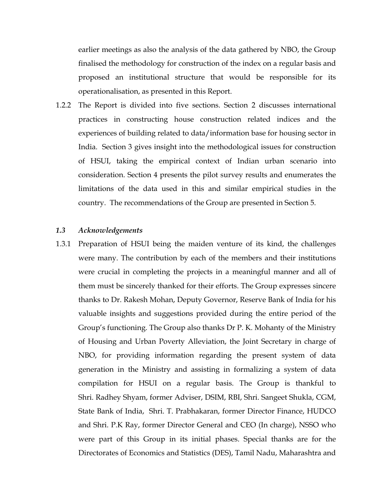earlier meetings as also the analysis of the data gathered by NBO, the Group finalised the methodology for construction of the index on a regular basis and proposed an institutional structure that would be responsible for its operationalisation, as presented in this Report.

1.2.2 The Report is divided into five sections. Section 2 discusses international practices in constructing house construction related indices and the experiences of building related to data/information base for housing sector in India. Section 3 gives insight into the methodological issues for construction of HSUI, taking the empirical context of Indian urban scenario into consideration. Section 4 presents the pilot survey results and enumerates the limitations of the data used in this and similar empirical studies in the country. The recommendations of the Group are presented in Section 5.

### *1.3 Acknowledgements*

1.3.1 Preparation of HSUI being the maiden venture of its kind, the challenges were many. The contribution by each of the members and their institutions were crucial in completing the projects in a meaningful manner and all of them must be sincerely thanked for their efforts. The Group expresses sincere thanks to Dr. Rakesh Mohan, Deputy Governor, Reserve Bank of India for his valuable insights and suggestions provided during the entire period of the Group's functioning. The Group also thanks Dr P. K. Mohanty of the Ministry of Housing and Urban Poverty Alleviation, the Joint Secretary in charge of NBO, for providing information regarding the present system of data generation in the Ministry and assisting in formalizing a system of data compilation for HSUI on a regular basis. The Group is thankful to Shri. Radhey Shyam, former Adviser, DSIM, RBI, Shri. Sangeet Shukla, CGM, State Bank of India, Shri. T. Prabhakaran, former Director Finance, HUDCO and Shri. P.K Ray, former Director General and CEO (In charge), NSSO who were part of this Group in its initial phases. Special thanks are for the Directorates of Economics and Statistics (DES), Tamil Nadu, Maharashtra and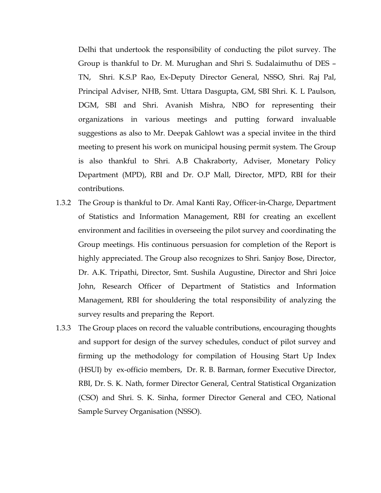Delhi that undertook the responsibility of conducting the pilot survey. The Group is thankful to Dr. M. Murughan and Shri S. Sudalaimuthu of DES – TN, Shri. K.S.P Rao, Ex-Deputy Director General, NSSO, Shri. Raj Pal, Principal Adviser, NHB, Smt. Uttara Dasgupta, GM, SBI Shri. K. L Paulson, DGM, SBI and Shri. Avanish Mishra, NBO for representing their organizations in various meetings and putting forward invaluable suggestions as also to Mr. Deepak Gahlowt was a special invitee in the third meeting to present his work on municipal housing permit system. The Group is also thankful to Shri. A.B Chakraborty, Adviser, Monetary Policy Department (MPD), RBI and Dr. O.P Mall, Director, MPD, RBI for their contributions.

- 1.3.2 The Group is thankful to Dr. Amal Kanti Ray, Officer-in-Charge, Department of Statistics and Information Management, RBI for creating an excellent environment and facilities in overseeing the pilot survey and coordinating the Group meetings. His continuous persuasion for completion of the Report is highly appreciated. The Group also recognizes to Shri. Sanjoy Bose, Director, Dr. A.K. Tripathi, Director, Smt. Sushila Augustine, Director and Shri Joice John, Research Officer of Department of Statistics and Information Management, RBI for shouldering the total responsibility of analyzing the survey results and preparing the Report.
- 1.3.3 The Group places on record the valuable contributions, encouraging thoughts and support for design of the survey schedules, conduct of pilot survey and firming up the methodology for compilation of Housing Start Up Index (HSUI) by ex-officio members, Dr. R. B. Barman, former Executive Director, RBI, Dr. S. K. Nath, former Director General, Central Statistical Organization (CSO) and Shri. S. K. Sinha, former Director General and CEO, National Sample Survey Organisation (NSSO).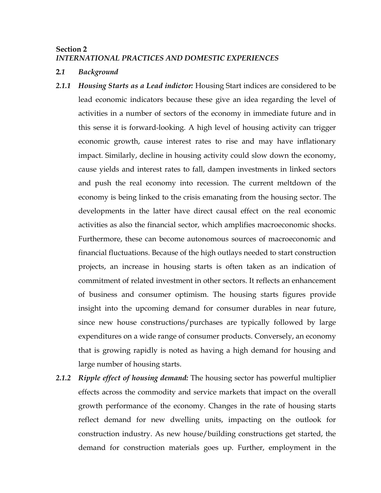## **Section 2**  *INTERNATIONAL PRACTICES AND DOMESTIC EXPERIENCES*

## **2***.1 Background*

- *2.1.1 Housing Starts as a Lead indictor:* Housing Start indices are considered to be lead economic indicators because these give an idea regarding the level of activities in a number of sectors of the economy in immediate future and in this sense it is forward-looking. A high level of housing activity can trigger economic growth, cause interest rates to rise and may have inflationary impact. Similarly, decline in housing activity could slow down the economy, cause yields and interest rates to fall, dampen investments in linked sectors and push the real economy into recession. The current meltdown of the economy is being linked to the crisis emanating from the housing sector. The developments in the latter have direct causal effect on the real economic activities as also the financial sector, which amplifies macroeconomic shocks. Furthermore, these can become autonomous sources of macroeconomic and financial fluctuations. Because of the high outlays needed to start construction projects, an increase in housing starts is often taken as an indication of commitment of related investment in other sectors. It reflects an enhancement of business and consumer optimism. The housing starts figures provide insight into the upcoming demand for consumer durables in near future, since new house constructions/purchases are typically followed by large expenditures on a wide range of consumer products. Conversely, an economy that is growing rapidly is noted as having a high demand for housing and large number of housing starts.
- *2.1.2 Ripple effect of housing demand:* The housing sector has powerful multiplier effects across the commodity and service markets that impact on the overall growth performance of the economy. Changes in the rate of housing starts reflect demand for new dwelling units, impacting on the outlook for construction industry. As new house/building constructions get started, the demand for construction materials goes up. Further, employment in the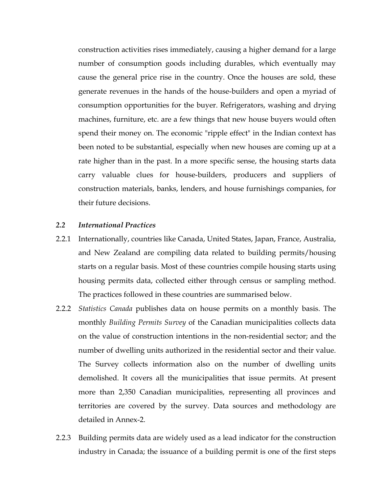construction activities rises immediately, causing a higher demand for a large number of consumption goods including durables, which eventually may cause the general price rise in the country. Once the houses are sold, these generate revenues in the hands of the house-builders and open a myriad of consumption opportunities for the buyer. Refrigerators, washing and drying machines, furniture, etc. are a few things that new house buyers would often spend their money on. The economic "ripple effect" in the Indian context has been noted to be substantial, especially when new houses are coming up at a rate higher than in the past. In a more specific sense, the housing starts data carry valuable clues for house-builders, producers and suppliers of construction materials, banks, lenders, and house furnishings companies, for their future decisions.

#### *2.2 International Practices*

- 2.2.1 Internationally, countries like Canada, United States, Japan, France, Australia, and New Zealand are compiling data related to building permits/housing starts on a regular basis. Most of these countries compile housing starts using housing permits data, collected either through census or sampling method. The practices followed in these countries are summarised below.
- 2.2.2 *Statistics Canada* publishes data on house permits on a monthly basis. The monthly *Building Permits Survey* of the Canadian municipalities collects data on the value of construction intentions in the non-residential sector; and the number of dwelling units authorized in the residential sector and their value. The Survey collects information also on the number of dwelling units demolished. It covers all the municipalities that issue permits. At present more than 2,350 Canadian municipalities, representing all provinces and territories are covered by the survey. Data sources and methodology are detailed in Annex-2.
- 2.2.3 Building permits data are widely used as a lead indicator for the construction industry in Canada; the issuance of a building permit is one of the first steps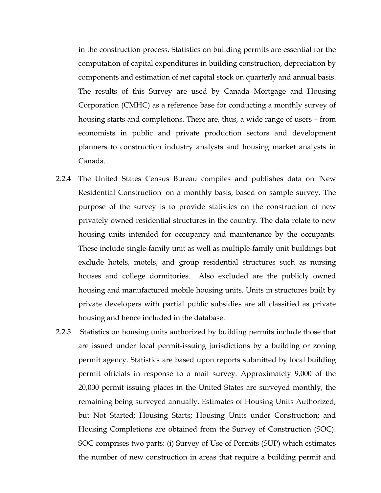in the construction process. Statistics on building permits are essential for the computation of capital expenditures in building construction, depreciation by components and estimation of net capital stock on quarterly and annual basis. The results of this Survey are used by Canada Mortgage and Housing Corporation (CMHC) as a reference base for conducting a monthly survey of housing starts and completions. There are, thus, a wide range of users – from economists in public and private production sectors and development planners to construction industry analysts and housing market analysts in Canada.

- 2.2.4 The United States Census Bureau compiles and publishes data on 'New Residential Construction' on a monthly basis, based on sample survey. The purpose of the survey is to provide statistics on the construction of new privately owned residential structures in the country. The data relate to new housing units intended for occupancy and maintenance by the occupants. These include single-family unit as well as multiple-family unit buildings but exclude hotels, motels, and group residential structures such as nursing houses and college dormitories. Also excluded are the publicly owned housing and manufactured mobile housing units. Units in structures built by private developers with partial public subsidies are all classified as private housing and hence included in the database.
- 2.2.5 Statistics on housing units authorized by building permits include those that are issued under local permit-issuing jurisdictions by a building or zoning permit agency. Statistics are based upon reports submitted by local building permit officials in response to a mail survey. Approximately 9,000 of the 20,000 permit issuing places in the United States are surveyed monthly, the remaining being surveyed annually. Estimates of Housing Units Authorized, but Not Started; Housing Starts; Housing Units under Construction; and Housing Completions are obtained from the Survey of Construction (SOC). SOC comprises two parts: (i) Survey of Use of Permits (SUP) which estimates the number of new construction in areas that require a building permit and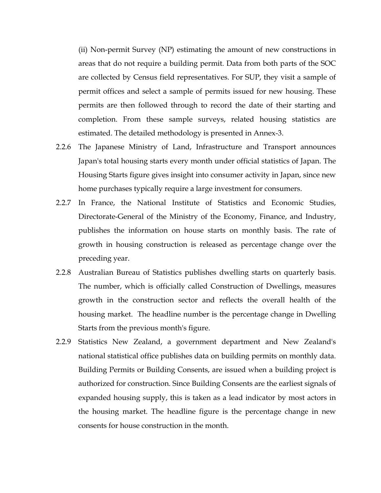(ii) Non-permit Survey (NP) estimating the amount of new constructions in areas that do not require a building permit. Data from both parts of the SOC are collected by Census field representatives. For SUP, they visit a sample of permit offices and select a sample of permits issued for new housing. These permits are then followed through to record the date of their starting and completion. From these sample surveys, related housing statistics are estimated. The detailed methodology is presented in Annex-3.

- 2.2.6 The Japanese Ministry of Land, Infrastructure and Transport announces Japan's total housing starts every month under official statistics of Japan. The Housing Starts figure gives insight into consumer activity in Japan, since new home purchases typically require a large investment for consumers.
- 2.2.7 In France, the National Institute of Statistics and Economic Studies, Directorate-General of the Ministry of the Economy, Finance, and Industry, publishes the information on house starts on monthly basis. The rate of growth in housing construction is released as percentage change over the preceding year.
- 2.2.8 Australian Bureau of Statistics publishes dwelling starts on quarterly basis. The number, which is officially called Construction of Dwellings, measures growth in the construction sector and reflects the overall health of the housing market. The headline number is the percentage change in Dwelling Starts from the previous month's figure.
- 2.2.9 Statistics New Zealand, a government department and New Zealand's national statistical office publishes data on building permits on monthly data. Building Permits or Building Consents, are issued when a building project is authorized for construction. Since Building Consents are the earliest signals of expanded housing supply, this is taken as a lead indicator by most actors in the housing market. The headline figure is the percentage change in new consents for house construction in the month.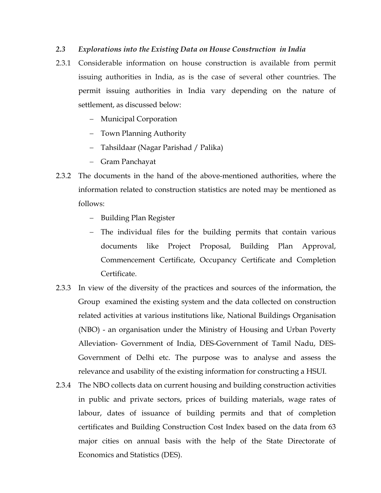## *2.3 Explorations into the Existing Data on House Construction in India*

- 2.3.1 Considerable information on house construction is available from permit issuing authorities in India, as is the case of several other countries. The permit issuing authorities in India vary depending on the nature of settlement, as discussed below:
	- − Municipal Corporation
	- − Town Planning Authority
	- − Tahsildaar (Nagar Parishad / Palika)
	- − Gram Panchayat
- 2.3.2 The documents in the hand of the above-mentioned authorities, where the information related to construction statistics are noted may be mentioned as follows:
	- − Building Plan Register
	- − The individual files for the building permits that contain various documents like Project Proposal, Building Plan Approval, Commencement Certificate, Occupancy Certificate and Completion Certificate.
- 2.3.3 In view of the diversity of the practices and sources of the information, the Group examined the existing system and the data collected on construction related activities at various institutions like, National Buildings Organisation (NBO) - an organisation under the Ministry of Housing and Urban Poverty Alleviation- Government of India, DES-Government of Tamil Nadu, DES-Government of Delhi etc. The purpose was to analyse and assess the relevance and usability of the existing information for constructing a HSUI.
- 2.3.4 The NBO collects data on current housing and building construction activities in public and private sectors, prices of building materials, wage rates of labour, dates of issuance of building permits and that of completion certificates and Building Construction Cost Index based on the data from 63 major cities on annual basis with the help of the State Directorate of Economics and Statistics (DES).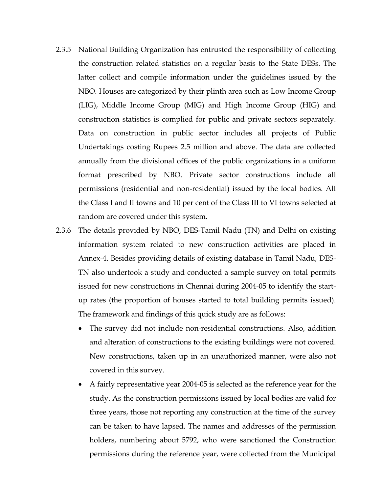- 2.3.5 National Building Organization has entrusted the responsibility of collecting the construction related statistics on a regular basis to the State DESs. The latter collect and compile information under the guidelines issued by the NBO. Houses are categorized by their plinth area such as Low Income Group (LIG), Middle Income Group (MIG) and High Income Group (HIG) and construction statistics is complied for public and private sectors separately. Data on construction in public sector includes all projects of Public Undertakings costing Rupees 2.5 million and above. The data are collected annually from the divisional offices of the public organizations in a uniform format prescribed by NBO. Private sector constructions include all permissions (residential and non-residential) issued by the local bodies. All the Class I and II towns and 10 per cent of the Class III to VI towns selected at random are covered under this system.
- 2.3.6 The details provided by NBO, DES-Tamil Nadu (TN) and Delhi on existing information system related to new construction activities are placed in Annex-4. Besides providing details of existing database in Tamil Nadu, DES-TN also undertook a study and conducted a sample survey on total permits issued for new constructions in Chennai during 2004-05 to identify the startup rates (the proportion of houses started to total building permits issued). The framework and findings of this quick study are as follows:
	- The survey did not include non-residential constructions. Also, addition and alteration of constructions to the existing buildings were not covered. New constructions, taken up in an unauthorized manner, were also not covered in this survey.
	- A fairly representative year 2004-05 is selected as the reference year for the study. As the construction permissions issued by local bodies are valid for three years, those not reporting any construction at the time of the survey can be taken to have lapsed. The names and addresses of the permission holders, numbering about 5792, who were sanctioned the Construction permissions during the reference year, were collected from the Municipal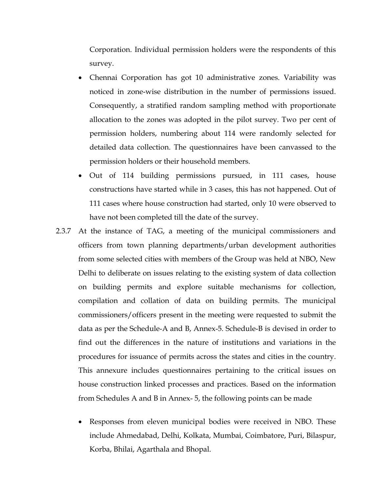Corporation. Individual permission holders were the respondents of this survey.

- Chennai Corporation has got 10 administrative zones. Variability was noticed in zone-wise distribution in the number of permissions issued. Consequently, a stratified random sampling method with proportionate allocation to the zones was adopted in the pilot survey. Two per cent of permission holders, numbering about 114 were randomly selected for detailed data collection. The questionnaires have been canvassed to the permission holders or their household members.
- Out of 114 building permissions pursued, in 111 cases, house constructions have started while in 3 cases, this has not happened. Out of 111 cases where house construction had started, only 10 were observed to have not been completed till the date of the survey.
- 2.3.7 At the instance of TAG, a meeting of the municipal commissioners and officers from town planning departments/urban development authorities from some selected cities with members of the Group was held at NBO, New Delhi to deliberate on issues relating to the existing system of data collection on building permits and explore suitable mechanisms for collection, compilation and collation of data on building permits. The municipal commissioners/officers present in the meeting were requested to submit the data as per the Schedule-A and B, Annex-5. Schedule-B is devised in order to find out the differences in the nature of institutions and variations in the procedures for issuance of permits across the states and cities in the country. This annexure includes questionnaires pertaining to the critical issues on house construction linked processes and practices. Based on the information from Schedules A and B in Annex- 5, the following points can be made
	- Responses from eleven municipal bodies were received in NBO. These include Ahmedabad, Delhi, Kolkata, Mumbai, Coimbatore, Puri, Bilaspur, Korba, Bhilai, Agarthala and Bhopal.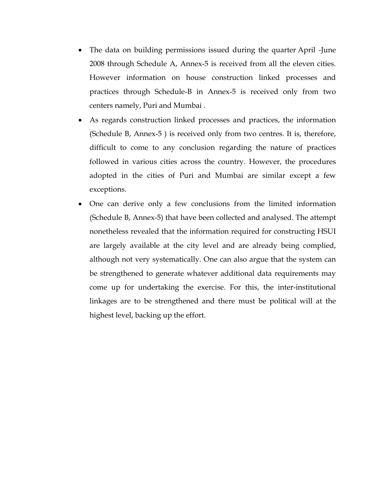- The data on building permissions issued during the quarter April -June 2008 through Schedule A, Annex-5 is received from all the eleven cities. However information on house construction linked processes and practices through Schedule-B in Annex-5 is received only from two centers namely, Puri and Mumbai .
- As regards construction linked processes and practices, the information (Schedule B, Annex-5 ) is received only from two centres. It is, therefore, difficult to come to any conclusion regarding the nature of practices followed in various cities across the country. However, the procedures adopted in the cities of Puri and Mumbai are similar except a few exceptions.
- One can derive only a few conclusions from the limited information (Schedule B, Annex-5) that have been collected and analysed. The attempt nonetheless revealed that the information required for constructing HSUI are largely available at the city level and are already being complied, although not very systematically. One can also argue that the system can be strengthened to generate whatever additional data requirements may come up for undertaking the exercise. For this, the inter-institutional linkages are to be strengthened and there must be political will at the highest level, backing up the effort.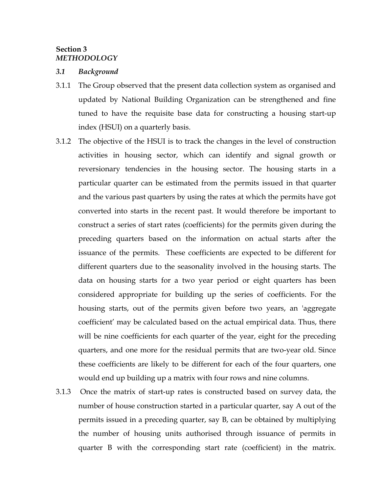## **Section 3**  *METHODOLOGY*

#### *3.1 Background*

- 3.1.1 The Group observed that the present data collection system as organised and updated by National Building Organization can be strengthened and fine tuned to have the requisite base data for constructing a housing start-up index (HSUI) on a quarterly basis.
- 3.1.2 The objective of the HSUI is to track the changes in the level of construction activities in housing sector, which can identify and signal growth or reversionary tendencies in the housing sector. The housing starts in a particular quarter can be estimated from the permits issued in that quarter and the various past quarters by using the rates at which the permits have got converted into starts in the recent past. It would therefore be important to construct a series of start rates (coefficients) for the permits given during the preceding quarters based on the information on actual starts after the issuance of the permits. These coefficients are expected to be different for different quarters due to the seasonality involved in the housing starts. The data on housing starts for a two year period or eight quarters has been considered appropriate for building up the series of coefficients. For the housing starts, out of the permits given before two years, an 'aggregate coefficient' may be calculated based on the actual empirical data. Thus, there will be nine coefficients for each quarter of the year, eight for the preceding quarters, and one more for the residual permits that are two-year old. Since these coefficients are likely to be different for each of the four quarters, one would end up building up a matrix with four rows and nine columns.
- 3.1.3 Once the matrix of start-up rates is constructed based on survey data, the number of house construction started in a particular quarter, say A out of the permits issued in a preceding quarter, say B, can be obtained by multiplying the number of housing units authorised through issuance of permits in quarter B with the corresponding start rate (coefficient) in the matrix.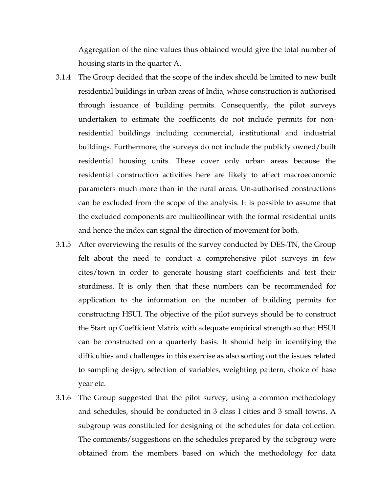Aggregation of the nine values thus obtained would give the total number of housing starts in the quarter A.

- 3.1.4 The Group decided that the scope of the index should be limited to new built residential buildings in urban areas of India, whose construction is authorised through issuance of building permits. Consequently, the pilot surveys undertaken to estimate the coefficients do not include permits for nonresidential buildings including commercial, institutional and industrial buildings. Furthermore, the surveys do not include the publicly owned/built residential housing units. These cover only urban areas because the residential construction activities here are likely to affect macroeconomic parameters much more than in the rural areas. Un-authorised constructions can be excluded from the scope of the analysis. It is possible to assume that the excluded components are multicollinear with the formal residential units and hence the index can signal the direction of movement for both.
- 3.1.5 After overviewing the results of the survey conducted by DES-TN, the Group felt about the need to conduct a comprehensive pilot surveys in few cites/town in order to generate housing start coefficients and test their sturdiness. It is only then that these numbers can be recommended for application to the information on the number of building permits for constructing HSUI. The objective of the pilot surveys should be to construct the Start up Coefficient Matrix with adequate empirical strength so that HSUI can be constructed on a quarterly basis. It should help in identifying the difficulties and challenges in this exercise as also sorting out the issues related to sampling design, selection of variables, weighting pattern, choice of base year etc.
- 3.1.6 The Group suggested that the pilot survey, using a common methodology and schedules, should be conducted in 3 class I cities and 3 small towns. A subgroup was constituted for designing of the schedules for data collection. The comments/suggestions on the schedules prepared by the subgroup were obtained from the members based on which the methodology for data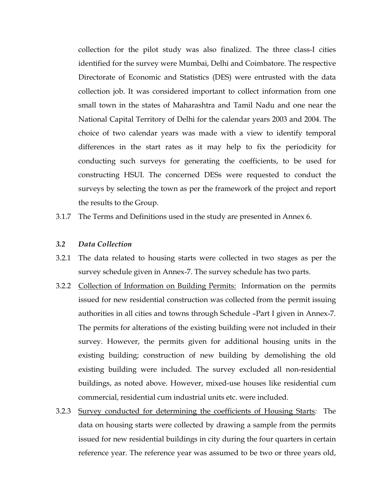collection for the pilot study was also finalized. The three class-I cities identified for the survey were Mumbai, Delhi and Coimbatore. The respective Directorate of Economic and Statistics (DES) were entrusted with the data collection job. It was considered important to collect information from one small town in the states of Maharashtra and Tamil Nadu and one near the National Capital Territory of Delhi for the calendar years 2003 and 2004. The choice of two calendar years was made with a view to identify temporal differences in the start rates as it may help to fix the periodicity for conducting such surveys for generating the coefficients, to be used for constructing HSUI. The concerned DESs were requested to conduct the surveys by selecting the town as per the framework of the project and report the results to the Group.

3.1.7 The Terms and Definitions used in the study are presented in Annex 6.

#### *3.2 Data Collection*

- 3.2.1 The data related to housing starts were collected in two stages as per the survey schedule given in Annex-7. The survey schedule has two parts.
- 3.2.2 Collection of Information on Building Permits: Information on the permits issued for new residential construction was collected from the permit issuing authorities in all cities and towns through Schedule –Part I given in Annex-7*.*  The permits for alterations of the existing building were not included in their survey. However, the permits given for additional housing units in the existing building; construction of new building by demolishing the old existing building were included*.* The survey excluded all non-residential buildings, as noted above. However, mixed-use houses like residential cum commercial, residential cum industrial units etc. were included.
- 3.2.3 Survey conducted for determining the coefficients of Housing Starts*:* The data on housing starts were collected by drawing a sample from the permits issued for new residential buildings in city during the four quarters in certain reference year. The reference year was assumed to be two or three years old,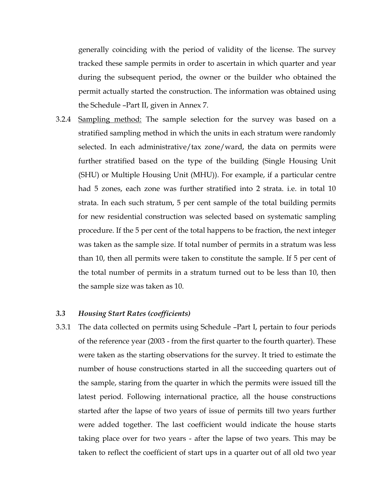generally coinciding with the period of validity of the license. The survey tracked these sample permits in order to ascertain in which quarter and year during the subsequent period, the owner or the builder who obtained the permit actually started the construction. The information was obtained using the Schedule –Part II, given in Annex 7.

3.2.4 Sampling method: The sample selection for the survey was based on a stratified sampling method in which the units in each stratum were randomly selected. In each administrative/tax zone/ward, the data on permits were further stratified based on the type of the building (Single Housing Unit (SHU) or Multiple Housing Unit (MHU)). For example, if a particular centre had 5 zones, each zone was further stratified into 2 strata. i.e. in total 10 strata. In each such stratum, 5 per cent sample of the total building permits for new residential construction was selected based on systematic sampling procedure. If the 5 per cent of the total happens to be fraction, the next integer was taken as the sample size. If total number of permits in a stratum was less than 10, then all permits were taken to constitute the sample. If 5 per cent of the total number of permits in a stratum turned out to be less than 10, then the sample size was taken as 10.

#### *3.3 Housing Start Rates (coefficients)*

3.3.1 The data collected on permits using Schedule –Part I, pertain to four periods of the reference year (2003 - from the first quarter to the fourth quarter). These were taken as the starting observations for the survey. It tried to estimate the number of house constructions started in all the succeeding quarters out of the sample, staring from the quarter in which the permits were issued till the latest period. Following international practice, all the house constructions started after the lapse of two years of issue of permits till two years further were added together. The last coefficient would indicate the house starts taking place over for two years - after the lapse of two years. This may be taken to reflect the coefficient of start ups in a quarter out of all old two year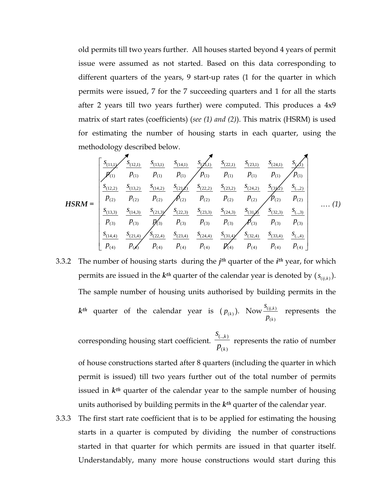old permits till two years further. All houses started beyond 4 years of permit issue were assumed as not started. Based on this data corresponding to different quarters of the years, 9 start-up rates (1 for the quarter in which permits were issued, 7 for the 7 succeeding quarters and 1 for all the starts after 2 years till two years further) were computed. This produces a 4x9 matrix of start rates (coefficients) (*see (1) and (2)*). This matrix (HSRM) is used for estimating the number of housing starts in each quarter, using the methodology described below.

$$
HSRM = \begin{bmatrix} \frac{s_{(1,1)}}{p_{(1)}} & \frac{s_{(1,2,1)}}{p_{(1)}} & \frac{s_{(1,3,1)}}{p_{(1)}} & \frac{s_{(2,1,1)}}{p_{(1)}} & \frac{s_{(2,2,1)}}{p_{(1)}} & \frac{s_{(2,2,1)}}{p_{(1)}} & \frac{s_{(2,3,1)}}{p_{(1)}} & \frac{s_{(2,4,1)}}{p_{(1)}} & \frac{s_{(2,4,1)}}{p_{(1)}} & \frac{s_{(2,4,1)}}{p_{(1)}} & \frac{s_{(2,4,1)}}{p_{(1)}} & \frac{s_{(2,4,1)}}{p_{(1)}} & \frac{s_{(2,4,1)}}{p_{(1)}} & \frac{s_{(2,4,1)}}{p_{(1)}} & \frac{s_{(2,4,1)}}{p_{(1)}} & \frac{s_{(2,4,2)}}{p_{(1)}} & \frac{s_{(2,4,2)}}{p_{(1)}} & \frac{s_{(2,4,2)}}{p_{(2)}} & \frac{s_{(2,4,2)}}{p_{(2)}} & \frac{s_{(2,4,2)}}{p_{(2)}} & \frac{s_{(2,4,2)}}{p_{(2)}} & \frac{s_{(2,4,2)}}{p_{(2)}} & \frac{s_{(2,4,2)}}{p_{(2)}} & \frac{s_{(2,4,2)}}{p_{(2)}} & \frac{s_{(2,4,2)}}{p_{(2)}} & \frac{s_{(2,4,3)}}{p_{(3)}} & \frac{s_{(2,4,3)}}{p_{(3)}} & \frac{s_{(3,4,3)}}{p_{(3)}} & \frac{s_{(3,4,3)}}{p_{(3)}} & \frac{s_{(3,4,3)}}{p_{(3)}} & \frac{s_{(3,4,3)}}{p_{(3)}} & \frac{s_{(3,4,3)}}{p_{(4)}} & \frac{s_{(3,4,3)}}{p_{(4)}} & \frac{s_{(3,4,3)}}{p_{(4)}} & \frac{s_{(3,4,3)}}{p_{(4)}} & \frac{s_{(3,4,3)}}{p_{(4)}} & \frac{s_{(3,4,3)}}{p_{(4)}} & \frac{s_{(3,4,3)}}{p_{(4)}} & \frac{s_{(3,4,3)}}{p_{(4)}} & \frac{s_{(3,4,3)}}{p_{(4)}} & \frac{s_{(3,4,3)}}{p_{(4)}} & \frac{s_{(3,4,3)}}{p_{
$$

3.3.2 The number of housing starts during the *jth* quarter of the *ith* year, for which permits are issued in the  $k^{th}$  quarter of the calendar year is denoted by  $(s_{(i,j,k)})$ . The sample number of housing units authorised by building permits in the  $k^{th}$  quarter of the calendar year is  $(p_{(k)})$ . Now  $\frac{S(i,k)}{k}$  $(k)$ *ij k k s p* represents the

corresponding housing start coefficient.  $\frac{S_{(.,k)}}{S_{(.,k)}}$  $(k)$ *k k s*  $\frac{\overline{p}_{(k)}}{p_{(k)}}$  represents the ratio of number

of house constructions started after 8 quarters (including the quarter in which permit is issued) till two years further out of the total number of permits issued in *kth* quarter of the calendar year to the sample number of housing units authorised by building permits in the *kth* quarter of the calendar year.

3.3.3 The first start rate coefficient that is to be applied for estimating the housing starts in a quarter is computed by dividing the number of constructions started in that quarter for which permits are issued in that quarter itself. Understandably, many more house constructions would start during this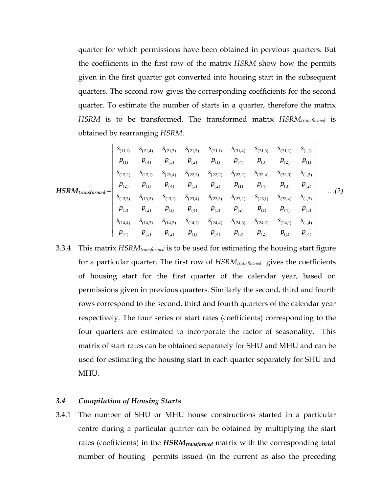quarter for which permissions have been obtained in pervious quarters. But the coefficients in the first row of the matrix *HSRM* show how the permits given in the first quarter got converted into housing start in the subsequent quarters. The second row gives the corresponding coefficients for the second quarter. To estimate the number of starts in a quarter, therefore the matrix *HSRM* is to be transformed. The transformed matrix *HSRMtransformed* is obtained by rearranging *HSRM*.

$$
HSRM_{transformed} = \begin{bmatrix} \frac{s_{(1,1)}}{p_{(1)}} & \frac{s_{(21,4)}}{p_{(3)}} & \frac{s_{(21,3)}}{p_{(2)}} & \frac{s_{(21,2)}}{p_{(1)}} & \frac{s_{(31,4)}}{p_{(4)}} & \frac{s_{(31,3)}}{p_{(2)}} & \frac{s_{(31,2)}}{p_{(1)}} & \frac{s_{(31,2)}}{p_{(2)}} & \frac{s_{(31,2)}}{p_{(1)}} \\ \frac{s_{(12,2)}}{p_{(2)}} & \frac{s_{(12,1)}}{p_{(1)}} & \frac{s_{(22,4)}}{p_{(4)}} & \frac{s_{(22,3)}}{p_{(3)}} & \frac{s_{(22,2)}}{p_{(2)}} & \frac{s_{(22,2)}}{p_{(1)}} & \frac{s_{(32,4)}}{p_{(3)}} & \frac{s_{(32,3)}}{p_{(2)}} & \frac{s_{(32,3)}}{p_{(2)}} \\ \frac{s_{(13,3)}}{p_{(3)}} & \frac{s_{(13,2)}}{p_{(2)}} & \frac{s_{(13,1)}}{p_{(1)}} & \frac{s_{(23,4)}}{p_{(4)}} & \frac{s_{(23,3)}}{p_{(3)}} & \frac{s_{(23,2)}}{p_{(2)}} & \frac{s_{(23,1)}}{p_{(1)}} & \frac{s_{(33,4)}}{p_{(4)}} & \frac{s_{(33,5)}}{p_{(3)}} \\ \frac{s_{(14,4)}}{p_{(4)}} & \frac{s_{(14,3)}}{p_{(3)}} & \frac{s_{(14,2)}}{p_{(2)}} & \frac{s_{(14,1)}}{p_{(1)}} & \frac{s_{(24,4)}}{p_{(4)}} & \frac{s_{(24,3)}}{p_{(3)}} & \frac{s_{(24,2)}}{p_{(2)}} & \frac{s_{(24,1)}}{p_{(1)}} & \frac{s_{(24,1)}}{p_{(4)}} & \frac{s_{(24,1)}}{p_{(4)}} & \frac{s_{(24,1)}}{p_{(4)}} & \frac{s_{(24,1)}}{p_{(4)}} & \frac{s_{(24,1)}}{p_{(4)}} & \frac{s_{(24,1)}}{p_{(4)}} & \frac{s_{(24,1)}}{p_{(4)}} & \frac{s_{(24,1)}}{p_{(4)}} & \frac{s_{(24,1)}}{p_{(4
$$

3.3.4 This matrix *HSRMtransformed* is to be used for estimating the housing start figure for a particular quarter. The first row of *HSRMtransformed* gives the coefficients of housing start for the first quarter of the calendar year, based on permissions given in previous quarters. Similarly the second, third and fourth rows correspond to the second, third and fourth quarters of the calendar year respectively. The four series of start rates (coefficients) corresponding to the four quarters are estimated to incorporate the factor of seasonality. This matrix of start rates can be obtained separately for SHU and MHU and can be used for estimating the housing start in each quarter separately for SHU and MHU.

#### *3.4 Compilation of Housing Starts*

3.4.1 The number of SHU or MHU house constructions started in a particular centre during a particular quarter can be obtained by multiplying the start rates (coefficients) in the *HSRMtransformed* matrix with the corresponding total number of housing permits issued (in the current as also the preceding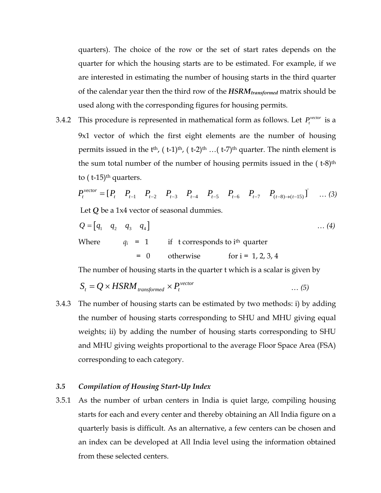quarters). The choice of the row or the set of start rates depends on the quarter for which the housing starts are to be estimated. For example, if we are interested in estimating the number of housing starts in the third quarter of the calendar year then the third row of the *HSRMtransformed* matrix should be used along with the corresponding figures for housing permits.

3.4.2 This procedure is represented in mathematical form as follows. Let  $P_t^{vector}$  is a 9x1 vector of which the first eight elements are the number of housing permits issued in the  $t<sup>th</sup>$ , ( $t$ -1)<sup>th</sup>, ( $t$ -2)<sup>th</sup> …( $t$ -7)<sup>th</sup> quarter. The ninth element is the sum total number of the number of housing permits issued in the  $(1-8)$ <sup>th</sup> to  $($  t-15 $)$ <sup>th</sup> quarters.

$$
P_t^{\text{vector}} = [P_t \quad P_{t-1} \quad P_{t-2} \quad P_{t-3} \quad P_{t-4} \quad P_{t-5} \quad P_{t-6} \quad P_{t-7} \quad P_{(t-8)\to(t-15)}] \quad \dots (3)
$$
  
Let **Q** be a 1x4 vector of seasonal dummies.

$$
Q = [q_1 \quad q_2 \quad q_3 \quad q_4]
$$
 ... (4)  
Where  $q_i = 1$  if to  
 $= 0$  otherwise for  $i = 1, 2, 3, 4$ 

The number of housing starts in the quarter t which is a scalar is given by

$$
S_t = Q \times HSRM_{transformed} \times P_t^{vector}
$$
 ... (5)

3.4.3 The number of housing starts can be estimated by two methods: i) by adding the number of housing starts corresponding to SHU and MHU giving equal weights; ii) by adding the number of housing starts corresponding to SHU and MHU giving weights proportional to the average Floor Space Area (FSA) corresponding to each category.

## *3.5 Compilation of Housing Start-Up Index*

3.5.1 As the number of urban centers in India is quiet large, compiling housing starts for each and every center and thereby obtaining an All India figure on a quarterly basis is difficult. As an alternative, a few centers can be chosen and an index can be developed at All India level using the information obtained from these selected centers.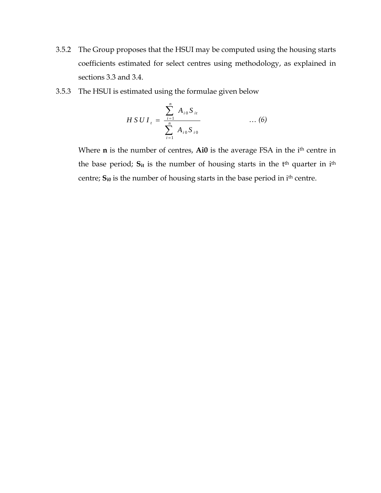- 3.5.2 The Group proposes that the HSUI may be computed using the housing starts coefficients estimated for select centres using methodology, as explained in sections 3.3 and 3.4.
- 3.5.3 The HSUI is estimated using the formulae given below

$$
H SU I_{t} = \frac{\sum_{i=1}^{n} A_{i0} S_{it}}{\sum_{i=1}^{n} A_{i0} S_{i0}} \qquad \qquad \dots (6)
$$

Where **n** is the number of centres, **Ai0** is the average FSA in the i<sup>th</sup> centre in the base period; S<sub>it</sub> is the number of housing starts in the t<sup>th</sup> quarter in i<sup>th</sup> centre; **S**<sub>i0</sub> is the number of housing starts in the base period in i<sup>th</sup> centre.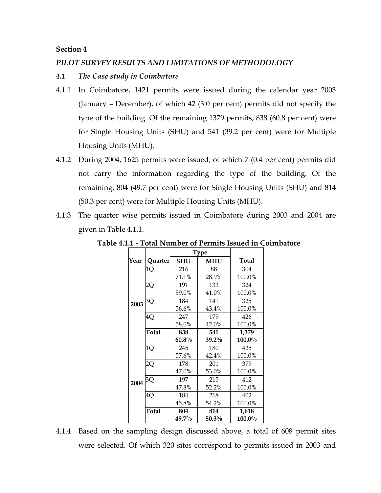### **Section 4**

### *PILOT SURVEY RESULTS AND LIMITATIONS OF METHODOLOGY*

### *4.1 The Case study in Coimbatore*

- 4.1.1 In Coimbatore, 1421 permits were issued during the calendar year 2003 (January – December), of which 42 (3.0 per cent) permits did not specify the type of the building. Of the remaining 1379 permits, 838 (60.8 per cent) were for Single Housing Units (SHU) and 541 (39.2 per cent) were for Multiple Housing Units (MHU).
- 4.1.2 During 2004, 1625 permits were issued, of which 7 (0.4 per cent) permits did not carry the information regarding the type of the building. Of the remaining, 804 (49.7 per cent) were for Single Housing Units (SHU) and 814 (50.3 per cent) were for Multiple Housing Units (MHU).
- 4.1.3 The quarter wise permits issued in Coimbatore during 2003 and 2004 are given in Table 4.1.1.

|      |         | <b>Type</b> |              |        |  |  |
|------|---------|-------------|--------------|--------|--|--|
| Year | Quarter | SHU         | <b>Total</b> |        |  |  |
|      | 1Q      | 216         | 88           | 304    |  |  |
|      |         | 71.1%       | 28.9%        | 100.0% |  |  |
|      | 2Q      | 191         | 133          | 324    |  |  |
|      |         | 59.0%       | 41.0%        | 100.0% |  |  |
| 2003 | 3Q      | 184         | 141          | 325    |  |  |
|      |         | 56.6%       | 43.4%        | 100.0% |  |  |
|      | 4Q      | 247         | 179          | 426    |  |  |
|      |         | 58.0%       | 42.0%        | 100.0% |  |  |
|      | Total   | 838         | 541          | 1,379  |  |  |
|      |         | $60.8\%$    | $39.2\%$     | 100.0% |  |  |
|      | 1Q      | 245         | 180          | 425    |  |  |
|      |         | 57.6%       | 42.4%        | 100.0% |  |  |
|      | 2Q      | 178         | 201          | 379    |  |  |
|      |         | 47.0%       | 53.0%        | 100.0% |  |  |
| 2004 | 3Q      | 197         | 215          | 412    |  |  |
|      |         | 47.8%       | 52.2%        | 100.0% |  |  |
|      | 4Q      | 184         | 218          | 402    |  |  |
|      |         | 45.8%       | 54.2%        | 100.0% |  |  |
|      | Total   | 804         | 814          | 1,618  |  |  |
|      |         | 49.7%       | 50.3%        | 100.0% |  |  |

**Table 4.1.1 - Total Number of Permits Issued in Coimbatore** 

4.1.4 Based on the sampling design discussed above, a total of 608 permit sites were selected. Of which 320 sites correspond to permits issued in 2003 and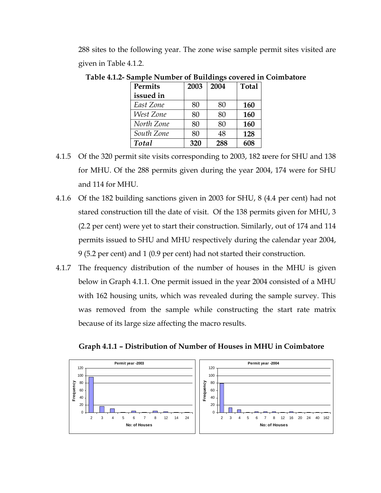288 sites to the following year. The zone wise sample permit sites visited are given in Table 4.1.2.

| <b>Permits</b> | 2003 | 2004 | <b>Total</b> |
|----------------|------|------|--------------|
| issued in      |      |      |              |
| East Zone      | 80   | 80   | 160          |
| West Zone      | 80   | 80   | 160          |
| North Zone     | 80   | 80   | 160          |
| South Zone     | 80   | 48   | 128          |
| Total          | 320  | 288  | 608          |

**Table 4.1.2- Sample Number of Buildings covered in Coimbatore** 

- 4.1.5 Of the 320 permit site visits corresponding to 2003, 182 *w*ere for SHU and 138 for MHU. Of the 288 permits given during the year 2004, 174 were for SHU and 114 for MHU.
- 4.1.6 Of the 182 building sanctions given in 2003 for SHU, 8 (4.4 per cent) had not stared construction till the date of visit. Of the 138 permits given for MHU, 3 (2.2 per cent) were yet to start their construction. Similarly, out of 174 and 114 permits issued to SHU and MHU respectively during the calendar year 2004, 9 (5.2 per cent) and 1 (0.9 per cent) had not started their construction.
- 4.1.7 The frequency distribution of the number of houses in the MHU is given below in Graph 4.1.1. One permit issued in the year 2004 consisted of a MHU with 162 housing units, which was revealed during the sample survey. This was removed from the sample while constructing the start rate matrix because of its large size affecting the macro results.



**Graph 4.1.1 – Distribution of Number of Houses in MHU in Coimbatore**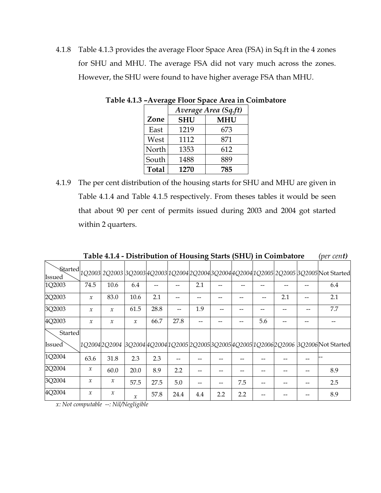4.1.8 Table 4.1.3 provides the average Floor Space Area (FSA) in Sq.ft in the 4 zones for SHU and MHU. The average FSA did not vary much across the zones. However, the SHU were found to have higher average FSA than MHU.

|              | Average Area (Sq.ft) |            |  |  |  |  |  |  |
|--------------|----------------------|------------|--|--|--|--|--|--|
| Zone         | <b>SHU</b>           | <b>MHU</b> |  |  |  |  |  |  |
| East         | 1219                 | 673        |  |  |  |  |  |  |
| West         | 1112                 | 871        |  |  |  |  |  |  |
| North        | 1353                 | 612        |  |  |  |  |  |  |
| South        | 1488                 | 889        |  |  |  |  |  |  |
| <b>Total</b> | 1270                 | 785        |  |  |  |  |  |  |

**Table 4.1.3 –Average Floor Space Area in Coimbatore** 

4.1.9 The per cent distribution of the housing starts for SHU and MHU are given in Table 4.1.4 and Table 4.1.5 respectively. From theses tables it would be seen that about 90 per cent of permits issued during 2003 and 2004 got started within 2 quarters.

**Table 4.1.4 - Distribution of Housing Starts (SHU) in Coimbatore** *(per cent)*

| Issued        |                            |               |               |      |      |     |     |     |     |     | Started 1Q2003 2Q2003 3Q2003 4Q2003 1Q2004 2Q2004 3Q2004 4Q2004 1Q2005 2Q2005 3Q2005 Not Started |
|---------------|----------------------------|---------------|---------------|------|------|-----|-----|-----|-----|-----|--------------------------------------------------------------------------------------------------|
| 1Q2003        | 74.5                       | 10.6          | 6.4           |      |      | 2.1 |     |     |     |     | 6.4                                                                                              |
| 2Q2003        | $\mathcal{X}$              | 83.0          | 10.6          | 2.1  |      |     |     |     |     | 2.1 | 2.1                                                                                              |
| 3Q2003        | $\mathcal{X}$              | $\mathcal{X}$ | 61.5          | 28.8 |      | 1.9 |     |     |     |     | 7.7                                                                                              |
| 4Q2003        | $\mathcal{X}$              | $\mathcal{X}$ | $\mathcal{X}$ | 66.7 | 27.8 |     |     |     | 5.6 |     |                                                                                                  |
| Started       |                            |               |               |      |      |     |     |     |     |     |                                                                                                  |
| <b>Issued</b> |                            |               |               |      |      |     |     |     |     |     | 1Q2004 2Q2004  3Q2004 4Q2004 1Q2005 2Q2005 3Q2005 4Q2005 1Q2006 2Q2006  3Q2006 Not Started       |
| 1Q2004        | 63.6                       | 31.8          | 2.3           | 2.3  |      |     |     |     |     |     |                                                                                                  |
| 2Q2004        | $\mathcal{X}$              | 60.0          | 20.0          | 8.9  | 2.2  |     |     |     |     |     | 8.9                                                                                              |
| 3Q2004        | $\boldsymbol{\mathcal{X}}$ | $\mathcal{X}$ | 57.5          | 27.5 | 5.0  |     |     | 7.5 |     |     | 2.5                                                                                              |
| 4Q2004        | $\mathcal{X}$              | $\mathcal{X}$ | $\mathcal{X}$ | 57.8 | 24.4 | 4.4 | 2.2 | 2.2 |     |     | 8.9                                                                                              |

*x: Not computable --: Nil/Negligible*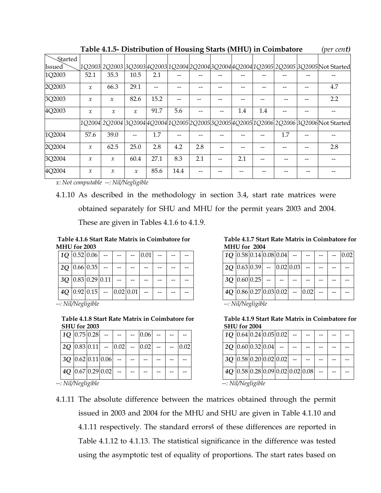|         |               | Table 4.1.5- Distribution of Housing Starts (MHU) in Coimbatore |               |      |      |     |     |     |     | (per cen <b>t)</b>                                                                                  |
|---------|---------------|-----------------------------------------------------------------|---------------|------|------|-----|-----|-----|-----|-----------------------------------------------------------------------------------------------------|
| Started |               |                                                                 |               |      |      |     |     |     |     |                                                                                                     |
| Issued  |               |                                                                 |               |      |      |     |     |     |     | 1Q2003  2Q2003  3Q2003  4Q2003  1Q2004  2Q2004  3Q2004  4Q2004  1Q2005  2Q2005  3Q2005  Not Started |
| 1Q2003  | 52.1          | 35.3                                                            | 10.5          | 2.1  |      |     |     |     |     |                                                                                                     |
| 2Q2003  | $\mathcal{X}$ | 66.3                                                            | 29.1          |      |      |     |     |     |     | 4.7                                                                                                 |
| 3Q2003  | $\mathcal{X}$ | $\mathcal{X}$                                                   | 82.6          | 15.2 |      |     |     |     |     | 2.2                                                                                                 |
| 4Q2003  | $\mathcal{X}$ | $\mathcal{X}$                                                   | $\mathcal{X}$ | 91.7 | 5.6  |     | 1.4 | 1.4 |     |                                                                                                     |
|         |               |                                                                 |               |      |      |     |     |     |     | 1Q2004 2Q2004 3Q2004 4Q2004 1Q2005 2Q2005 3Q2005 4Q2005 1Q2006 2Q2006 3Q2006 Not Started            |
| 1Q2004  | 57.6          | 39.0                                                            |               | 1.7  |      |     |     |     | 1.7 |                                                                                                     |
| 2Q2004  | $\mathcal{X}$ | 62.5                                                            | 25.0          | 2.8  | 4.2  | 2.8 |     |     |     | 2.8                                                                                                 |
| 3Q2004  | $\mathcal{X}$ | $\mathcal{X}$                                                   | 60.4          | 27.1 | 8.3  | 2.1 | 2.1 |     |     |                                                                                                     |
| 4Q2004  | $\mathcal{X}$ | $\mathcal{X}$                                                   | $\mathcal{X}$ | 85.6 | 14.4 |     |     |     |     |                                                                                                     |

**Table 4.1.5- Distribution of Housing Starts (MHU) in Coimbatore** *(per cent)*

*x: Not computable --: Nil/Negligible*

4.1.10 As described in the methodology in section 3.4, start rate matrices were obtained separately for SHU and MHU for the permit years 2003 and 2004.

These are given in Tables 4.1.6 to 4.1.9.

**Table 4.1.6 Start Rate Matrix in Coimbatore for MHU for 2003** 

|  | $1Q$ 0.52 0.06          |             | 0.01 |  |  |
|--|-------------------------|-------------|------|--|--|
|  | $2Q$ 0.66 0.35          |             |      |  |  |
|  | $3Q$ 0.83 0.29 0.11     |             |      |  |  |
|  | $4Q$   0.92   0.15   -- | 0.02   0.01 |      |  |  |

*--: Nil/Negligible*

**Table 4.1.8 Start Rate Matrix in Coimbatore for SHU for 2003** 

|                           |                     | $10$   0.75   0.28   --   --   --   0.06   -- |          |  |      |
|---------------------------|---------------------|-----------------------------------------------|----------|--|------|
| $ 2Q 0.83 0.11  -  0.02 $ |                     |                                               | $- 0.02$ |  | 0.02 |
|                           | $3Q$ 0.62 0.11 0.06 |                                               |          |  |      |
|                           | $4Q$ 0.67 0.29 0.02 |                                               |          |  |      |

*--: Nil/Negligible --: Nil/Negligible*

**Table 4.1.7 Start Rate Matrix in Coimbatore for MHU for 2004** 

| $1Q$  0.58  0.14  0.08  0.04   - |                          |  |            |      |  | 0.02 |
|----------------------------------|--------------------------|--|------------|------|--|------|
| $ 2Q 0.63 0.39  -  0.02 0.03 $   |                          |  |            |      |  |      |
|                                  | $3Q$ 0.60 0.25 - -       |  |            |      |  |      |
|                                  | $4Q$ 0.86 0.27 0.03 0.02 |  | $\sim$ $-$ | 0.02 |  |      |
|                                  |                          |  |            |      |  |      |

*--: Nil/Negligible*

**Table 4.1.9 Start Rate Matrix in Coimbatore for SHU for 2004** 

|                  | $1Q$ 0.64 0.24 0.05 0.02 |  |  |  |  |                                                |  |  |  |
|------------------|--------------------------|--|--|--|--|------------------------------------------------|--|--|--|
|                  | 2Q 0.60 0.32 0.04        |  |  |  |  |                                                |  |  |  |
|                  | $3Q$ 0.58 0.20 0.02 0.02 |  |  |  |  |                                                |  |  |  |
|                  |                          |  |  |  |  | $4Q$   0.58   0.28   0.09   0.02   0.02   0.08 |  |  |  |
| . NIJALoglicible |                          |  |  |  |  |                                                |  |  |  |

4.1.11 The absolute difference between the matrices obtained through the permit issued in 2003 and 2004 for the MHU and SHU are given in Table 4.1.10 and 4.1.11 respectively. The standard errors**ξ** of these differences are reported in Table 4.1.12 to 4.1.13. The statistical significance in the difference was tested using the asymptotic test of equality of proportions. The start rates based on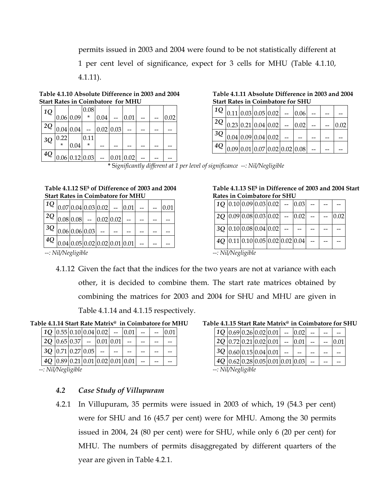permits issued in 2003 and 2004 were found to be not statistically different at 1 per cent level of significance, expect for 3 cells for MHU (Table 4.1.10, 4.1.11).

**Table 4.1.10 Absolute Difference in 2003 and 2004 Start Rates in Coimbatore for MHU** 

| $4Q _{0.06} _{0.12} _{0.03}$ |         |           |         |               | 0.01   0.02 |  |      |
|------------------------------|---------|-----------|---------|---------------|-------------|--|------|
|                              | $\star$ | 0.04      | $\star$ |               |             |  |      |
| 3Q                           | 0.22    |           | 0.11    |               |             |  |      |
| $ ^{2Q} _{0.04} _{0.04} $    |         |           |         | $-$ 0.02 0.03 |             |  |      |
|                              |         | 0.06 0.09 | $\star$ | 0.04          | 0.01        |  | 0.02 |
| 1Q                           |         |           | 0.08    |               |             |  |      |

**Table 4.1.11 Absolute Difference in 2003 and 2004 Start Rates in Coimbatore for SHU** 

|  |                                               |  | $ 1Q _{0.11} _{0.03} _{0.05} _{0.02} _{-} _{0.06} $       |  |      |
|--|-----------------------------------------------|--|-----------------------------------------------------------|--|------|
|  |                                               |  | $2Q$   0.23   0.21   0.04   0.02   --   0.02   --   --    |  | 0.02 |
|  | $ ^{3Q} _{0.04} _{0.09} _{0.04} _{0.02} _{-}$ |  |                                                           |  |      |
|  |                                               |  | $ ^{4Q} _{0.09} _{0.01} _{0.07} _{0.02} _{0.02} _{0.08} $ |  |      |

**\*** S*ignificantly different at 1 per level of significance --: Nil/Negligible* 

#### **Table 4.1.12 SE\$ of Difference of 2003 and 2004 Start Rates in Coimbatore for MHU**

| $ 1Q _{0.07} _{0.04} _{0.03} _{0.02} _{-} _{0.01} $       |  |  |  |  |
|-----------------------------------------------------------|--|--|--|--|
| $ 2Q _{0.08} _{0.08} _{-}$ 0.02 0.02                      |  |  |  |  |
| $ 3Q _{0.06} _{0.06} _{0.03} _{-} $                       |  |  |  |  |
| $ ^{4Q} _{0.04} _{0.05} _{0.02} _{0.02} _{0.01} _{0.01} $ |  |  |  |  |

### **Table 4.1.13 SE\$ in Difference of 2003 and 2004 Start Rates in Coimbatore for SHU**

|  |                   |                                      |  | $1Q$  0.10  0.09  0.03  0.02 - 0.03 |  |      |
|--|-------------------|--------------------------------------|--|-------------------------------------|--|------|
|  |                   |                                      |  | $2Q$  0.09 0.08 0.03 0.02  --  0.02 |  | 0.02 |
|  |                   | $3Q$   0.10   0.08   0.04   0.02   - |  |                                     |  |      |
|  |                   |                                      |  | $4Q$ 0.11 0.10 0.05 0.02 0.02 0.04  |  |      |
|  | -• Nil/Neolioihle |                                      |  |                                     |  |      |

*--: Nil/Negligible --: Nil/Negligible*

4.1.12 Given the fact that the indices for the two years are not at variance with each other, it is decided to combine them. The start rate matrices obtained by combining the matrices for 2003 and 2004 for SHU and MHU are given in Table 4.1.14 and 4.1.15 respectively.

 **Table 4.1.14 Start Rate Matrix@ in Coimbatore for MHU** 

|  | $1Q$   0.55   0.10   0.04   0.02   -- |  | 0.01                                           |  | 0.01 |
|--|---------------------------------------|--|------------------------------------------------|--|------|
|  | $2Q$   0.65   0.37   -   0.01   0.01  |  |                                                |  |      |
|  | $3Q$   0.71   0.27   0.05   -         |  |                                                |  |      |
|  |                                       |  | $4Q$   0.89   0.21   0.01   0.02   0.01   0.01 |  |      |

*--: Nil/Negligible --: Nil/Negligible* 

## *4.2 Case Study of Villupuram*

### **Table 4.1.15 Start Rate Matrix@ in Coimbatore for SHU**

| $10[0.69]0.26[0.02]0.01$ - $[0.02]$ |  |  |      |  |      |
|-------------------------------------|--|--|------|--|------|
| $ 2Q 0.72 0.21 0.02 0.01 $ -        |  |  | 0.01 |  | 0.01 |
| $ 3Q 0.60 0.15 0.04 0.01 $ --       |  |  |      |  |      |
| 4Q 0.62 0.28 0.05 0.01 0.01 0.03    |  |  |      |  |      |
| --• Nil/Neolioihle                  |  |  |      |  |      |

4.2.1 In Villupuram, 35 permits were issued in 2003 of which, 19 (54.3 per cent) were for SHU and 16 (45.7 per cent) were for MHU. Among the 30 permits issued in 2004, 24 (80 per cent) were for SHU, while only 6 (20 per cent) for MHU. The numbers of permits disaggregated by different quarters of the year are given in Table 4.2.1.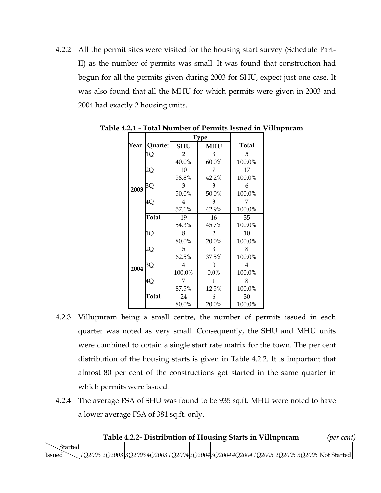4.2.2 All the permit sites were visited for the housing start survey (Schedule Part-II) as the number of permits was small. It was found that construction had begun for all the permits given during 2003 for SHU, expect just one case. It was also found that all the MHU for which permits were given in 2003 and 2004 had exactly 2 housing units.

| Year | Quarter | <b>SHU</b>     | <b>MHU</b>     | <b>Total</b> |
|------|---------|----------------|----------------|--------------|
|      | 1Q      | $\overline{2}$ | 3              | 5            |
|      |         | 40.0%          | 60.0%          | 100.0%       |
|      | 2Q      | 10             | 7              | 17           |
|      |         | 58.8%          | 42.2%          | 100.0%       |
| 2003 | 3Q      | 3              | 3              | 6            |
|      |         | 50.0%          | 50.0%          | 100.0%       |
|      | 4Q      | 4              | 3              | 7            |
|      |         | 57.1%          | 42.9%          | 100.0%       |
|      | Total   | 19             | 16             | 35           |
|      |         | 54.3%          | 45.7%          | 100.0%       |
|      | 1Q      | 8              | $\overline{2}$ | 10           |
|      |         | 80.0%          | 20.0%          | 100.0%       |
|      | 2Q      | 5              | 3              | 8            |
|      |         | 62.5%          | 37.5%          | 100.0%       |
| 2004 | 3Q      | 4              | 0              | 4            |
|      |         | 100.0%         | 0.0%           | 100.0%       |
|      | 4Q      | 7              | 1              | 8            |
|      |         | 87.5%          | 12.5%          | 100.0%       |
|      | Total   | 24             | 6              | 30           |
|      |         | 80.0%          | 20.0%          | 100.0%       |

**Table 4.2.1 - Total Number of Permits Issued in Villupuram**

- 4.2.3 Villupuram being a small centre, the number of permits issued in each quarter was noted as very small. Consequently, the SHU and MHU units were combined to obtain a single start rate matrix for the town. The per cent distribution of the housing starts is given in Table 4.2.2. It is important that almost 80 per cent of the constructions got started in the same quarter in which permits were issued.
- 4.2.4 The average FSA of SHU was found to be 935 sq.ft. MHU were noted to have a lower average FSA of 381 sq.ft. only.

|         |  |  |  |  | Table 4.2.2- Distribution of Housing Starts in Villupuram | (per cent)                                                                                                  |  |
|---------|--|--|--|--|-----------------------------------------------------------|-------------------------------------------------------------------------------------------------------------|--|
| Started |  |  |  |  |                                                           |                                                                                                             |  |
| Issued  |  |  |  |  |                                                           | $\searrow$ [1Q2003] 2Q2003 [3Q2003]4Q2003]1Q2004[2Q2004[3Q2004]4Q2004[1Q2005] 2Q2005 [3Q2005] Not Started [ |  |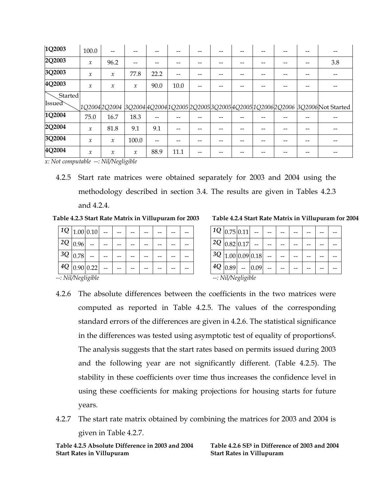| 1Q2003  | 100.0               | --            |               |      |      |  |  |  |                                                                                             |
|---------|---------------------|---------------|---------------|------|------|--|--|--|---------------------------------------------------------------------------------------------|
| 2Q2003  | $\mathcal{X}$       | 96.2          |               |      |      |  |  |  | 3.8                                                                                         |
| 3Q2003  | $\mathcal{X}$       | $\mathcal{X}$ | 77.8          | 22.2 |      |  |  |  |                                                                                             |
| 4Q2003  | $\boldsymbol{\chi}$ | $\mathcal{X}$ | $\mathcal{X}$ | 90.0 | 10.0 |  |  |  |                                                                                             |
| Started |                     |               |               |      |      |  |  |  |                                                                                             |
| Issued  |                     |               |               |      |      |  |  |  | ]1Q2004 2Q2004  3Q2004 4Q2004 1Q2005 2Q2005 3Q2005 4Q2005 1Q2006 2Q2006  3Q2006 Not Started |
| 1Q2004  | 75.0                | 16.7          | 18.3          |      |      |  |  |  |                                                                                             |
| 2Q2004  | $\mathcal{X}$       | 81.8          | 9.1           | 9.1  |      |  |  |  |                                                                                             |
| 3Q2004  | $\boldsymbol{\chi}$ | $\mathcal{X}$ | 100.0         |      |      |  |  |  |                                                                                             |
| 4Q2004  | $\mathcal{X}$       | $\mathcal{X}$ | $\mathcal X$  | 88.9 | 11.1 |  |  |  |                                                                                             |

*x: Not computable --: Nil/Negligible*

4.2.5 Start rate matrices were obtained separately for 2003 and 2004 using the methodology described in section 3.4. The results are given in Tables 4.2.3 and 4.2.4.

**Table 4.2.3 Start Rate Matrix in Villupuram for 2003** 

|                | $1Q$   1.00   0.10 |  |  |  |  |                  | $11Q$   0.75   0.11      |     |
|----------------|--------------------|--|--|--|--|------------------|--------------------------|-----|
| $12Q _{0.96}$  |                    |  |  |  |  |                  | $1^2Q$ 0.82 0.17         |     |
| $13Q$ $ 0.781$ |                    |  |  |  |  |                  | $3Q$   1.00   0.09   0.7 |     |
|                | $14Q$ 0.90 0.22    |  |  |  |  | $+4Q$ $ _{0.89}$ |                          | 0.0 |
|                | --: Nil/Negligible |  |  |  |  |                  | --: Nil/Negligible       |     |

|  | Table 4.2.4 Start Rate Matrix in Villupuram for 2004 |  |
|--|------------------------------------------------------|--|
|  |                                                      |  |

|                                                                                                                                                                                                                                                                                                                                                                                   |             | $1Q$ <sub>0.75</sub> 0.11 |                      |  |  |  |  |  |  |
|-----------------------------------------------------------------------------------------------------------------------------------------------------------------------------------------------------------------------------------------------------------------------------------------------------------------------------------------------------------------------------------|-------------|---------------------------|----------------------|--|--|--|--|--|--|
|                                                                                                                                                                                                                                                                                                                                                                                   |             | $2Q$ 0.82 0.17            |                      |  |  |  |  |  |  |
|                                                                                                                                                                                                                                                                                                                                                                                   |             |                           | $3Q$  1.00 0.09 0.18 |  |  |  |  |  |  |
|                                                                                                                                                                                                                                                                                                                                                                                   | $4Q$   0.89 |                           | 0.09                 |  |  |  |  |  |  |
| $\lambda$ $\overline{1}$ $\overline{1}$ $\overline{1}$ $\overline{1}$ $\overline{1}$ $\overline{1}$ $\overline{1}$ $\overline{1}$ $\overline{1}$ $\overline{1}$ $\overline{1}$ $\overline{1}$ $\overline{1}$ $\overline{1}$ $\overline{1}$ $\overline{1}$ $\overline{1}$ $\overline{1}$ $\overline{1}$ $\overline{1}$ $\overline{1}$ $\overline{1}$ $\overline{1}$ $\overline{1}$ |             |                           |                      |  |  |  |  |  |  |

- 4.2.6 The absolute differences between the coefficients in the two matrices were computed as reported in Table 4.2.5. The values of the corresponding standard errors of the differences are given in 4.2.6. The statistical significance in the differences was tested using asymptotic test of equality of proportions**ξ**. The analysis suggests that the start rates based on permits issued during 2003 and the following year are not significantly different. (Table 4.2.5). The stability in these coefficients over time thus increases the confidence level in using these coefficients for making projections for housing starts for future years.
- 4.2.7 The start rate matrix obtained by combining the matrices for 2003 and 2004 is given in Table 4.2.7.

**Table 4.2.5 Absolute Difference in 2003 and 2004 Start Rates in Villupuram** 

**Table 4.2.6 SE\$ in Difference of 2003 and 2004 Start Rates in Villupuram**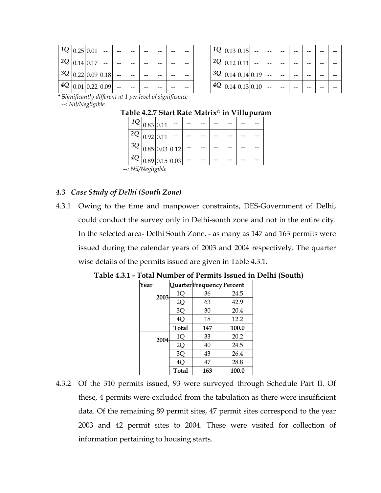| $1Q$ 0.25 0.01 |                     |  |  |  |
|----------------|---------------------|--|--|--|
| $2Q$ 0.14 0.17 |                     |  |  |  |
|                | $3Q$ 0.22 0.09 0.18 |  |  |  |
|                | $4Q$ 0.01 0.22 0.09 |  |  |  |

| $1Q$ <sub>0.13</sub> 0.15 |                                |  |  |  |
|---------------------------|--------------------------------|--|--|--|
| $2Q$ 0.12 0.11            |                                |  |  |  |
|                           | $3Q _{0.14} _{0.14} _{0.19}$   |  |  |  |
|                           | $4Q$ <sub>0.14</sub> 0.13 0.10 |  |  |  |

 **\*** S*ignificantly different at 1 per level of significance --: Nil/Negligible* 

## **Table 4.2.7 Start Rate Matrix@ in Villupuram**

| $1Q _{0.83} _{0.11} $ |           |  |                                                |  |  |  |  |  |  |
|-----------------------|-----------|--|------------------------------------------------|--|--|--|--|--|--|
| 2Q                    | 0.92 0.11 |  |                                                |  |  |  |  |  |  |
| 3Q                    |           |  | $\left  0.85 \right  0.03 \left  0.12 \right $ |  |  |  |  |  |  |
| $4Q$ 0.89 0.15 0.03   |           |  |                                                |  |  |  |  |  |  |
| -: Nil/Negligible     |           |  |                                                |  |  |  |  |  |  |

## *4.3 Case Study of Delhi (South Zone)*

4.3.1 Owing to the time and manpower constraints, DES-Government of Delhi, could conduct the survey only in Delhi-south zone and not in the entire city. In the selected area- Delhi South Zone, - as many as 147 and 163 permits were issued during the calendar years of 2003 and 2004 respectively. The quarter wise details of the permits issued are given in Table 4.3.1.

| Year |      |              | QuarterFrequencyPercent |       |
|------|------|--------------|-------------------------|-------|
|      | 2003 | 1Q           | 36                      | 24.5  |
|      |      | 2Q           | 63                      | 42.9  |
|      |      | 3Q           | 30                      | 20.4  |
|      |      | 4Q           | 18                      | 12.2  |
|      |      | <b>Total</b> | 147                     | 100.0 |
|      | 2004 | 1Q           | 33                      | 20.2  |
|      |      | 2Q           | 40                      | 24.5  |
|      |      | 3Q           | 43                      | 26.4  |
|      |      | 4Ç           | 47                      | 28.8  |
|      |      | <b>Total</b> | 163                     | 100.0 |

**Table 4.3.1 - Total Number of Permits Issued in Delhi (South)** 

4.3.2 Of the 310 permits issued, 93 were surveyed through Schedule Part II. Of these, 4 permits were excluded from the tabulation as there were insufficient data. Of the remaining 89 permit sites, 47 permit sites correspond to the year 2003 and 42 permit sites to 2004. These were visited for collection of information pertaining to housing starts.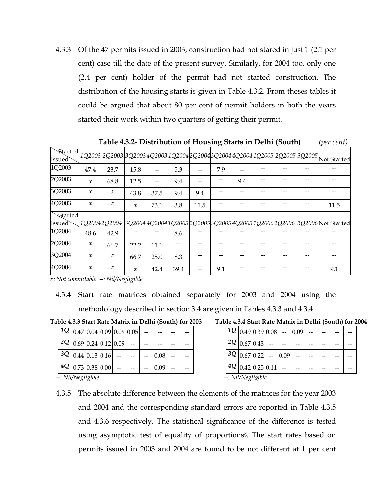4.3.3 Of the 47 permits issued in 2003, construction had not stared in just 1 (2.1 per cent) case till the date of the present survey. Similarly, for 2004 too, only one (2.4 per cent) holder of the permit had not started construction. The distribution of the housing starts is given in Table 4.3.2. From theses tables it could be argued that about 80 per cent of permit holders in both the years started their work within two quarters of getting their permit.

|         |                            |               |               |      |      |      |     |     | $11000 \text{m}$ |  | $V$ $V$ $V$ $V$ $V$ $V$                                                                          |
|---------|----------------------------|---------------|---------------|------|------|------|-----|-----|------------------|--|--------------------------------------------------------------------------------------------------|
|         |                            |               |               |      |      |      |     |     |                  |  | Started 1Q2003 2Q2003 3Q2003 4Q2003 1Q2004 2Q2004 3Q2004 4Q2004 1Q2005 2Q2005 3Q2005 Not Started |
| 1Q2003  | 47.4                       | 23.7          | 15.8          |      | 5.3  |      | 7.9 |     |                  |  |                                                                                                  |
| 2Q2003  | $\mathcal{X}$              | 68.8          | 12.5          |      | 9.4  |      |     | 9.4 |                  |  |                                                                                                  |
| 3Q2003  | $\mathcal{X}$              | $\mathcal{X}$ | 43.8          | 37.5 | 9.4  | 9.4  |     |     |                  |  |                                                                                                  |
| 4Q2003  | $\mathcal{X}$              | $\mathcal{X}$ | $\mathcal{X}$ | 73.1 | 3.8  | 11.5 |     |     |                  |  | 11.5                                                                                             |
| Started |                            |               |               |      |      |      |     |     |                  |  |                                                                                                  |
| Issued  |                            |               |               |      |      |      |     |     |                  |  | 1Q2004 2Q2004  3Q2004 4Q2004 1Q2005 2Q2005 3Q2005 4Q2005 1Q2006 2Q2006  3Q2006 Not Started       |
| 1Q2004  | 48.6                       | 42.9          |               |      | 8.6  |      |     |     |                  |  |                                                                                                  |
| 2Q2004  | $\boldsymbol{\mathcal{X}}$ | 66.7          | 22.2          | 11.1 |      |      |     |     |                  |  |                                                                                                  |
| 3Q2004  | $\mathcal{X}$              | $\mathcal{X}$ | 66.7          | 25.0 | 8.3  |      |     |     |                  |  |                                                                                                  |
| 4Q2004  | $\mathcal{X}$              | $\mathcal{X}$ | $\mathcal{X}$ | 42.4 | 39.4 |      | 9.1 |     |                  |  | 9.1                                                                                              |

 **Table 4.3.2- Distribution of Housing Starts in Delhi (South)** *(per cent)* 

*x: Not computable --: Nil/Negligible*

4.3.4 Start rate matrices obtained separately for 2003 and 2004 using the methodology described in section 3.4 are given in Tables 4.3.3 and 4.3.4

**Table 4.3.3 Start Rate Matrix in Delhi (South) for 2003** 

|  |                    |                                |                              | $1Q$  0.47 0.04 0.09 0.09 0.05 |      |  |                    | $1Q _{0.49 0.39}$    |  |
|--|--------------------|--------------------------------|------------------------------|--------------------------------|------|--|--------------------|----------------------|--|
|  |                    |                                | $2Q$  0.69  0.24  0.12  0.09 |                                |      |  | $ 2Q _{0.67}$ 0.43 |                      |  |
|  |                    | $3Q _{0.44} _{0.13} _{0.16}$   |                              |                                | 0.08 |  |                    | $3Q _{0.67} _{0.22}$ |  |
|  |                    | $ 4Q _{0.73} _{0.38} _{0.00} $ |                              |                                | 0.09 |  |                    | $4Q$ 0.42 0.25       |  |
|  | --: Nil/Negligible |                                |                              |                                |      |  | --: Nil/Negligible |                      |  |

4.3.5 The absolute difference between the elements of the matrices for the year 2003 and 2004 and the corresponding standard errors are reported in Table 4.3.5 and 4.3.6 respectively. The statistical significance of the difference is tested using asymptotic test of equality of proportions**ξ**. The start rates based on permits issued in 2003 and 2004 are found to be not different at 1 per cent

**Table 4.3.4 Start Rate Matrix in Delhi (South) for 2004** 

|  | $1Q$  0.49 0.39 0.08  --      |  | 0.09 |  |  |
|--|-------------------------------|--|------|--|--|
|  | $2Q$ 0.67 0.43                |  |      |  |  |
|  | $3Q$   0.67   0.22   -   0.09 |  |      |  |  |
|  | $4Q$  0.42  0.25  0.11        |  |      |  |  |
|  | --• Nil/Neolioible            |  |      |  |  |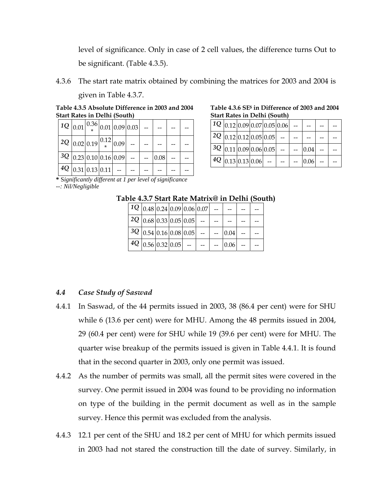level of significance. Only in case of 2 cell values, the difference turns Out to be significant. (Table 4.3.5).

4.3.6 The start rate matrix obtained by combining the matrices for 2003 and 2004 is given in Table 4.3.7.

**Table 4.3.5 Absolute Difference in 2003 and 2004 Start Rates in Delhi (South)** 

| $\left[1Q_{0.01}\right]^{0.36}\left _{0.01}\right _{0.09}\left _{0.03}\right $ - |                                |  |  |      |  |
|----------------------------------------------------------------------------------|--------------------------------|--|--|------|--|
| $ 2Q _{0.02} _{0.19} ^{0.12} _{0.09} $                                           |                                |  |  |      |  |
| $ 3Q _{0.23} _{0.10} _{0.16} _{0.09} _{-} $                                      |                                |  |  | 0.08 |  |
|                                                                                  | $ 4Q _{0.31} _{0.13} _{0.11} $ |  |  |      |  |

**Table 4.3.6 SE\$ in Difference of 2003 and 2004 Start Rates in Delhi (South)** 

|  |  | $ 1Q _{0.12} _{0.09} _{0.07} _{0.05} _{0.06} $    |  |          |  |
|--|--|---------------------------------------------------|--|----------|--|
|  |  | $ 2Q _{0.12} _{0.12} _{0.05} _{0.05} _{-} $       |  |          |  |
|  |  | $ 3Q _{0.11} _{0.09} _{0.06} _{0.05} $ --         |  | 0.04     |  |
|  |  | $ 4Q _{0.13} _{0.13} _{0.06} _{-} _{-} _{-} _{-}$ |  | $0.06 -$ |  |

**\*** S*ignificantly different at 1 per level of significance --: Nil/Negligible*

| Table 4.3.7 Start Rate Matrix@ in Delhi (South) |  |
|-------------------------------------------------|--|
|-------------------------------------------------|--|

|                                        |  | $ 1Q _{0.48} _{0.24} _{0.09} _{0.06} _{0.07} $ |      |  |
|----------------------------------------|--|------------------------------------------------|------|--|
| $ 2Q _{0.68} _{0.33} _{0.05} _{0.05} $ |  |                                                |      |  |
| $ 3Q _{0.54} _{0.16} _{0.08} _{0.05} $ |  |                                                | 0.04 |  |
| $ 4Q _{0.56} _{0.32} _{0.05} $         |  |                                                | 0.06 |  |

#### *4.4 Case Study of Saswad*

- 4.4.1 In Saswad, of the 44 permits issued in 2003, 38 (86.4 per cent) were for SHU while 6 (13.6 per cent) were for MHU. Among the 48 permits issued in 2004, 29 (60.4 per cent) were for SHU while 19 (39.6 per cent) were for MHU. The quarter wise breakup of the permits issued is given in Table 4.4.1. It is found that in the second quarter in 2003, only one permit was issued.
- 4.4.2 As the number of permits was small, all the permit sites were covered in the survey. One permit issued in 2004 was found to be providing no information on type of the building in the permit document as well as in the sample survey. Hence this permit was excluded from the analysis.
- 4.4.3 12.1 per cent of the SHU and 18.2 per cent of MHU for which permits issued in 2003 had not stared the construction till the date of survey. Similarly, in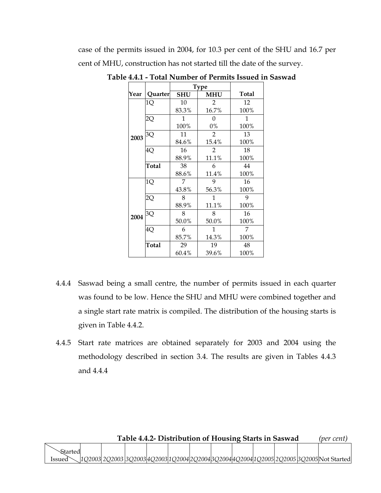case of the permits issued in 2004, for 10.3 per cent of the SHU and 16.7 per cent of MHU, construction has not started till the date of the survey.

|      |         | <b>Type</b> |                |              |
|------|---------|-------------|----------------|--------------|
| Year | Quarter | <b>SHU</b>  | <b>MHU</b>     | <b>Total</b> |
|      | 1Q      | 10          | $\overline{2}$ | 12           |
|      |         | 83.3%       | 16.7%          | 100%         |
|      | 2Q      | 1           | 0              | 1            |
|      |         | 100%        | 0%             | 100%         |
| 2003 | 3Q      | 11          | $\overline{2}$ | 13           |
|      |         | 84.6%       | 15.4%          | 100%         |
|      | 4Q      | 16          | 2              | 18           |
|      |         | 88.9%       | 11.1%          | 100%         |
|      | Total   | 38          | 6              | 44           |
|      |         | 88.6%       | 11.4%          | 100%         |
|      | 1Q      | 7           | 9              | 16           |
|      |         | 43.8%       | 56.3%          | 100%         |
|      | 2Q      | 8           | 1              | 9            |
|      |         | 88.9%       | 11.1%          | 100%         |
| 2004 | 3Q      | 8           | 8              | 16           |
|      |         | 50.0%       | 50.0%          | 100%         |
|      | 4Q      | 6           | 1              | 7            |
|      |         | 85.7%       | 14.3%          | 100%         |
|      | Total   | 29          | 19             | 48           |
|      |         | 60.4%       | 39.6%          | 100%         |

**Table 4.4.1 - Total Number of Permits Issued in Saswad**

- 4.4.4 Saswad being a small centre, the number of permits issued in each quarter was found to be low. Hence the SHU and MHU were combined together and a single start rate matrix is compiled. The distribution of the housing starts is given in Table 4.4.2.
- 4.4.5 Start rate matrices are obtained separately for 2003 and 2004 using the methodology described in section 3.4. The results are given in Tables 4.4.3 and 4.4.4

| Table 4.4.2- Distribution of Housing Starts in Saswad |  |  |  |  |  |  |  |  |  |  |  | (per cent)                                                                                |
|-------------------------------------------------------|--|--|--|--|--|--|--|--|--|--|--|-------------------------------------------------------------------------------------------|
| Started                                               |  |  |  |  |  |  |  |  |  |  |  |                                                                                           |
| lssued                                                |  |  |  |  |  |  |  |  |  |  |  | .302003 2Q2003 3Q2003 4Q2003 1Q2004 2Q2004 3Q2004 4Q2004 1Q2005 2Q2005 3Q2005 Not Started |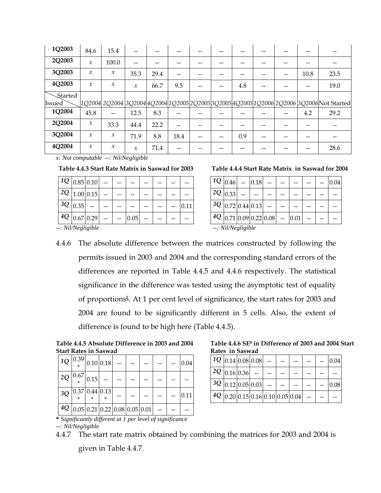| 1Q2003        | 84.6                       | 15.4          | --                         | --   |      | -- |     |    |    |      |                                                                                           |
|---------------|----------------------------|---------------|----------------------------|------|------|----|-----|----|----|------|-------------------------------------------------------------------------------------------|
| 2Q2003        | $\boldsymbol{\mathcal{X}}$ | 100.0         |                            |      |      |    |     |    |    |      |                                                                                           |
| 3Q2003        | $\mathcal{X}$              | х             | 35.3                       | 29.4 |      |    |     |    | -- | 10.8 | 23.5                                                                                      |
| 4Q2003        | $\mathcal{X}$              | $\mathcal{X}$ | $\mathcal{X}$              | 66.7 | 9.5  | -- | 4.8 | -- |    |      | 19.0                                                                                      |
| Started       |                            |               |                            |      |      |    |     |    |    |      |                                                                                           |
| <b>Issued</b> |                            |               |                            |      |      |    |     |    |    |      | [1Q2004 2Q2004 3Q2004 4Q2004 1Q2005 2Q2005 3Q2005 4Q2005 1Q2006 2Q2006 SQ2006 Not Started |
| 1Q2004        | 45.8                       | $- -$         | 12.5                       | 8.3  |      |    |     |    |    | 4.2  | 29.2                                                                                      |
| 2Q2004        | $\mathcal{X}$              | 33.3          | 44.4                       | 22.2 |      |    |     |    |    |      |                                                                                           |
| 3Q2004        | $\mathcal{X}$              | $\mathcal{X}$ | 71.9                       | 8.8  | 18.4 | -- | 0.9 |    |    |      |                                                                                           |
| 4Q2004        | $\boldsymbol{\mathcal{X}}$ | $\mathcal{X}$ | $\boldsymbol{\mathcal{X}}$ | 71.4 |      |    |     |    |    |      | 28.6                                                                                      |

*x: Not computable --: Nil/Negligible* 

#### **Table 4.4.3 Start Rate Matrix in Saswad for 2003**

|              | $1Q$ 0.85 0.10 |  |      |  |      |
|--------------|----------------|--|------|--|------|
|              | $2Q$ 1.00 0.15 |  |      |  |      |
| $3Q _{0.35}$ |                |  |      |  | 0.11 |
|              | $4Q$ 0.67 0.29 |  | 0.05 |  |      |
|              |                |  |      |  |      |

*--: Nil/Negligible --: Nil/Negligible*

**Table 4.4.4 Start Rate Matrix in Saswad for 2004** 

| $1Q _{0.46}$                   | 0.18 |                              |      |  | 0.04 |
|--------------------------------|------|------------------------------|------|--|------|
| $ 2Q _{0.33}$                  |      |                              |      |  |      |
| $ 3Q _{0.72} _{0.44} _{0.13} $ |      |                              |      |  |      |
|                                |      | $4Q$  0.71  0.09  0.22  0.08 | 0.01 |  |      |
| --: Nil/Negligible             |      |                              |      |  |      |

4.4.6 The absolute difference between the matrices constructed by following the permits issued in 2003 and 2004 and the corresponding standard errors of the differences are reported in Table 4.4.5 and 4.4.6 respectively. The statistical significance in the difference was tested using the asymptotic test of equality of proportions**ξ**. At 1 per cent level of significance, the start rates for 2003 and 2004 are found to be significantly different in 5 cells. Also, the extent of difference is found to be high here (Table 4.4.5).

**Table 4.4.5 Absolute Difference in 2003 and 2004 Start Rates in Saswad** 

|  | $1Q\left  \frac{0.39}{*} \right  0.10\left  0.18 \right $ |  |  |  | 0.04 |
|--|-----------------------------------------------------------|--|--|--|------|
|  | $2Q\left  \frac{0.67}{*} \right  0.15$                    |  |  |  |      |
|  | $3Q$   0.37   0.44   0.13                                 |  |  |  | 0.11 |
|  | $4Q$   0.05   0.21   0.22   0.08   0.05   0.01            |  |  |  |      |

**Table 4.4.6 SE\$ in Difference of 2003 and 2004 Start Rates in Saswad** 

|                        | $1Q$ <sub>0.14</sub> 0.08 0.08 |                                     |  |  | 0.04 |
|------------------------|--------------------------------|-------------------------------------|--|--|------|
| $1^2Q$ 0.16 0.36 -   - |                                |                                     |  |  |      |
|                        | $3Q$ 0.12 0.05 0.03            |                                     |  |  | 0.08 |
|                        |                                | $4Q$  0.20 0.15 0.16 0.10 0.05 0.04 |  |  |      |

**\*** S*ignificantly different at 1 per level of significance --: Nil/Negligible*

<sup>4.4.7</sup> The start rate matrix obtained by combining the matrices for 2003 and 2004 is given in Table 4.4.7.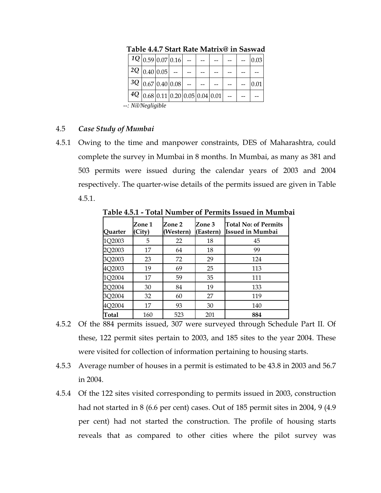|                    |  | $1Q$ <sub>0.59</sub> 0.07 0.16 |  |                                                |  |  |  |  | 0.03 |  |
|--------------------|--|--------------------------------|--|------------------------------------------------|--|--|--|--|------|--|
|                    |  | $2Q$ 0.40 0.05                 |  |                                                |  |  |  |  |      |  |
|                    |  | $3Q$ 0.67 0.40 0.08            |  |                                                |  |  |  |  |      |  |
|                    |  |                                |  | $4Q$   0.68   0.11   0.20   0.05   0.04   0.01 |  |  |  |  |      |  |
| --: Nil/Negligible |  |                                |  |                                                |  |  |  |  |      |  |

**Table 4.4.7 Start Rate Matrix@ in Saswad** 

## 4.5 *Case Study of Mumbai*

4.5.1 Owing to the time and manpower constraints, DES of Maharashtra, could complete the survey in Mumbai in 8 months. In Mumbai, as many as 381 and 503 permits were issued during the calendar years of 2003 and 2004 respectively. The quarter-wise details of the permits issued are given in Table 4.5.1.

| Ouarter | Zone 1<br>(City) | Zone 2<br>(Western) | Zone 3<br>(Eastern) | Total No: of Permits<br>Issued in Mumbai |
|---------|------------------|---------------------|---------------------|------------------------------------------|
| 1Q2003  | 5                | 22                  | 18                  | 45                                       |
| 2Q2003  | 17               | 64                  | 18                  | 99                                       |
| 3Q2003  | 23               | 72                  | 29                  | 124                                      |
| 4Q2003  | 19               | 69                  | 25                  | 113                                      |
| 1Q2004  | 17               | 59                  | 35                  | 111                                      |
| 2Q2004  | 30               | 84                  | 19                  | 133                                      |
| 3Q2004  | 32               | 60                  | 27                  | 119                                      |
| 4Q2004  | 17               | 93                  | 30                  | 140                                      |
| Total   | 160              | 523                 | 201                 | 884                                      |

**Table 4.5.1 - Total Number of Permits Issued in Mumbai** 

- 4.5.2 Of the 884 permits issued, 307 were surveyed through Schedule Part II. Of these, 122 permit sites pertain to 2003, and 185 sites to the year 2004. These were visited for collection of information pertaining to housing starts.
- 4.5.3 Average number of houses in a permit is estimated to be 43.8 in 2003 and 56.7 in 2004.
- 4.5.4 Of the 122 sites visited corresponding to permits issued in 2003, construction had not started in 8 (6.6 per cent) cases. Out of 185 permit sites in 2004, 9 (4.9 per cent) had not started the construction. The profile of housing starts reveals that as compared to other cities where the pilot survey was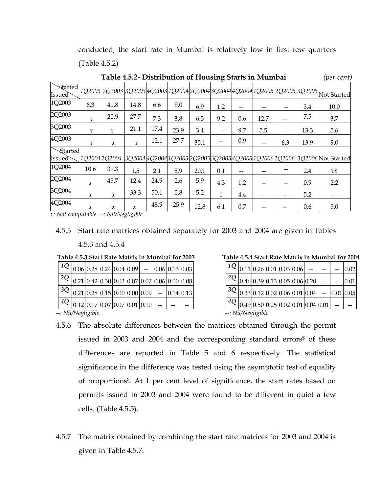conducted, the start rate in Mumbai is relatively low in first few quarters (Table 4.5.2)

| Table 4.5.2- Distribution of Housing Starts in Mumbai |               |                     |               |      |      |      |              |     |      |     |      | (per cent)                                                                                          |
|-------------------------------------------------------|---------------|---------------------|---------------|------|------|------|--------------|-----|------|-----|------|-----------------------------------------------------------------------------------------------------|
| <b>Started</b><br>Issued`                             |               |                     |               |      |      |      |              |     |      |     |      | 1Q2003  2Q2003  3Q2003  4Q2003  1Q2004  2Q2004  3Q2004  4Q2004  1Q2005  2Q2005  3Q2005  Not Started |
| 1Q2003                                                | 6.3           | 41.8                | 14.8          | 6.6  | 9.0  | 6.9  | 1.2          |     |      |     | 3.4  | 10.0                                                                                                |
| 2Q2003                                                | $\mathcal{X}$ | 20.9                | 27.7          | 7.3  | 3.8  | 6.5  | 9.2          | 0.6 | 12.7 |     | 7.5  | 3.7                                                                                                 |
| 3Q2003                                                | $\mathcal{X}$ | $\mathcal{X}$       | 21.1          | 17.4 | 23.9 | 3.4  |              | 9.7 | 5.5  |     | 13.3 | 5.6                                                                                                 |
| 4Q2003                                                | $\mathcal{X}$ | $\boldsymbol{\chi}$ | $\mathcal{X}$ | 12.1 | 27.7 | 30.1 |              | 0.9 |      | 6.3 | 13.9 | 9.0                                                                                                 |
| Started<br>Issued`                                    |               | 1Q20042Q2004        |               |      |      |      |              |     |      |     |      | 3Q2004 4Q2004 1Q2005 2Q2005 3Q2005 4Q2005 1Q2006 2Q2006 3Q2006 Not Started                          |
| 1Q2004                                                | 10.6          | 39.3                | 1.5           | 2.1  | 5.9  | 20.1 | 0.1          |     |      |     | 2.4  | 18                                                                                                  |
| 2Q2004                                                | $\mathcal{X}$ | 45.7                | 12.4          | 24.9 | 2.6  | 5.9  | 4.3          | 1.2 |      |     | 0.9  | 2.2                                                                                                 |
| 3Q2004                                                | $\mathcal{X}$ | $\mathcal{X}$       | 33.3          | 50.1 | 0.8  | 5.2  | $\mathbf{1}$ | 4.4 |      |     | 5.2  |                                                                                                     |
| 4Q2004                                                | $\mathcal{X}$ | $\mathcal{X}$       | $\mathcal{X}$ | 48.9 | 25.9 | 12.8 | 6.1          | 0.7 |      |     | 0.6  | 5.0                                                                                                 |

*x: Not computable --: Nil/Negligible* 

#### 4.5.5 Start rate matrices obtained separately for 2003 and 2004 are given in Tables

#### 4.5.3 and 4.5.4

#### **Table 4.5.3 Start Rate Matrix in Mumbai for 2003**

|                                                                                     |  |  |  | $1Q_{0.06}$ 0.28 0.24 0.04 0.09 - 0.06 0.13 0.03 |  |
|-------------------------------------------------------------------------------------|--|--|--|--------------------------------------------------|--|
| $2Q_{0.21} _{0.42} _{0.30} _{0.03} _{0.07} _{0.07} _{0.06} _{0.00} _{0.08} _{0.00}$ |  |  |  |                                                  |  |
| $ 3Q _{0.21} _{0.28} _{0.15} _{0.00} _{0.00} _{0.09} _{-} _{0.14} _{0.13}$          |  |  |  |                                                  |  |
| $ 4Q _{0.12} _{0.17} _{0.07} _{0.07} _{0.01} _{0.10} _{-} $                         |  |  |  |                                                  |  |

**Table 4.5.4 Start Rate Matrix in Mumbai for 2004** 

| $1Q$ <sub>0.11</sub> 0.26 0.01 0.03 0.06 -                           |  |  |  |  |  |  |  | 0.02 |  |  |
|----------------------------------------------------------------------|--|--|--|--|--|--|--|------|--|--|
| $2Q$  0.46 0.39 0.13 0.05 0.06 0.20                                  |  |  |  |  |  |  |  | 0.01 |  |  |
| $3Q$ <sub>0.33</sub> 0.12 0.02 0.06 0.01 0.04 - 0.01 0.05            |  |  |  |  |  |  |  |      |  |  |
| $^{4Q} _{0.49} _{0.50} _{0.25} _{0.02} _{0.01} _{0.04} _{0.01} _{-}$ |  |  |  |  |  |  |  |      |  |  |
| --: Nil/Negligible                                                   |  |  |  |  |  |  |  |      |  |  |

*--: Nil/Negligible --: Nil/Negligible*

- 4.5.6 The absolute differences between the matrices obtained through the permit issued in 2003 and 2004 and the corresponding standard errors<sup>\$</sup> of these differences are reported in Table 5 and 6 respectively. The statistical significance in the difference was tested using the asymptotic test of equality of proportions**ξ**. At 1 per cent level of significance, the start rates based on permits issued in 2003 and 2004 were found to be different in quiet a few cells. (Table 4.5.5).
- 4.5.7 The matrix obtained by combining the start rate matrices for 2003 and 2004 is given in Table 4.5.7.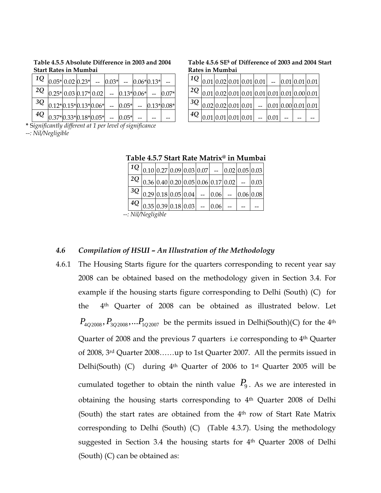| $1Q$ $ _{0.05^*} _{0.02} _{0.23^*} $ - $ _{0.03^*} $ - $ _{0.06^*} _{0.13^*} $ - |  |  |  |  |  |
|----------------------------------------------------------------------------------|--|--|--|--|--|
| $2Q$ 0.25* 0.03 0.17* 0.02 - 0.13* 0.06* - 0.07*                                 |  |  |  |  |  |
| $3Q$ 0.12*0.15*0.13*0.06* -- 0.05* -- 0.13*0.08*                                 |  |  |  |  |  |
| $^{4Q}$ 0.37* 0.33* 0.18* 0.05* -- 0.05* --                                      |  |  |  |  |  |

**Table 4.5.5 Absolute Difference in 2003 and 2004 Start Rates in Mumbai** 

**\*** S*ignificantly different at 1 per level of significance --: Nil/Negligible*

| Table 4.5.6 SE <sup>§</sup> of Difference of 2003 and 2004 Start |  |  |  |  |  |
|------------------------------------------------------------------|--|--|--|--|--|
| Rates in Mumbai                                                  |  |  |  |  |  |
|                                                                  |  |  |  |  |  |

| $10$   $0.01$   0.02   0.01   0.01   0.01   --   0.01   0.01   0.01   0.01   0.01   0.01   0.01   0.01   0.01   0.01   0.01   0.01   0.01   0.01   0.01   0.01   0.01   0.01   0.01   0.01   0.01   0.01   0.01   0.01   0.01 |  |  |  |  |  |
|-------------------------------------------------------------------------------------------------------------------------------------------------------------------------------------------------------------------------------|--|--|--|--|--|
| $2Q_{0.01}$ 0.02 0.01 0.01 0.01 0.01 0.01 0.00 0.01                                                                                                                                                                           |  |  |  |  |  |
| $ 3Q _{0.02} _{0.02} _{0.01} _{0.01} _{-}\underline{ 0.01 0.00} _{0.01} _{0.01} $                                                                                                                                             |  |  |  |  |  |
| $ 4Q _{0.01} _{0.01} _{0.01} _{0.01} _{-1}$ - $ _{0.01} _{-1}$ -                                                                                                                                                              |  |  |  |  |  |

|  |  | Table 4.5.7 Start Rate Matrix <sup>®</sup> in Mumbai |  |  |  |  |
|--|--|------------------------------------------------------|--|--|--|--|
|  |  |                                                      |  |  |  |  |

|  | $1Q _{0.10} _{0.27} _{0.09} _{0.03} _{0.07} $ - $ _{0.02} _{0.05} _{0.03} $   |  |  |  |  |
|--|-------------------------------------------------------------------------------|--|--|--|--|
|  | $2Q _{0.36} _{0.40} _{0.20} _{0.05} _{0.06} _{0.17} _{0.02} _{-} _{0.03} $    |  |  |  |  |
|  | $1^{3Q} _{0.29} _{0.18} _{0.05} _{0.04} $ - $ _{0.06} $ - $ _{0.06} _{0.08} $ |  |  |  |  |
|  | $\frac{4Q}{10.35}$ 0.39 0.18 0.03 - 0.06 - -                                  |  |  |  |  |
|  | . Mil Moolicible                                                              |  |  |  |  |

*--: Nil/Negligible*

#### *4.6 Compilation of HSUI – An Illustration of the Methodology*

4.6.1 The Housing Starts figure for the quarters corresponding to recent year say 2008 can be obtained based on the methodology given in Section 3.4. For example if the housing starts figure corresponding to Delhi (South) (C) for the 4th Quarter of 2008 can be obtained as illustrated below. Let  $P_{402008}, P_{302008}, \ldots P_{102007}$  be the permits issued in Delhi(South)(C) for the 4<sup>th</sup> Quarter of 2008 and the previous 7 quarters i.e corresponding to 4<sup>th</sup> Quarter of 2008, 3rd Quarter 2008……up to 1st Quarter 2007. All the permits issued in Delhi(South) (C) during  $4<sup>th</sup>$  Quarter of 2006 to 1<sup>st</sup> Quarter 2005 will be cumulated together to obtain the ninth value  $P_9$ . As we are interested in obtaining the housing starts corresponding to 4th Quarter 2008 of Delhi (South) the start rates are obtained from the 4<sup>th</sup> row of Start Rate Matrix corresponding to Delhi (South) (C) (Table 4.3.7). Using the methodology suggested in Section 3.4 the housing starts for 4<sup>th</sup> Quarter 2008 of Delhi (South) (C) can be obtained as: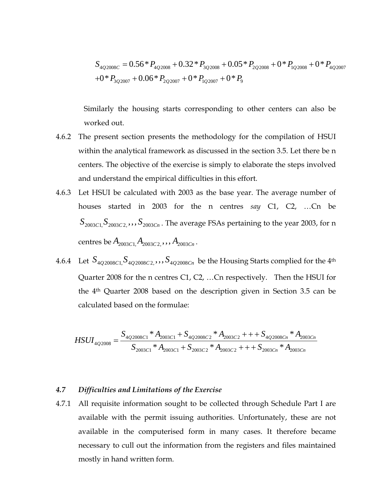$$
S_{4Q2008C} = 0.56 * P_{4Q2008} + 0.32 * P_{3Q2008} + 0.05 * P_{2Q2008} + 0 * P_{1Q2008} + 0 * P_{4Q2007} + 0 * P_{3Q2007} + 0.06 * P_{2Q2007} + 0 * P_{1Q2007} + 0 * P_9
$$

Similarly the housing starts corresponding to other centers can also be worked out.

- 4.6.2 The present section presents the methodology for the compilation of HSUI within the analytical framework as discussed in the section 3.5. Let there be n centers. The objective of the exercise is simply to elaborate the steps involved and understand the empirical difficulties in this effort.
- 4.6.3 Let HSUI be calculated with 2003 as the base year. The average number of houses started in 2003 for the n centres *say* C1, C2, …Cn be  $S_{2003C1}$ ,  $S_{2003C2}$ ,  $S_{2003Cn}$ . The average FSAs pertaining to the year 2003, for n centres be  $A_{2003C1}A_{2003C2}$ ,  $A_{2003Cn}$ .
- 4.6.4 Let  $S_{402008C1}$ ,  $S_{402008C2}$ ,  $S_{402008Cn}$  be the Housing Starts complied for the 4<sup>th</sup> Quarter 2008 for the n centres C1, C2, …Cn respectively. Then the HSUI for the 4th Quarter 2008 based on the description given in Section 3.5 can be calculated based on the formulae:

$$
HSUI_{4Q2008}} = \frac{S_{4Q2008C1} * A_{2003C1} + S_{4Q2008C2} * A_{2003C2} + + + S_{4Q2008Cn} * A_{2003Cn}}{S_{2003C1} * A_{2003C1} + S_{2003C2} * A_{2003C2} + + + S_{2003Cn} * A_{2003Cn}}
$$

#### *4.7 Difficulties and Limitations of the Exercise*

4.7.1 All requisite information sought to be collected through Schedule Part I are available with the permit issuing authorities. Unfortunately, these are not available in the computerised form in many cases. It therefore became necessary to cull out the information from the registers and files maintained mostly in hand written form.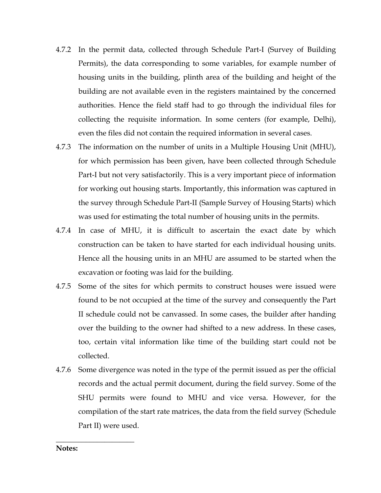- 4.7.2 In the permit data, collected through Schedule Part-I (Survey of Building Permits), the data corresponding to some variables, for example number of housing units in the building, plinth area of the building and height of the building are not available even in the registers maintained by the concerned authorities. Hence the field staff had to go through the individual files for collecting the requisite information. In some centers (for example, Delhi), even the files did not contain the required information in several cases.
- 4.7.3 The information on the number of units in a Multiple Housing Unit (MHU), for which permission has been given, have been collected through Schedule Part-I but not very satisfactorily. This is a very important piece of information for working out housing starts. Importantly, this information was captured in the survey through Schedule Part-II (Sample Survey of Housing Starts) which was used for estimating the total number of housing units in the permits.
- 4.7.4 In case of MHU, it is difficult to ascertain the exact date by which construction can be taken to have started for each individual housing units. Hence all the housing units in an MHU are assumed to be started when the excavation or footing was laid for the building.
- 4.7.5 Some of the sites for which permits to construct houses were issued were found to be not occupied at the time of the survey and consequently the Part II schedule could not be canvassed. In some cases, the builder after handing over the building to the owner had shifted to a new address. In these cases, too, certain vital information like time of the building start could not be collected.
- 4.7.6 Some divergence was noted in the type of the permit issued as per the official records and the actual permit document, during the field survey. Some of the SHU permits were found to MHU and vice versa. However, for the compilation of the start rate matrices, the data from the field survey (Schedule Part II) were used.

**Notes:** 

**\_\_\_\_\_\_\_\_\_\_\_\_\_\_\_\_\_\_\_\_\_**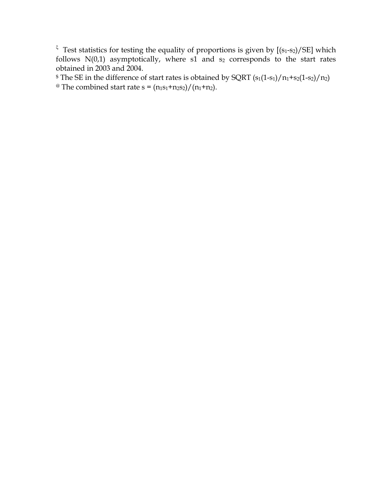<sup>ξ</sup> Test statistics for testing the equality of proportions is given by  $[(s_1-s_2)/SE]$  which follows  $N(0,1)$  asymptotically, where s1 and  $s_2$  corresponds to the start rates obtained in 2003 and 2004.

 $$ The SE in the difference of start rates is obtained by SQRT  $(s_1(1-s_1)/n_1+s_2(1-s_2)/n_2)$$ <sup>@</sup> The combined start rate  $s = (n_1s_1+n_2s_2)/(n_1+n_2)$ .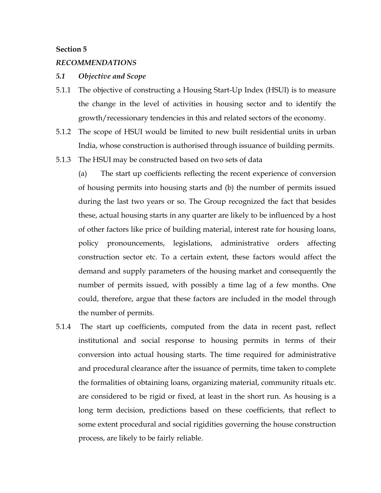#### **Section 5**

#### *RECOMMENDATIONS*

#### *5.1 Objective and Scope*

- 5.1.1 The objective of constructing a Housing Start-Up Index (HSUI) is to measure the change in the level of activities in housing sector and to identify the growth/recessionary tendencies in this and related sectors of the economy.
- 5.1.2 The scope of HSUI would be limited to new built residential units in urban India, whose construction is authorised through issuance of building permits.
- 5.1.3 The HSUI may be constructed based on two sets of data

(a) The start up coefficients reflecting the recent experience of conversion of housing permits into housing starts and (b) the number of permits issued during the last two years or so. The Group recognized the fact that besides these, actual housing starts in any quarter are likely to be influenced by a host of other factors like price of building material, interest rate for housing loans, policy pronouncements, legislations, administrative orders affecting construction sector etc. To a certain extent, these factors would affect the demand and supply parameters of the housing market and consequently the number of permits issued, with possibly a time lag of a few months. One could, therefore, argue that these factors are included in the model through the number of permits.

5.1.4 The start up coefficients, computed from the data in recent past, reflect institutional and social response to housing permits in terms of their conversion into actual housing starts. The time required for administrative and procedural clearance after the issuance of permits, time taken to complete the formalities of obtaining loans, organizing material, community rituals etc. are considered to be rigid or fixed, at least in the short run. As housing is a long term decision, predictions based on these coefficients, that reflect to some extent procedural and social rigidities governing the house construction process, are likely to be fairly reliable.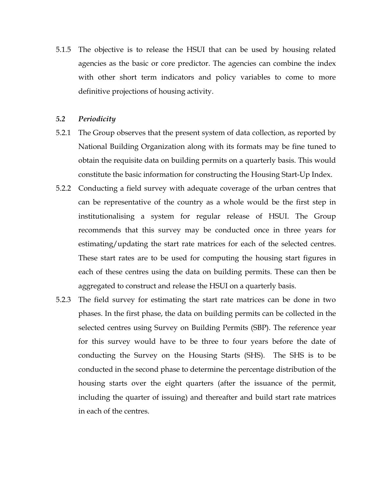5.1.5 The objective is to release the HSUI that can be used by housing related agencies as the basic or core predictor. The agencies can combine the index with other short term indicators and policy variables to come to more definitive projections of housing activity.

#### *5.2 Periodicity*

- 5.2.1 The Group observes that the present system of data collection, as reported by National Building Organization along with its formats may be fine tuned to obtain the requisite data on building permits on a quarterly basis. This would constitute the basic information for constructing the Housing Start-Up Index.
- 5.2.2 Conducting a field survey with adequate coverage of the urban centres that can be representative of the country as a whole would be the first step in institutionalising a system for regular release of HSUI. The Group recommends that this survey may be conducted once in three years for estimating/updating the start rate matrices for each of the selected centres. These start rates are to be used for computing the housing start figures in each of these centres using the data on building permits. These can then be aggregated to construct and release the HSUI on a quarterly basis.
- 5.2.3 The field survey for estimating the start rate matrices can be done in two phases. In the first phase, the data on building permits can be collected in the selected centres using Survey on Building Permits (SBP). The reference year for this survey would have to be three to four years before the date of conducting the Survey on the Housing Starts (SHS). The SHS is to be conducted in the second phase to determine the percentage distribution of the housing starts over the eight quarters (after the issuance of the permit, including the quarter of issuing) and thereafter and build start rate matrices in each of the centres.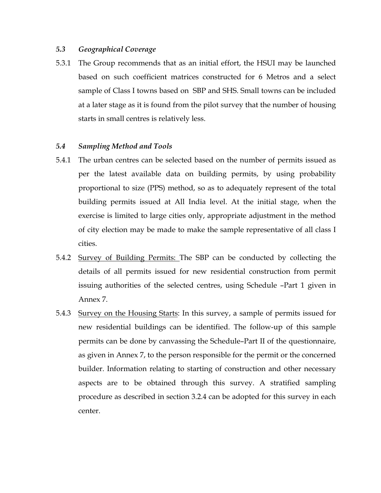#### *5.3 Geographical Coverage*

5.3.1 The Group recommends that as an initial effort, the HSUI may be launched based on such coefficient matrices constructed for 6 Metros and a select sample of Class I towns based on SBP and SHS. Small towns can be included at a later stage as it is found from the pilot survey that the number of housing starts in small centres is relatively less.

#### *5.4 Sampling Method and Tools*

- 5.4.1 The urban centres can be selected based on the number of permits issued as per the latest available data on building permits, by using probability proportional to size (PPS) method, so as to adequately represent of the total building permits issued at All India level. At the initial stage, when the exercise is limited to large cities only, appropriate adjustment in the method of city election may be made to make the sample representative of all class I cities.
- 5.4.2 Survey of Building Permits: The SBP can be conducted by collecting the details of all permits issued for new residential construction from permit issuing authorities of the selected centres, using Schedule –Part 1 given in Annex 7.
- 5.4.3 Survey on the Housing Starts: In this survey, a sample of permits issued for new residential buildings can be identified. The follow-up of this sample permits can be done by canvassing the Schedule–Part II of the questionnaire, as given in Annex 7, to the person responsible for the permit or the concerned builder. Information relating to starting of construction and other necessary aspects are to be obtained through this survey. A stratified sampling procedure as described in section 3.2.4 can be adopted for this survey in each center.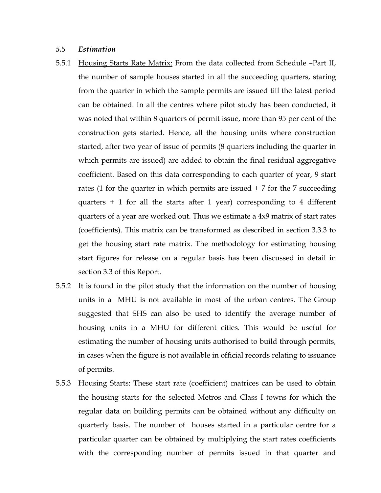#### *5.5 Estimation*

- 5.5.1 Housing Starts Rate Matrix: From the data collected from Schedule –Part II, the number of sample houses started in all the succeeding quarters, staring from the quarter in which the sample permits are issued till the latest period can be obtained. In all the centres where pilot study has been conducted, it was noted that within 8 quarters of permit issue, more than 95 per cent of the construction gets started. Hence, all the housing units where construction started, after two year of issue of permits (8 quarters including the quarter in which permits are issued) are added to obtain the final residual aggregative coefficient. Based on this data corresponding to each quarter of year, 9 start rates (1 for the quarter in which permits are issued + 7 for the 7 succeeding quarters  $+ 1$  for all the starts after 1 year) corresponding to 4 different quarters of a year are worked out. Thus we estimate a 4x9 matrix of start rates (coefficients). This matrix can be transformed as described in section 3.3.3 to get the housing start rate matrix. The methodology for estimating housing start figures for release on a regular basis has been discussed in detail in section 3.3 of this Report.
- 5.5.2 It is found in the pilot study that the information on the number of housing units in a MHU is not available in most of the urban centres. The Group suggested that SHS can also be used to identify the average number of housing units in a MHU for different cities. This would be useful for estimating the number of housing units authorised to build through permits, in cases when the figure is not available in official records relating to issuance of permits.
- 5.5.3 Housing Starts: These start rate (coefficient) matrices can be used to obtain the housing starts for the selected Metros and Class I towns for which the regular data on building permits can be obtained without any difficulty on quarterly basis. The number of houses started in a particular centre for a particular quarter can be obtained by multiplying the start rates coefficients with the corresponding number of permits issued in that quarter and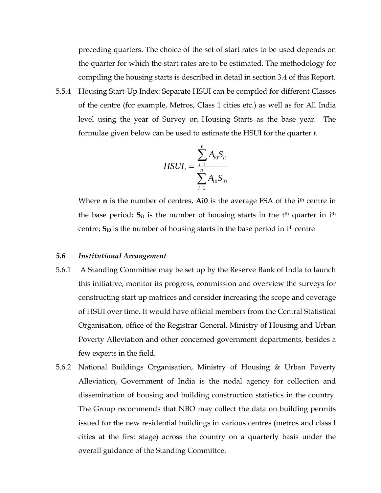preceding quarters. The choice of the set of start rates to be used depends on the quarter for which the start rates are to be estimated. The methodology for compiling the housing starts is described in detail in section 3.4 of this Report.

5.5.4 Housing Start-Up Index: Separate HSUI can be compiled for different Classes of the centre (for example, Metros, Class 1 cities etc.) as well as for All India level using the year of Survey on Housing Starts as the base year. The formulae given below can be used to estimate the HSUI for the quarter *t.*

$$
HSUI_{t} = \frac{\sum_{i=1}^{n} A_{i0} S_{it}}{\sum_{i=1}^{n} A_{i0} S_{i0}}
$$

Where **n** is the number of centres, **Ai0** is the average FSA of the ith centre in the base period;  $S_{it}$  is the number of housing starts in the  $t<sup>th</sup>$  quarter in i<sup>th</sup> centre; **Si0** is the number of housing starts in the base period in ith centre

#### *5.6 Institutional Arrangement*

- 5.6.1 A Standing Committee may be set up by the Reserve Bank of India to launch this initiative, monitor its progress, commission and overview the surveys for constructing start up matrices and consider increasing the scope and coverage of HSUI over time. It would have official members from the Central Statistical Organisation, office of the Registrar General, Ministry of Housing and Urban Poverty Alleviation and other concerned government departments, besides a few experts in the field.
- 5.6.2 National Buildings Organisation, Ministry of Housing & Urban Poverty Alleviation, Government of India is the nodal agency for collection and dissemination of housing and building construction statistics in the country. The Group recommends that NBO may collect the data on building permits issued for the new residential buildings in various centres (metros and class I cities at the first stage) across the country on a quarterly basis under the overall guidance of the Standing Committee.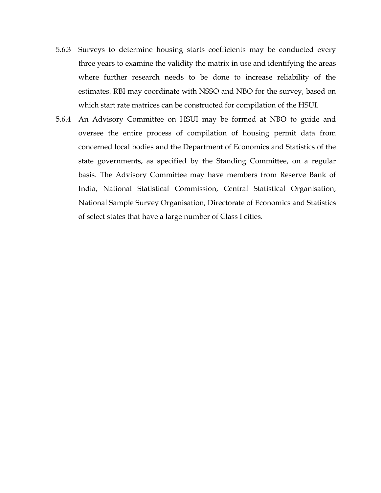- 5.6.3 Surveys to determine housing starts coefficients may be conducted every three years to examine the validity the matrix in use and identifying the areas where further research needs to be done to increase reliability of the estimates. RBI may coordinate with NSSO and NBO for the survey, based on which start rate matrices can be constructed for compilation of the HSUI.
- 5.6.4 An Advisory Committee on HSUI may be formed at NBO to guide and oversee the entire process of compilation of housing permit data from concerned local bodies and the Department of Economics and Statistics of the state governments, as specified by the Standing Committee, on a regular basis. The Advisory Committee may have members from Reserve Bank of India, National Statistical Commission, Central Statistical Organisation, National Sample Survey Organisation, Directorate of Economics and Statistics of select states that have a large number of Class I cities.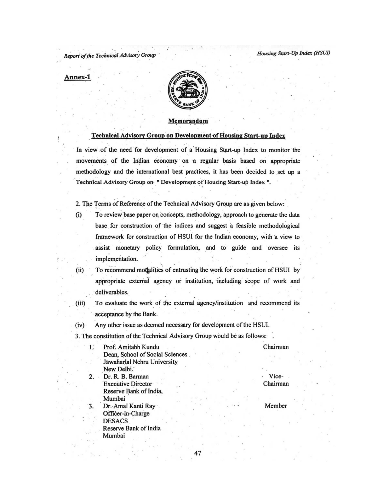Report of the Technical Advisory Group

#### Annex-1

 $(i)$ 

1.



#### Memorandum

#### **Technical Advisory Group on Development of Housing Start-up Index**

In view of the need for development of a Housing Start-up Index to monitor the movements of the Indian economy on a regular basis based on appropriate methodology and the international best practices, it has been decided to set up a Technical Advisory Group on " Development of Housing Start-up Index ".

2. The Terms of Reference of the Technical Advisory Group are as given below:

- To review base paper on concepts, methodology, approach to generate the data base for construction of the indices and suggest a feasible methodological framework for construction of HSUI for the Indian economy, with a view to assist monetary policy formulation, and to guide and oversee its implementation.
- $(ii)$ To recommend modalities of entrusting the work for construction of HSUI by appropriate external agency or institution, including scope of work and deliverables.
- To evaluate the work of the external agency/institution and recommend its  $(iii)$ acceptance by the Bank.

47

- Any other issue as deemed necessary for development of the HSUI.  $(iv)$
- 3. The constitution of the Technical Advisory Group would be as follows:

#### Chairman

Dean, School of Social Sciences Jawaharlal Nehru University New Delhi. Dr. R. B. Barman  $2.$ **Executive Director** Reserve Bank of India, Mumbai Dr. Amal Kanti Ray 3. Officer-in-Charge **DESACS** Reserve Bank of India Mumbai

Prof. Amitabh Kundu

Vice-Chairman

Member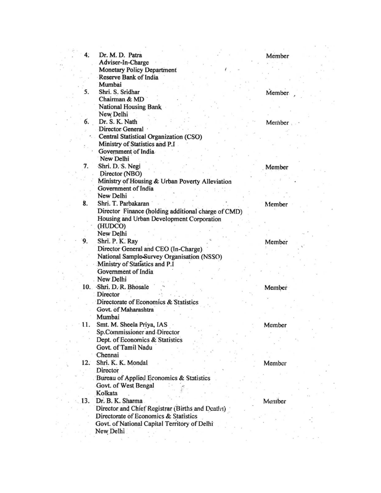| 4.  | Dr. M. D. Patra                                                        |         |  |
|-----|------------------------------------------------------------------------|---------|--|
|     | Adviser-In-Charge                                                      | Member  |  |
|     | <b>Monetary Policy Department</b>                                      |         |  |
|     | Reserve Bank of India                                                  |         |  |
|     | Mumbai                                                                 |         |  |
| 5.  | Shri. S. Sridhar                                                       |         |  |
|     | Chairman & MD                                                          | Member. |  |
|     | <b>National Housing Bank</b>                                           |         |  |
|     | New Delhi                                                              |         |  |
| 6.  | Dr. S. K. Nath                                                         |         |  |
|     | <b>Director General</b>                                                | Member  |  |
|     | Central Statistical Organization (CSO)                                 |         |  |
|     | Ministry of Statistics and P.I                                         |         |  |
|     | Government of India                                                    |         |  |
|     | New Delhi                                                              |         |  |
| 7.  | Shri. D. S. Negi                                                       |         |  |
|     | Director (NBO)                                                         | Member  |  |
|     |                                                                        |         |  |
|     | Ministry of Housing & Urban Poverty Alleviation<br>Government of India |         |  |
|     | New Delhi                                                              |         |  |
| 8.  | Shri. T. Parbakaran                                                    |         |  |
|     |                                                                        | Member  |  |
|     | Director Finance (holding additional charge of CMD)                    |         |  |
|     | Housing and Urban Development Corporation                              |         |  |
|     | (HUDCO)                                                                |         |  |
|     | New Delhi                                                              |         |  |
| 9.  | Shri. P. K. Ray                                                        | Member  |  |
|     | Director General and CEO (In-Charge)                                   |         |  |
|     | National Sample-Survey Organisation (NSSO)                             |         |  |
|     | Ministry of Statistics and P.I                                         |         |  |
|     | Government of India                                                    |         |  |
|     | New Delhi                                                              |         |  |
|     | 10. Shri, D. R. Bhosale                                                | Member  |  |
|     | Director                                                               |         |  |
|     | Directorate of Economics & Statistics                                  |         |  |
|     | Govt. of Maharashtra                                                   |         |  |
|     | Mumbai                                                                 |         |  |
| 11. | Smt. M. Sheela Priya, IAS                                              | Member  |  |
|     | Sp.Commissioner and Director                                           |         |  |
|     | Dept. of Economics & Statistics                                        |         |  |
|     | Govt. of Tamil Nadu                                                    |         |  |
|     | Chennai                                                                |         |  |
| 12. | Shri. K. K. Mondal                                                     | Member  |  |
|     | Director                                                               |         |  |
|     | Bureau of Applied Economics & Statistics                               |         |  |
|     | Govt. of West Bengal                                                   |         |  |
|     | Kolkata                                                                |         |  |
| 13. | Dr. B. K. Sharma                                                       | Member  |  |
|     | Director and Chief Registrar (Births and Deaths)                       |         |  |
|     | Directorate of Economics & Statistics                                  |         |  |
|     | Govt. of National Capital Territory of Delhi                           |         |  |
|     | New Delhi                                                              |         |  |
|     |                                                                        |         |  |
|     |                                                                        |         |  |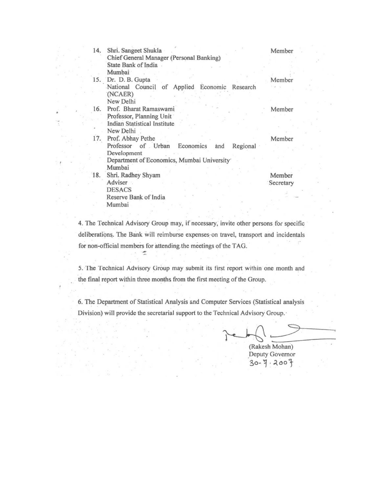| 14. | Shri. Sangeet Shukla                               | Member    |
|-----|----------------------------------------------------|-----------|
|     | Chief General Manager (Personal Banking)           |           |
|     | State Bank of India                                |           |
|     | Mumbai                                             |           |
|     | 15. Dr. D. B. Gupta                                | Member    |
|     | National Council of Applied Economic Research      |           |
|     | (NCAER)                                            |           |
|     | New Delhi                                          |           |
| 16. | Prof. Bharat Ramaswami                             | Member    |
|     | Professor, Planning Unit                           |           |
|     | Indian Statistical Institute                       |           |
|     | New Delhi                                          |           |
| 17. | Prof. Abhay Pethe                                  | Member    |
|     | Professor of Urban<br>Economics<br>Regional<br>and |           |
|     | Development                                        |           |
|     | Department of Economics, Mumbai University         |           |
|     | Mumbai                                             |           |
| 18. | Shri. Radhey Shyam                                 | Member    |
|     | Adviser                                            | Secretary |
|     | <b>DESACS</b>                                      |           |
|     | Reserve Bank of India                              |           |
|     | Mumbai                                             |           |

4. The Technical Advisory Group may, if necessary, invite other persons for specific deliberations. The Bank will reimburse expenses on travel, transport and incidentals for non-official members for attending the meetings of the TAG. ÷

5. The Technical Advisory Group may submit its first report within one month and the final report within three months from the first meeting of the Group.

6. The Department of Statistical Analysis and Computer Services (Statistical analysis Division) will provide the secretarial support to the Technical Advisory Group.

(Rakesh Mohan) Deputy Governor  $30 - 7.2007$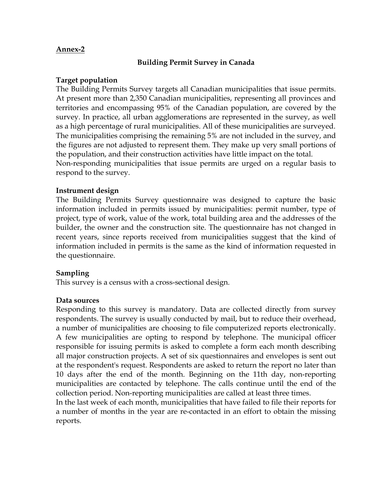#### **Annex-2**

#### **Building Permit Survey in Canada**

#### **Target population**

The Building Permits Survey targets all Canadian municipalities that issue permits. At present more than 2,350 Canadian municipalities, representing all provinces and territories and encompassing 95% of the Canadian population, are covered by the survey. In practice, all urban agglomerations are represented in the survey, as well as a high percentage of rural municipalities. All of these municipalities are surveyed. The municipalities comprising the remaining 5% are not included in the survey, and the figures are not adjusted to represent them. They make up very small portions of the population, and their construction activities have little impact on the total.

Non-responding municipalities that issue permits are urged on a regular basis to respond to the survey.

#### **Instrument design**

The Building Permits Survey questionnaire was designed to capture the basic information included in permits issued by municipalities: permit number, type of project, type of work, value of the work, total building area and the addresses of the builder, the owner and the construction site. The questionnaire has not changed in recent years, since reports received from municipalities suggest that the kind of information included in permits is the same as the kind of information requested in the questionnaire.

## **Sampling**

This survey is a census with a cross-sectional design.

#### **Data sources**

Responding to this survey is mandatory. Data are collected directly from survey respondents. The survey is usually conducted by mail, but to reduce their overhead, a number of municipalities are choosing to file computerized reports electronically. A few municipalities are opting to respond by telephone. The municipal officer responsible for issuing permits is asked to complete a form each month describing all major construction projects. A set of six questionnaires and envelopes is sent out at the respondent's request. Respondents are asked to return the report no later than 10 days after the end of the month. Beginning on the 11th day, non-reporting municipalities are contacted by telephone. The calls continue until the end of the collection period. Non-reporting municipalities are called at least three times.

In the last week of each month, municipalities that have failed to file their reports for a number of months in the year are re-contacted in an effort to obtain the missing reports.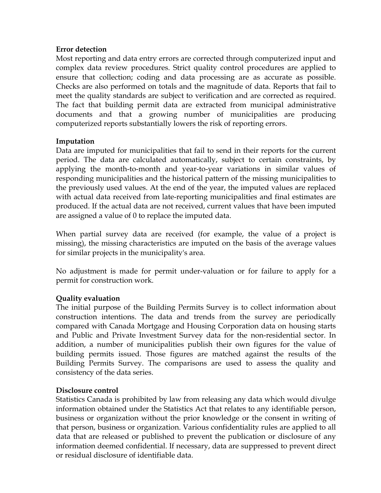## **Error detection**

Most reporting and data entry errors are corrected through computerized input and complex data review procedures. Strict quality control procedures are applied to ensure that collection; coding and data processing are as accurate as possible. Checks are also performed on totals and the magnitude of data. Reports that fail to meet the quality standards are subject to verification and are corrected as required. The fact that building permit data are extracted from municipal administrative documents and that a growing number of municipalities are producing computerized reports substantially lowers the risk of reporting errors.

## **Imputation**

Data are imputed for municipalities that fail to send in their reports for the current period. The data are calculated automatically, subject to certain constraints, by applying the month-to-month and year-to-year variations in similar values of responding municipalities and the historical pattern of the missing municipalities to the previously used values. At the end of the year, the imputed values are replaced with actual data received from late-reporting municipalities and final estimates are produced. If the actual data are not received, current values that have been imputed are assigned a value of 0 to replace the imputed data.

When partial survey data are received (for example, the value of a project is missing), the missing characteristics are imputed on the basis of the average values for similar projects in the municipality's area.

No adjustment is made for permit under-valuation or for failure to apply for a permit for construction work.

# **Quality evaluation**

The initial purpose of the Building Permits Survey is to collect information about construction intentions. The data and trends from the survey are periodically compared with Canada Mortgage and Housing Corporation data on housing starts and Public and Private Investment Survey data for the non-residential sector. In addition, a number of municipalities publish their own figures for the value of building permits issued. Those figures are matched against the results of the Building Permits Survey. The comparisons are used to assess the quality and consistency of the data series.

## **Disclosure control**

Statistics Canada is prohibited by law from releasing any data which would divulge information obtained under the Statistics Act that relates to any identifiable person, business or organization without the prior knowledge or the consent in writing of that person, business or organization. Various confidentiality rules are applied to all data that are released or published to prevent the publication or disclosure of any information deemed confidential. If necessary, data are suppressed to prevent direct or residual disclosure of identifiable data.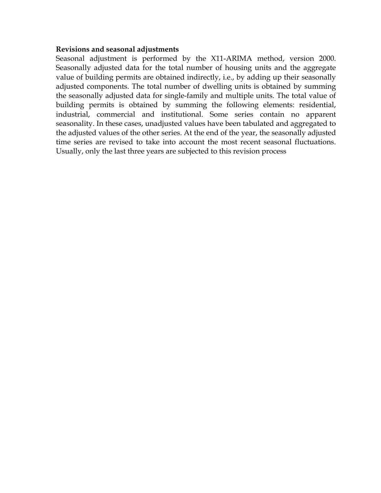#### **Revisions and seasonal adjustments**

Seasonal adjustment is performed by the X11-ARIMA method, version 2000. Seasonally adjusted data for the total number of housing units and the aggregate value of building permits are obtained indirectly, i.e., by adding up their seasonally adjusted components. The total number of dwelling units is obtained by summing the seasonally adjusted data for single-family and multiple units. The total value of building permits is obtained by summing the following elements: residential, industrial, commercial and institutional. Some series contain no apparent seasonality. In these cases, unadjusted values have been tabulated and aggregated to the adjusted values of the other series. At the end of the year, the seasonally adjusted time series are revised to take into account the most recent seasonal fluctuations. Usually, only the last three years are subjected to this revision process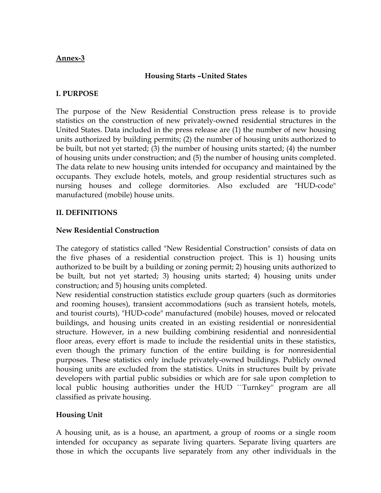## **Annex-3**

# **Housing Starts –United States**

## **I. PURPOSE**

The purpose of the New Residential Construction press release is to provide statistics on the construction of new privately-owned residential structures in the United States. Data included in the press release are (1) the number of new housing units authorized by building permits; (2) the number of housing units authorized to be built, but not yet started; (3) the number of housing units started; (4) the number of housing units under construction; and (5) the number of housing units completed. The data relate to new housing units intended for occupancy and maintained by the occupants. They exclude hotels, motels, and group residential structures such as nursing houses and college dormitories. Also excluded are "HUD-code" manufactured (mobile) house units.

## **II. DEFINITIONS**

## **New Residential Construction**

The category of statistics called "New Residential Construction" consists of data on the five phases of a residential construction project. This is 1) housing units authorized to be built by a building or zoning permit; 2) housing units authorized to be built, but not yet started; 3) housing units started; 4) housing units under construction; and 5) housing units completed.

New residential construction statistics exclude group quarters (such as dormitories and rooming houses), transient accommodations (such as transient hotels, motels, and tourist courts), "HUD-code" manufactured (mobile) houses, moved or relocated buildings, and housing units created in an existing residential or nonresidential structure. However, in a new building combining residential and nonresidential floor areas, every effort is made to include the residential units in these statistics, even though the primary function of the entire building is for nonresidential purposes. These statistics only include privately-owned buildings. Publicly owned housing units are excluded from the statistics. Units in structures built by private developers with partial public subsidies or which are for sale upon completion to local public housing authorities under the HUD ``Turnkey'' program are all classified as private housing.

# **Housing Unit**

A housing unit, as is a house, an apartment, a group of rooms or a single room intended for occupancy as separate living quarters. Separate living quarters are those in which the occupants live separately from any other individuals in the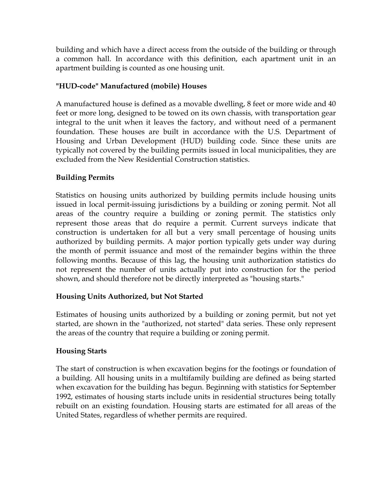building and which have a direct access from the outside of the building or through a common hall. In accordance with this definition, each apartment unit in an apartment building is counted as one housing unit.

# **"HUD-code" Manufactured (mobile) Houses**

A manufactured house is defined as a movable dwelling, 8 feet or more wide and 40 feet or more long, designed to be towed on its own chassis, with transportation gear integral to the unit when it leaves the factory, and without need of a permanent foundation. These houses are built in accordance with the U.S. Department of Housing and Urban Development (HUD) building code. Since these units are typically not covered by the building permits issued in local municipalities, they are excluded from the New Residential Construction statistics.

# **Building Permits**

Statistics on housing units authorized by building permits include housing units issued in local permit-issuing jurisdictions by a building or zoning permit. Not all areas of the country require a building or zoning permit. The statistics only represent those areas that do require a permit. Current surveys indicate that construction is undertaken for all but a very small percentage of housing units authorized by building permits. A major portion typically gets under way during the month of permit issuance and most of the remainder begins within the three following months. Because of this lag, the housing unit authorization statistics do not represent the number of units actually put into construction for the period shown, and should therefore not be directly interpreted as "housing starts."

# **Housing Units Authorized, but Not Started**

Estimates of housing units authorized by a building or zoning permit, but not yet started, are shown in the "authorized, not started" data series. These only represent the areas of the country that require a building or zoning permit.

# **Housing Starts**

The start of construction is when excavation begins for the footings or foundation of a building. All housing units in a multifamily building are defined as being started when excavation for the building has begun. Beginning with statistics for September 1992, estimates of housing starts include units in residential structures being totally rebuilt on an existing foundation. Housing starts are estimated for all areas of the United States, regardless of whether permits are required.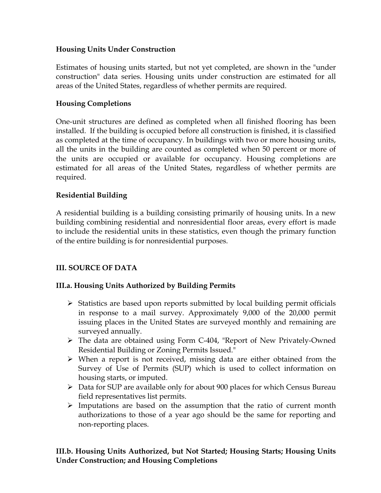# **Housing Units Under Construction**

Estimates of housing units started, but not yet completed, are shown in the "under construction" data series. Housing units under construction are estimated for all areas of the United States, regardless of whether permits are required.

## **Housing Completions**

One-unit structures are defined as completed when all finished flooring has been installed. If the building is occupied before all construction is finished, it is classified as completed at the time of occupancy. In buildings with two or more housing units, all the units in the building are counted as completed when 50 percent or more of the units are occupied or available for occupancy. Housing completions are estimated for all areas of the United States, regardless of whether permits are required.

## **Residential Building**

A residential building is a building consisting primarily of housing units. In a new building combining residential and nonresidential floor areas, every effort is made to include the residential units in these statistics, even though the primary function of the entire building is for nonresidential purposes.

# **III. SOURCE OF DATA**

# **III.a. Housing Units Authorized by Building Permits**

- $\triangleright$  Statistics are based upon reports submitted by local building permit officials in response to a mail survey. Approximately 9,000 of the 20,000 permit issuing places in the United States are surveyed monthly and remaining are surveyed annually.
- ¾ The data are obtained using Form C-404, "Report of New Privately-Owned Residential Building or Zoning Permits Issued."
- $\triangleright$  When a report is not received, missing data are either obtained from the Survey of Use of Permits (SUP) which is used to collect information on housing starts, or imputed.
- ¾ Data for SUP are available only for about 900 places for which Census Bureau field representatives list permits.
- $\triangleright$  Imputations are based on the assumption that the ratio of current month authorizations to those of a year ago should be the same for reporting and non-reporting places.

## **III.b. Housing Units Authorized, but Not Started; Housing Starts; Housing Units Under Construction; and Housing Completions**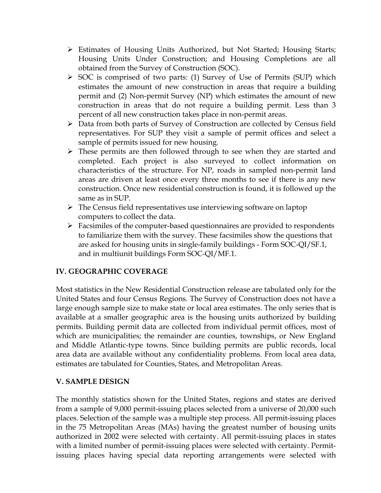- ¾ Estimates of Housing Units Authorized, but Not Started; Housing Starts; Housing Units Under Construction; and Housing Completions are all obtained from the Survey of Construction (SOC).
- $\triangleright$  SOC is comprised of two parts: (1) Survey of Use of Permits (SUP) which estimates the amount of new construction in areas that require a building permit and (2) Non-permit Survey (NP) which estimates the amount of new construction in areas that do not require a building permit. Less than 3 percent of all new construction takes place in non-permit areas.
- ¾ Data from both parts of Survey of Construction are collected by Census field representatives. For SUP they visit a sample of permit offices and select a sample of permits issued for new housing.
- $\triangleright$  These permits are then followed through to see when they are started and completed. Each project is also surveyed to collect information on characteristics of the structure. For NP, roads in sampled non-permit land areas are driven at least once every three months to see if there is any new construction. Once new residential construction is found, it is followed up the same as in SUP.
- $\triangleright$  The Census field representatives use interviewing software on laptop computers to collect the data.
- $\triangleright$  Facsimiles of the computer-based questionnaires are provided to respondents to familiarize them with the survey. These facsimiles show the questions that are asked for housing units in single-family buildings - Form SOC-QI/SF.1, and in multiunit buildings Form SOC-QI/MF.1.

# **IV. GEOGRAPHIC COVERAGE**

Most statistics in the New Residential Construction release are tabulated only for the United States and four Census Regions. The Survey of Construction does not have a large enough sample size to make state or local area estimates. The only series that is available at a smaller geographic area is the housing units authorized by building permits. Building permit data are collected from individual permit offices, most of which are municipalities; the remainder are counties, townships, or New England and Middle Atlantic-type towns. Since building permits are public records, local area data are available without any confidentiality problems. From local area data, estimates are tabulated for Counties, States, and Metropolitan Areas.

# **V. SAMPLE DESIGN**

The monthly statistics shown for the United States, regions and states are derived from a sample of 9,000 permit-issuing places selected from a universe of 20,000 such places. Selection of the sample was a multiple step process. All permit-issuing places in the 75 Metropolitan Areas (MAs) having the greatest number of housing units authorized in 2002 were selected with certainty. All permit-issuing places in states with a limited number of permit-issuing places were selected with certainty. Permitissuing places having special data reporting arrangements were selected with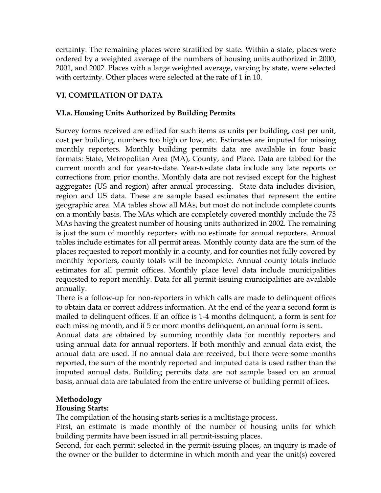certainty. The remaining places were stratified by state. Within a state, places were ordered by a weighted average of the numbers of housing units authorized in 2000, 2001, and 2002. Places with a large weighted average, varying by state, were selected with certainty. Other places were selected at the rate of 1 in 10.

# **VI. COMPILATION OF DATA**

## **VI.a. Housing Units Authorized by Building Permits**

Survey forms received are edited for such items as units per building, cost per unit, cost per building, numbers too high or low, etc. Estimates are imputed for missing monthly reporters. Monthly building permits data are available in four basic formats: State, Metropolitan Area (MA), County, and Place. Data are tabbed for the current month and for year-to-date. Year-to-date data include any late reports or corrections from prior months. Monthly data are not revised except for the highest aggregates (US and region) after annual processing. State data includes division, region and US data. These are sample based estimates that represent the entire geographic area. MA tables show all MAs, but most do not include complete counts on a monthly basis. The MAs which are completely covered monthly include the 75 MAs having the greatest number of housing units authorized in 2002. The remaining is just the sum of monthly reporters with no estimate for annual reporters. Annual tables include estimates for all permit areas. Monthly county data are the sum of the places requested to report monthly in a county, and for counties not fully covered by monthly reporters, county totals will be incomplete. Annual county totals include estimates for all permit offices. Monthly place level data include municipalities requested to report monthly. Data for all permit-issuing municipalities are available annually.

There is a follow-up for non-reporters in which calls are made to delinquent offices to obtain data or correct address information. At the end of the year a second form is mailed to delinquent offices. If an office is 1-4 months delinquent, a form is sent for each missing month, and if 5 or more months delinquent, an annual form is sent.

Annual data are obtained by summing monthly data for monthly reporters and using annual data for annual reporters. If both monthly and annual data exist, the annual data are used. If no annual data are received, but there were some months reported, the sum of the monthly reported and imputed data is used rather than the imputed annual data. Building permits data are not sample based on an annual basis, annual data are tabulated from the entire universe of building permit offices.

# **Methodology**

## **Housing Starts:**

The compilation of the housing starts series is a multistage process.

First, an estimate is made monthly of the number of housing units for which building permits have been issued in all permit-issuing places.

Second, for each permit selected in the permit-issuing places, an inquiry is made of the owner or the builder to determine in which month and year the unit(s) covered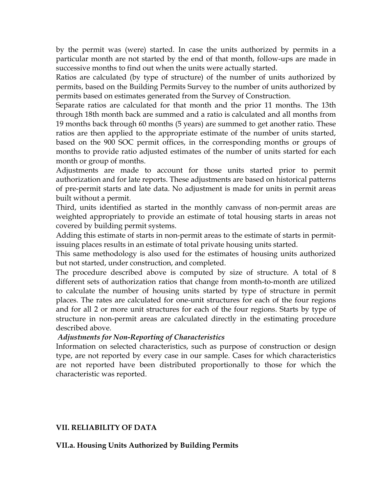by the permit was (were) started. In case the units authorized by permits in a particular month are not started by the end of that month, follow-ups are made in successive months to find out when the units were actually started.

Ratios are calculated (by type of structure) of the number of units authorized by permits, based on the Building Permits Survey to the number of units authorized by permits based on estimates generated from the Survey of Construction.

Separate ratios are calculated for that month and the prior 11 months. The 13th through 18th month back are summed and a ratio is calculated and all months from 19 months back through 60 months (5 years) are summed to get another ratio. These ratios are then applied to the appropriate estimate of the number of units started, based on the 900 SOC permit offices, in the corresponding months or groups of months to provide ratio adjusted estimates of the number of units started for each month or group of months.

Adjustments are made to account for those units started prior to permit authorization and for late reports. These adjustments are based on historical patterns of pre-permit starts and late data. No adjustment is made for units in permit areas built without a permit.

Third, units identified as started in the monthly canvass of non-permit areas are weighted appropriately to provide an estimate of total housing starts in areas not covered by building permit systems.

Adding this estimate of starts in non-permit areas to the estimate of starts in permitissuing places results in an estimate of total private housing units started.

This same methodology is also used for the estimates of housing units authorized but not started, under construction, and completed.

The procedure described above is computed by size of structure. A total of 8 different sets of authorization ratios that change from month-to-month are utilized to calculate the number of housing units started by type of structure in permit places. The rates are calculated for one-unit structures for each of the four regions and for all 2 or more unit structures for each of the four regions. Starts by type of structure in non-permit areas are calculated directly in the estimating procedure described above.

# *Adjustments for Non-Reporting of Characteristics*

Information on selected characteristics, such as purpose of construction or design type, are not reported by every case in our sample. Cases for which characteristics are not reported have been distributed proportionally to those for which the characteristic was reported.

# **VII. RELIABILITY OF DATA**

## **VII.a. Housing Units Authorized by Building Permits**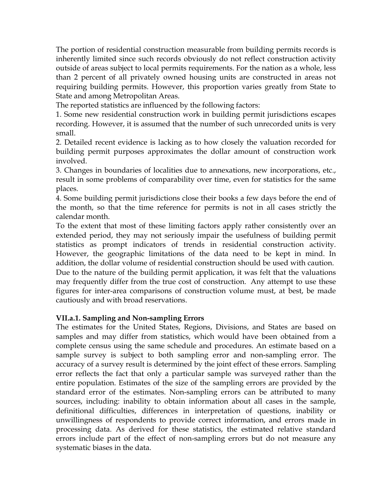The portion of residential construction measurable from building permits records is inherently limited since such records obviously do not reflect construction activity outside of areas subject to local permits requirements. For the nation as a whole, less than 2 percent of all privately owned housing units are constructed in areas not requiring building permits. However, this proportion varies greatly from State to State and among Metropolitan Areas.

The reported statistics are influenced by the following factors:

1. Some new residential construction work in building permit jurisdictions escapes recording. However, it is assumed that the number of such unrecorded units is very small.

2. Detailed recent evidence is lacking as to how closely the valuation recorded for building permit purposes approximates the dollar amount of construction work involved.

3. Changes in boundaries of localities due to annexations, new incorporations, etc., result in some problems of comparability over time, even for statistics for the same places.

4. Some building permit jurisdictions close their books a few days before the end of the month, so that the time reference for permits is not in all cases strictly the calendar month.

To the extent that most of these limiting factors apply rather consistently over an extended period, they may not seriously impair the usefulness of building permit statistics as prompt indicators of trends in residential construction activity. However, the geographic limitations of the data need to be kept in mind. In addition, the dollar volume of residential construction should be used with caution. Due to the nature of the building permit application, it was felt that the valuations may frequently differ from the true cost of construction. Any attempt to use these figures for inter-area comparisons of construction volume must, at best, be made cautiously and with broad reservations.

## **VII.a.1. Sampling and Non-sampling Errors**

The estimates for the United States, Regions, Divisions, and States are based on samples and may differ from statistics, which would have been obtained from a complete census using the same schedule and procedures. An estimate based on a sample survey is subject to both sampling error and non-sampling error. The accuracy of a survey result is determined by the joint effect of these errors. Sampling error reflects the fact that only a particular sample was surveyed rather than the entire population. Estimates of the size of the sampling errors are provided by the standard error of the estimates. Non-sampling errors can be attributed to many sources, including: inability to obtain information about all cases in the sample, definitional difficulties, differences in interpretation of questions, inability or unwillingness of respondents to provide correct information, and errors made in processing data. As derived for these statistics, the estimated relative standard errors include part of the effect of non-sampling errors but do not measure any systematic biases in the data.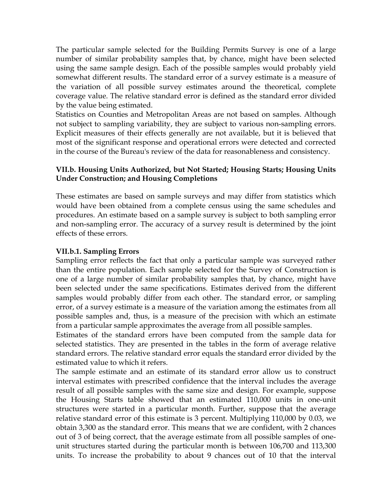The particular sample selected for the Building Permits Survey is one of a large number of similar probability samples that, by chance, might have been selected using the same sample design. Each of the possible samples would probably yield somewhat different results. The standard error of a survey estimate is a measure of the variation of all possible survey estimates around the theoretical, complete coverage value. The relative standard error is defined as the standard error divided by the value being estimated.

Statistics on Counties and Metropolitan Areas are not based on samples. Although not subject to sampling variability, they are subject to various non-sampling errors. Explicit measures of their effects generally are not available, but it is believed that most of the significant response and operational errors were detected and corrected in the course of the Bureau's review of the data for reasonableness and consistency.

# **VII.b. Housing Units Authorized, but Not Started; Housing Starts; Housing Units Under Construction; and Housing Completions**

These estimates are based on sample surveys and may differ from statistics which would have been obtained from a complete census using the same schedules and procedures. An estimate based on a sample survey is subject to both sampling error and non-sampling error. The accuracy of a survey result is determined by the joint effects of these errors.

## **VII.b.1. Sampling Errors**

Sampling error reflects the fact that only a particular sample was surveyed rather than the entire population. Each sample selected for the Survey of Construction is one of a large number of similar probability samples that, by chance, might have been selected under the same specifications. Estimates derived from the different samples would probably differ from each other. The standard error, or sampling error, of a survey estimate is a measure of the variation among the estimates from all possible samples and, thus, is a measure of the precision with which an estimate from a particular sample approximates the average from all possible samples.

Estimates of the standard errors have been computed from the sample data for selected statistics. They are presented in the tables in the form of average relative standard errors. The relative standard error equals the standard error divided by the estimated value to which it refers.

The sample estimate and an estimate of its standard error allow us to construct interval estimates with prescribed confidence that the interval includes the average result of all possible samples with the same size and design. For example, suppose the Housing Starts table showed that an estimated 110,000 units in one-unit structures were started in a particular month. Further, suppose that the average relative standard error of this estimate is 3 percent. Multiplying 110,000 by 0.03, we obtain 3,300 as the standard error. This means that we are confident, with 2 chances out of 3 of being correct, that the average estimate from all possible samples of oneunit structures started during the particular month is between 106,700 and 113,300 units. To increase the probability to about 9 chances out of 10 that the interval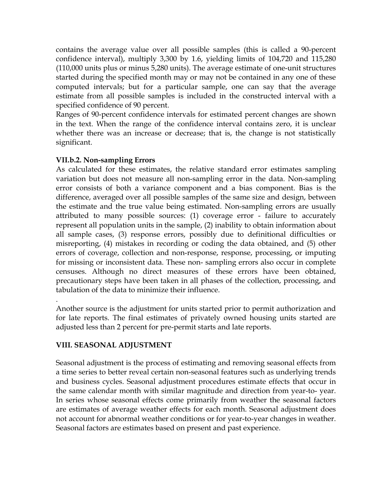contains the average value over all possible samples (this is called a 90-percent confidence interval), multiply 3,300 by 1.6, yielding limits of 104,720 and 115,280 (110,000 units plus or minus 5,280 units). The average estimate of one-unit structures started during the specified month may or may not be contained in any one of these computed intervals; but for a particular sample, one can say that the average estimate from all possible samples is included in the constructed interval with a specified confidence of 90 percent.

Ranges of 90-percent confidence intervals for estimated percent changes are shown in the text. When the range of the confidence interval contains zero, it is unclear whether there was an increase or decrease; that is, the change is not statistically significant.

## **VII.b.2. Non-sampling Errors**

As calculated for these estimates, the relative standard error estimates sampling variation but does not measure all non-sampling error in the data. Non-sampling error consists of both a variance component and a bias component. Bias is the difference, averaged over all possible samples of the same size and design, between the estimate and the true value being estimated. Non-sampling errors are usually attributed to many possible sources: (1) coverage error - failure to accurately represent all population units in the sample, (2) inability to obtain information about all sample cases, (3) response errors, possibly due to definitional difficulties or misreporting, (4) mistakes in recording or coding the data obtained, and (5) other errors of coverage, collection and non-response, response, processing, or imputing for missing or inconsistent data. These non- sampling errors also occur in complete censuses. Although no direct measures of these errors have been obtained, precautionary steps have been taken in all phases of the collection, processing, and tabulation of the data to minimize their influence.

Another source is the adjustment for units started prior to permit authorization and for late reports. The final estimates of privately owned housing units started are adjusted less than 2 percent for pre-permit starts and late reports.

# **VIII. SEASONAL ADJUSTMENT**

.

Seasonal adjustment is the process of estimating and removing seasonal effects from a time series to better reveal certain non-seasonal features such as underlying trends and business cycles. Seasonal adjustment procedures estimate effects that occur in the same calendar month with similar magnitude and direction from year-to- year. In series whose seasonal effects come primarily from weather the seasonal factors are estimates of average weather effects for each month. Seasonal adjustment does not account for abnormal weather conditions or for year-to-year changes in weather. Seasonal factors are estimates based on present and past experience.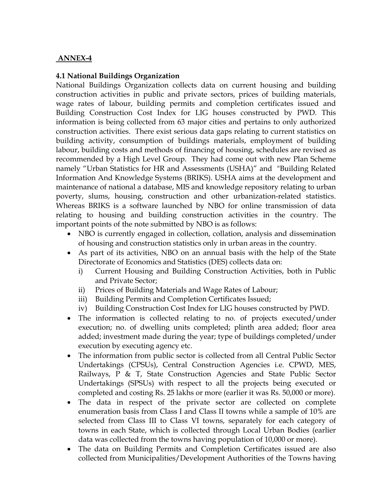# **ANNEX-4**

## **4.1 National Buildings Organization**

National Buildings Organization collects data on current housing and building construction activities in public and private sectors, prices of building materials, wage rates of labour, building permits and completion certificates issued and Building Construction Cost Index for LIG houses constructed by PWD. This information is being collected from 63 major cities and pertains to only authorized construction activities. There exist serious data gaps relating to current statistics on building activity, consumption of buildings materials, employment of building labour, building costs and methods of financing of housing, schedules are revised as recommended by a High Level Group. They had come out with new Plan Scheme namely "Urban Statistics for HR and Assessments (USHA)" and "Building Related Information And Knowledge Systems (BRIKS). USHA aims at the development and maintenance of national a database, MIS and knowledge repository relating to urban poverty, slums, housing, construction and other urbanization-related statistics. Whereas BRIKS is a software launched by NBO for online transmission of data relating to housing and building construction activities in the country. The important points of the note submitted by NBO is as follows:

- NBO is currently engaged in collection, collation, analysis and dissemination of housing and construction statistics only in urban areas in the country.
- As part of its activities, NBO on an annual basis with the help of the State Directorate of Economics and Statistics (DES) collects data on:
	- i) Current Housing and Building Construction Activities, both in Public and Private Sector;
	- ii) Prices of Building Materials and Wage Rates of Labour;
	- iii) Building Permits and Completion Certificates Issued;
	- iv) Building Construction Cost Index for LIG houses constructed by PWD.
- The information is collected relating to no. of projects executed/under execution; no. of dwelling units completed; plinth area added; floor area added; investment made during the year; type of buildings completed/under execution by executing agency etc.
- The information from public sector is collected from all Central Public Sector Undertakings (CPSUs), Central Construction Agencies i.e. CPWD, MES, Railways, P & T, State Construction Agencies and State Public Sector Undertakings (SPSUs) with respect to all the projects being executed or completed and costing Rs. 25 lakhs or more (earlier it was Rs. 50,000 or more).
- The data in respect of the private sector are collected on complete enumeration basis from Class I and Class II towns while a sample of 10% are selected from Class III to Class VI towns, separately for each category of towns in each State, which is collected through Local Urban Bodies (earlier data was collected from the towns having population of 10,000 or more).
- The data on Building Permits and Completion Certificates issued are also collected from Municipalities/Development Authorities of the Towns having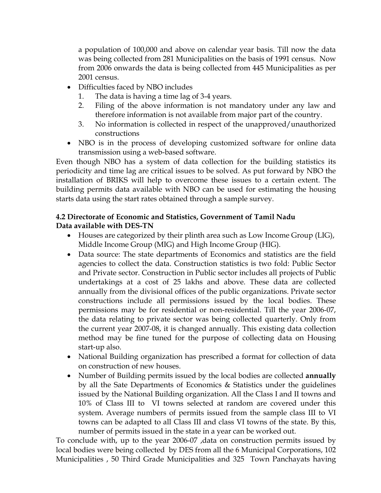a population of 100,000 and above on calendar year basis. Till now the data was being collected from 281 Municipalities on the basis of 1991 census. Now from 2006 onwards the data is being collected from 445 Municipalities as per 2001 census.

- Difficulties faced by NBO includes
	- 1. The data is having a time lag of 3-4 years.
	- 2. Filing of the above information is not mandatory under any law and therefore information is not available from major part of the country.
	- 3. No information is collected in respect of the unapproved/unauthorized constructions
- NBO is in the process of developing customized software for online data transmission using a web-based software.

Even though NBO has a system of data collection for the building statistics its periodicity and time lag are critical issues to be solved. As put forward by NBO the installation of BRIKS will help to overcome these issues to a certain extent. The building permits data available with NBO can be used for estimating the housing starts data using the start rates obtained through a sample survey.

# **4.2 Directorate of Economic and Statistics, Government of Tamil Nadu Data available with DES-TN**

- Houses are categorized by their plinth area such as Low Income Group (LIG), Middle Income Group (MIG) and High Income Group (HIG).
- Data source: The state departments of Economics and statistics are the field agencies to collect the data. Construction statistics is two fold: Public Sector and Private sector. Construction in Public sector includes all projects of Public undertakings at a cost of 25 lakhs and above. These data are collected annually from the divisional offices of the public organizations. Private sector constructions include all permissions issued by the local bodies. These permissions may be for residential or non-residential. Till the year 2006-07, the data relating to private sector was being collected quarterly. Only from the current year 2007-08, it is changed annually. This existing data collection method may be fine tuned for the purpose of collecting data on Housing start-up also.
- National Building organization has prescribed a format for collection of data on construction of new houses.
- Number of Building permits issued by the local bodies are collected **annually**  by all the Sate Departments of Economics & Statistics under the guidelines issued by the National Building organization. All the Class I and II towns and 10% of Class III to VI towns selected at random are covered under this system. Average numbers of permits issued from the sample class III to VI towns can be adapted to all Class III and class VI towns of the state. By this, number of permits issued in the state in a year can be worked out.

To conclude with, up to the year 2006-07 ,data on construction permits issued by local bodies were being collected by DES from all the 6 Municipal Corporations, 102 Municipalities , 50 Third Grade Municipalities and 325 Town Panchayats having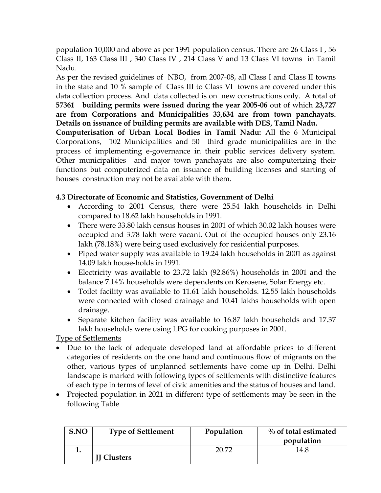population 10,000 and above as per 1991 population census. There are 26 Class I , 56 Class II, 163 Class III , 340 Class IV , 214 Class V and 13 Class VI towns in Tamil Nadu.

As per the revised guidelines of NBO, from 2007-08, all Class I and Class II towns in the state and 10 % sample of Class III to Class VI towns are covered under this data collection process. And data collected is on new constructions only. A total of **57361 building permits were issued during the year 2005-06** out of which **23,727 are from Corporations and Municipalities 33,634 are from town panchayats. Details on issuance of building permits are available with DES, Tamil Nadu.** 

**Computerisation of Urban Local Bodies in Tamil Nadu:** All the 6 Municipal Corporations, 102 Municipalities and 50 third grade municipalities are in the process of implementing e-governance in their public services delivery system. Other municipalities and major town panchayats are also computerizing their functions but computerized data on issuance of building licenses and starting of houses construction may not be available with them.

# **4.3 Directorate of Economic and Statistics, Government of Delhi**

- According to 2001 Census, there were 25.54 lakh households in Delhi compared to 18.62 lakh households in 1991.
- There were 33.80 lakh census houses in 2001 of which 30.02 lakh houses were occupied and 3.78 lakh were vacant. Out of the occupied houses only 23.16 lakh (78.18%) were being used exclusively for residential purposes.
- Piped water supply was available to 19.24 lakh households in 2001 as against 14.09 lakh house-holds in 1991.
- Electricity was available to 23.72 lakh (92.86%) households in 2001 and the balance 7.14% households were dependents on Kerosene, Solar Energy etc.
- Toilet facility was available to 11.61 lakh households. 12.55 lakh households were connected with closed drainage and 10.41 lakhs households with open drainage.
- Separate kitchen facility was available to 16.87 lakh households and 17.37 lakh households were using LPG for cooking purposes in 2001.

Type of Settlements

- Due to the lack of adequate developed land at affordable prices to different categories of residents on the one hand and continuous flow of migrants on the other, various types of unplanned settlements have come up in Delhi. Delhi landscape is marked with following types of settlements with distinctive features of each type in terms of level of civic amenities and the status of houses and land.
- Projected population in 2021 in different type of settlements may be seen in the following Table

| S.NO | <b>Type of Settlement</b> | Population | $\%$ of total estimated<br>population |
|------|---------------------------|------------|---------------------------------------|
| . .  | <b>II Clusters</b>        | רד חר      | 14.8                                  |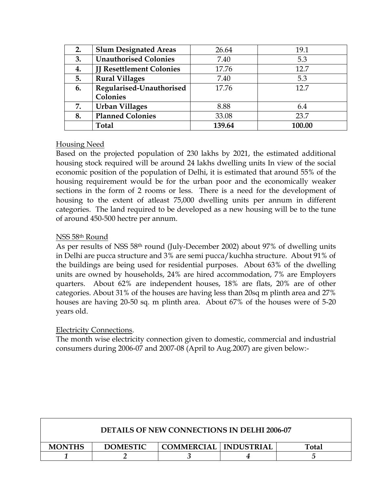| 2. | <b>Slum Designated Areas</b>    | 26.64  | 19.1   |
|----|---------------------------------|--------|--------|
| 3. | <b>Unauthorised Colonies</b>    | 7.40   | 5.3    |
| 4. | <b>II Resettlement Colonies</b> | 17.76  | 12.7   |
| 5. | <b>Rural Villages</b>           | 7.40   | 5.3    |
| 6. | Regularised-Unauthorised        | 17.76  | 12.7   |
|    | Colonies                        |        |        |
| 7. | <b>Urban Villages</b>           | 8.88   | 6.4    |
| 8. | <b>Planned Colonies</b>         | 33.08  | 23.7   |
|    | <b>Total</b>                    | 139.64 | 100.00 |

# Housing Need

Based on the projected population of 230 lakhs by 2021, the estimated additional housing stock required will be around 24 lakhs dwelling units In view of the social economic position of the population of Delhi, it is estimated that around 55% of the housing requirement would be for the urban poor and the economically weaker sections in the form of 2 rooms or less. There is a need for the development of housing to the extent of atleast 75,000 dwelling units per annum in different categories. The land required to be developed as a new housing will be to the tune of around 450-500 hectre per annum.

# NSS 58th Round

As per results of NSS 58th round (July-December 2002) about 97% of dwelling units in Delhi are pucca structure and 3% are semi pucca/kuchha structure. About 91% of the buildings are being used for residential purposes. About 63% of the dwelling units are owned by households, 24% are hired accommodation, 7% are Employers quarters. About 62% are independent houses, 18% are flats, 20% are of other categories. About 31% of the houses are having less than 20sq m plinth area and 27% houses are having 20-50 sq. m plinth area. About 67% of the houses were of 5-20 years old.

# Electricity Connections.

 $\Gamma$ 

The month wise electricity connection given to domestic, commercial and industrial consumers during 2006-07 and 2007-08 (April to Aug.2007) are given below:-

| <b>DETAILS OF NEW CONNECTIONS IN DELHI 2006-07</b>                                 |  |  |  |  |
|------------------------------------------------------------------------------------|--|--|--|--|
| <b>DOMESTIC</b><br><b>COMMERCIAL   INDUSTRIAL</b><br><b>MONTHS</b><br><b>Total</b> |  |  |  |  |
|                                                                                    |  |  |  |  |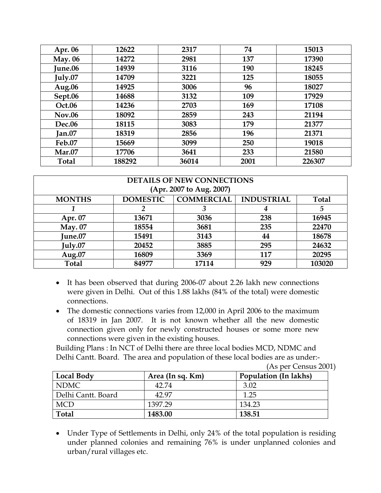| Apr. 06        | 12622  | 2317  | 74   | 15013  |
|----------------|--------|-------|------|--------|
| <b>May. 06</b> | 14272  | 2981  | 137  | 17390  |
| June.06        | 14939  | 3116  | 190  | 18245  |
| July.07        | 14709  | 3221  | 125  | 18055  |
| Aug.06         | 14925  | 3006  | 96   | 18027  |
| Sept.06        | 14688  | 3132  | 109  | 17929  |
| Oct.06         | 14236  | 2703  | 169  | 17108  |
| <b>Nov.06</b>  | 18092  | 2859  | 243  | 21194  |
| <b>Dec.06</b>  | 18115  | 3083  | 179  | 21377  |
| Jan.07         | 18319  | 2856  | 196  | 21371  |
| Feb.07         | 15669  | 3099  | 250  | 19018  |
| <b>Mar.07</b>  | 17706  | 3641  | 233  | 21580  |
| <b>Total</b>   | 188292 | 36014 | 2001 | 226307 |

| <b>DETAILS OF NEW CONNECTIONS</b><br>(Apr. 2007 to Aug. 2007) |                 |                   |                   |              |
|---------------------------------------------------------------|-----------------|-------------------|-------------------|--------------|
| <b>MONTHS</b>                                                 | <b>DOMESTIC</b> | <b>COMMERCIAL</b> | <b>INDUSTRIAL</b> | <b>Total</b> |
|                                                               |                 |                   | 4                 | 5            |
| Apr. 07                                                       | 13671           | 3036              | 238               | 16945        |
| <b>May.</b> 07                                                | 18554           | 3681              | 235               | 22470        |
| <b>June.07</b>                                                | 15491           | 3143              | 44                | 18678        |
| July.07                                                       | 20452           | 3885              | 295               | 24632        |
| Aug. $07$                                                     | 16809           | 3369              | 117               | 20295        |
| <b>Total</b>                                                  | 84977           | 17114             | 929               | 103020       |

- It has been observed that during 2006-07 about 2.26 lakh new connections were given in Delhi. Out of this 1.88 lakhs (84% of the total) were domestic connections.
- The domestic connections varies from 12,000 in April 2006 to the maximum of 18319 in Jan 2007. It is not known whether all the new domestic connection given only for newly constructed houses or some more new connections were given in the existing houses.

Building Plans : In NCT of Delhi there are three local bodies MCD, NDMC and Delhi Cantt. Board. The area and population of these local bodies are as under:-

(As per Census 2001)

| Local Body         | Area (In sq. Km) | <b>Population (In lakhs)</b> |
|--------------------|------------------|------------------------------|
| NDMC <b>N</b>      | 42.74            | 3.02                         |
| Delhi Cantt. Board | 42.97            | 1.25                         |
| <b>MCD</b>         | 1397.29          | 134.23                       |
| <b>Total</b>       | 1483.00          | 138.51                       |

• Under Type of Settlements in Delhi, only 24% of the total population is residing under planned colonies and remaining 76% is under unplanned colonies and urban/rural villages etc.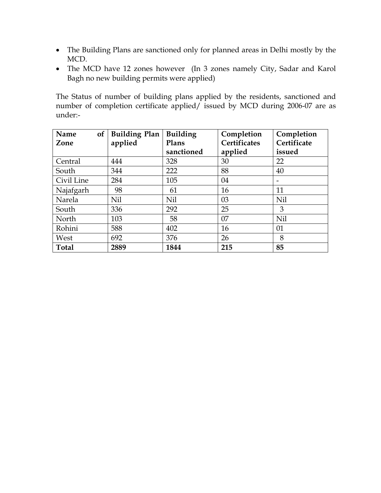- The Building Plans are sanctioned only for planned areas in Delhi mostly by the MCD.
- The MCD have 12 zones however (In 3 zones namely City, Sadar and Karol Bagh no new building permits were applied)

The Status of number of building plans applied by the residents, sanctioned and number of completion certificate applied/ issued by MCD during 2006-07 are as under:-

| of<br>Name | <b>Building Plan</b> | <b>Building</b> | Completion          | Completion  |
|------------|----------------------|-----------------|---------------------|-------------|
| Zone       | applied              | Plans           | <b>Certificates</b> | Certificate |
|            |                      | sanctioned      | applied             | issued      |
| Central    | 444                  | 328             | 30                  | 22          |
| South      | 344                  | 222             | 88                  | 40          |
| Civil Line | 284                  | 105             | 04                  |             |
| Najafgarh  | 98                   | 61              | 16                  | 11          |
| Narela     | Nil                  | Nil             | 03                  | Nil         |
| South      | 336                  | 292             | 25                  | 3           |
| North      | 103                  | 58              | 07                  | Nil         |
| Rohini     | 588                  | 402             | 16                  | 01          |
| West       | 692                  | 376             | 26                  | 8           |
| Total      | 2889                 | 1844            | 215                 | 85          |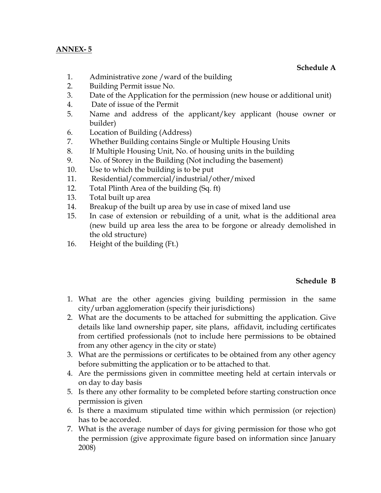#### **ANNEX- 5**

#### **Schedule A**

- 1. Administrative zone /ward of the building
- 2. Building Permit issue No.
- 3. Date of the Application for the permission (new house or additional unit)
- 4. Date of issue of the Permit
- 5. Name and address of the applicant/key applicant (house owner or builder)
- 6. Location of Building (Address)
- 7. Whether Building contains Single or Multiple Housing Units
- 8. If Multiple Housing Unit, No. of housing units in the building
- 9. No. of Storey in the Building (Not including the basement)
- 10. Use to which the building is to be put
- 11. Residential/commercial/industrial/other/mixed
- 12. Total Plinth Area of the building (Sq. ft)
- 13. Total built up area
- 14. Breakup of the built up area by use in case of mixed land use
- 15. In case of extension or rebuilding of a unit, what is the additional area (new build up area less the area to be forgone or already demolished in the old structure)
- 16. Height of the building (Ft.)

#### **Schedule B**

- 1. What are the other agencies giving building permission in the same city/urban agglomeration (specify their jurisdictions)
- 2. What are the documents to be attached for submitting the application. Give details like land ownership paper, site plans, affidavit, including certificates from certified professionals (not to include here permissions to be obtained from any other agency in the city or state)
- 3. What are the permissions or certificates to be obtained from any other agency before submitting the application or to be attached to that.
- 4. Are the permissions given in committee meeting held at certain intervals or on day to day basis
- 5. Is there any other formality to be completed before starting construction once permission is given
- 6. Is there a maximum stipulated time within which permission (or rejection) has to be accorded.
- 7. What is the average number of days for giving permission for those who got the permission (give approximate figure based on information since January 2008)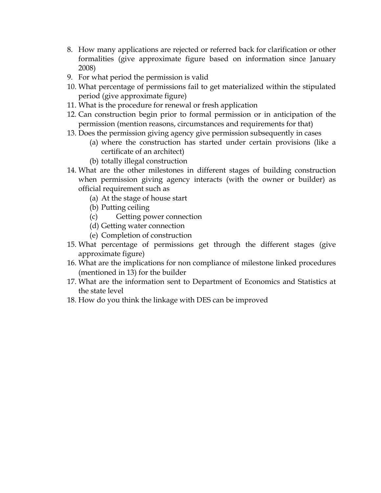- 8. How many applications are rejected or referred back for clarification or other formalities (give approximate figure based on information since January 2008)
- 9. For what period the permission is valid
- 10. What percentage of permissions fail to get materialized within the stipulated period (give approximate figure)
- 11. What is the procedure for renewal or fresh application
- 12. Can construction begin prior to formal permission or in anticipation of the permission (mention reasons, circumstances and requirements for that)
- 13. Does the permission giving agency give permission subsequently in cases
	- (a) where the construction has started under certain provisions (like a certificate of an architect)
	- (b) totally illegal construction
- 14. What are the other milestones in different stages of building construction when permission giving agency interacts (with the owner or builder) as official requirement such as
	- (a) At the stage of house start
	- (b) Putting ceiling
	- (c) Getting power connection
	- (d) Getting water connection
	- (e) Completion of construction
- 15. What percentage of permissions get through the different stages (give approximate figure)
- 16. What are the implications for non compliance of milestone linked procedures (mentioned in 13) for the builder
- 17. What are the information sent to Department of Economics and Statistics at the state level
- 18. How do you think the linkage with DES can be improved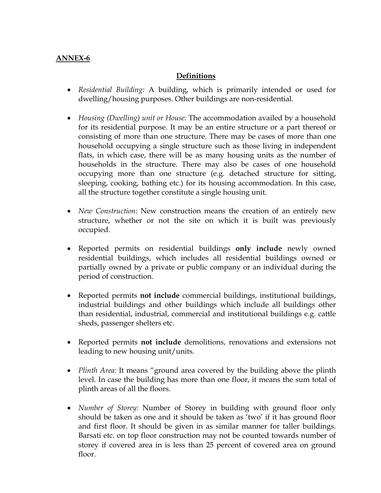# **ANNEX-6**

# **Definitions**

- *Residential Building:* A building, which is primarily intended or used for dwelling/housing purposes. Other buildings are non-residential.
- *Housing (Dwelling) unit or House:* The accommodation availed by a household for its residential purpose. It may be an entire structure or a part thereof or consisting of more than one structure. There may be cases of more than one household occupying a single structure such as those living in independent flats, in which case, there will be as many housing units as the number of households in the structure. There may also be cases of one household occupying more than one structure (e.g. detached structure for sitting, sleeping, cooking, bathing etc.) for its housing accommodation. In this case, all the structure together constitute a single housing unit.
- *New Construction:* New construction means the creation of an entirely new structure, whether or not the site on which it is built was previously occupied.
- Reported permits on residential buildings **only include** newly owned residential buildings, which includes all residential buildings owned or partially owned by a private or public company or an individual during the period of construction.
- Reported permits **not include** commercial buildings, institutional buildings, industrial buildings and other buildings which include all buildings other than residential, industrial, commercial and institutional buildings e.g. cattle sheds, passenger shelters etc.
- Reported permits **not include** demolitions, renovations and extensions not leading to new housing unit/units.
- *Plinth Area:* It means "ground area covered by the building above the plinth level. In case the building has more than one floor, it means the sum total of plinth areas of all the floors.
- *Number of Storey:* Number of Storey in building with ground floor only should be taken as one and it should be taken as 'two' if it has ground floor and first floor. It should be given in as similar manner for taller buildings. Barsati etc. on top floor construction may not be counted towards number of storey if covered area in is less than 25 percent of covered area on ground floor.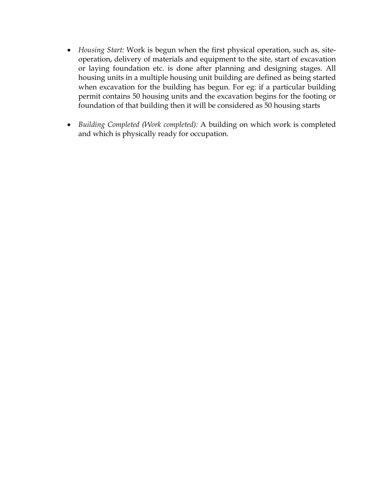- *Housing Start:* Work is begun when the first physical operation, such as, siteoperation, delivery of materials and equipment to the site, start of excavation or laying foundation etc. is done after planning and designing stages. All housing units in a multiple housing unit building are defined as being started when excavation for the building has begun. For eg: if a particular building permit contains 50 housing units and the excavation begins for the footing or foundation of that building then it will be considered as 50 housing starts
- *Building Completed (Work completed):* A building on which work is completed and which is physically ready for occupation.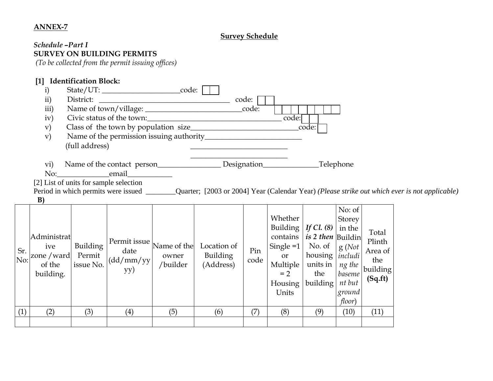#### **ANNEX-7**

# **Survey Schedule**

#### *Schedule –Part I*  **SURVEY ON BUILDING PERMITS**

 *(To be collected from the permit issuing offices)* 

|            | $[1]$                                                    | <b>Identification Block:</b>           |                                                                           |                   |                                                                                                                     |             |                                                                                                        |                                                                                                 |                                                                                        |                                                          |                                                                                                                                             |
|------------|----------------------------------------------------------|----------------------------------------|---------------------------------------------------------------------------|-------------------|---------------------------------------------------------------------------------------------------------------------|-------------|--------------------------------------------------------------------------------------------------------|-------------------------------------------------------------------------------------------------|----------------------------------------------------------------------------------------|----------------------------------------------------------|---------------------------------------------------------------------------------------------------------------------------------------------|
|            | $\mathbf{i}$                                             |                                        | State/UT: __________________________code:                                 |                   |                                                                                                                     |             |                                                                                                        |                                                                                                 |                                                                                        |                                                          |                                                                                                                                             |
|            | ii)                                                      | District:                              |                                                                           |                   |                                                                                                                     | code:       |                                                                                                        |                                                                                                 |                                                                                        |                                                          |                                                                                                                                             |
|            | iii)                                                     |                                        |                                                                           |                   |                                                                                                                     | code:       |                                                                                                        |                                                                                                 |                                                                                        |                                                          |                                                                                                                                             |
|            | iv)                                                      |                                        |                                                                           |                   | Civic status of the town:                                                                                           |             | code:                                                                                                  |                                                                                                 |                                                                                        |                                                          |                                                                                                                                             |
|            | $\mathbf{v})$                                            |                                        | Class of the town by population size_                                     |                   | <u> 1989 - Johann John Stoff, deutscher Stoffen und der Stoffen und der Stoffen und der Stoffen und der Stoffen</u> |             |                                                                                                        | code:                                                                                           |                                                                                        |                                                          |                                                                                                                                             |
|            | V)                                                       |                                        |                                                                           |                   |                                                                                                                     |             |                                                                                                        |                                                                                                 |                                                                                        |                                                          |                                                                                                                                             |
|            |                                                          | (full address)                         |                                                                           |                   |                                                                                                                     |             |                                                                                                        |                                                                                                 |                                                                                        |                                                          |                                                                                                                                             |
|            | $\operatorname{vi}$                                      |                                        | Name of the contact person                                                |                   |                                                                                                                     |             | Designation                                                                                            |                                                                                                 | Telephone                                                                              |                                                          |                                                                                                                                             |
|            | No:                                                      | <b>Example 1</b> and <b>Properties</b> |                                                                           |                   |                                                                                                                     |             |                                                                                                        |                                                                                                 |                                                                                        |                                                          |                                                                                                                                             |
|            |                                                          |                                        | [2] List of units for sample selection                                    |                   |                                                                                                                     |             |                                                                                                        |                                                                                                 |                                                                                        |                                                          |                                                                                                                                             |
|            |                                                          |                                        |                                                                           |                   |                                                                                                                     |             |                                                                                                        |                                                                                                 |                                                                                        |                                                          | Period in which permits were issued __________Quarter; [2003 or 2004] Year (Calendar Year) (Please strike out which ever is not applicable) |
|            | B)                                                       |                                        |                                                                           |                   |                                                                                                                     |             |                                                                                                        |                                                                                                 |                                                                                        |                                                          |                                                                                                                                             |
| Sr.<br>No: | Administrat<br>ive<br>zone / ward<br>of the<br>building. | Building<br>Permit<br>issue No.        | Permit issue $\vert$ Name of the $\vert$<br>date<br>$\frac{dd}{m}$<br>yy) | owner<br>/builder | Location of<br>Building<br>(Address)                                                                                | Pin<br>code | Whether<br>Building  <br>contains<br>Single $=1$<br><b>or</b><br>Multiple<br>$= 2$<br>Housing<br>Units | If Cl. $(8)$<br>is 2 then Buildin<br>No. of<br>housing   includi<br>units in<br>the<br>building | No: of<br>Storey<br>in the<br>g(Not)<br>ng the<br>baseme<br>nt but<br>ground<br>floor) | Total<br>Plinth<br>Area of<br>the<br>building<br>(Sq.ft) |                                                                                                                                             |
| (1)        | (2)                                                      | (3)                                    | (4)                                                                       | (5)               | (6)                                                                                                                 | (7)         | (8)                                                                                                    | (9)                                                                                             | (10)                                                                                   | (11)                                                     |                                                                                                                                             |
|            |                                                          |                                        |                                                                           |                   |                                                                                                                     |             |                                                                                                        |                                                                                                 |                                                                                        |                                                          |                                                                                                                                             |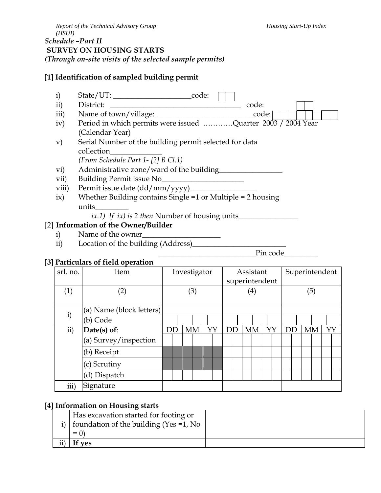# **[1] Identification of sampled building permit**

- i) State/UT: \_\_\_\_\_\_\_\_\_\_\_\_\_\_\_\_\_\_\_\_\_code: ii) District: \_\_\_\_\_\_\_\_\_\_\_\_\_\_\_\_\_\_\_\_\_\_\_\_\_\_\_\_\_\_\_\_\_\_\_ code: iii) Name of town/village: \_\_\_\_\_\_\_\_\_\_\_\_\_\_\_\_\_\_\_\_\_\_\_\_\_\_code: iv) Period in which permits were issued …………Quarter 2003 / 2004 Year (Calendar Year) v) Serial Number of the building permit selected for data collection\_\_\_\_\_\_\_\_\_\_\_\_\_\_ *(From Schedule Part 1- [2] B Cl.1)*  vi) Administrative zone/ward of the building vii) Building Permit issue No\_\_\_\_\_\_\_\_\_\_\_\_\_\_\_\_\_\_\_\_\_\_ viii) Permit issue date (dd/mm/yyyy)\_\_\_\_\_\_\_\_\_\_\_\_\_\_\_\_\_\_ ix) Whether Building contains Single =1 or Multiple = 2 housing
	- units\_\_\_\_\_\_\_\_\_
		- *ix.1) If ix) is 2 then* Number of housing units\_\_\_\_\_\_\_\_\_\_\_\_\_\_\_\_

# [2] **Information of the Owner/Builder**

- i) Name of the owner
- ii) Location of the building (Address)

\_\_\_\_\_\_\_\_\_\_\_\_\_\_\_\_\_\_\_\_\_\_\_\_\_\_Pin code\_\_\_\_\_\_\_\_\_

# **[3] Particulars of field operation**

|                          | I articularo of fictu operation |              |  |           |  |                   |           |  |    |  |                |     |                |    |  |  |           |    |  |
|--------------------------|---------------------------------|--------------|--|-----------|--|-------------------|-----------|--|----|--|----------------|-----|----------------|----|--|--|-----------|----|--|
| srl. no.                 | Item                            | Investigator |  |           |  |                   | Assistant |  |    |  |                |     | Superintendent |    |  |  |           |    |  |
|                          |                                 |              |  |           |  |                   |           |  |    |  | superintendent |     |                |    |  |  |           |    |  |
| (1)                      | $^{\prime}2)$                   | (3)          |  |           |  | $\left( 4\right)$ |           |  |    |  |                | (5) |                |    |  |  |           |    |  |
|                          |                                 |              |  |           |  |                   |           |  |    |  |                |     |                |    |  |  |           |    |  |
| (a) Name (block letters) |                                 |              |  |           |  |                   |           |  |    |  |                |     |                |    |  |  |           |    |  |
| i)                       | (b) Code                        |              |  |           |  |                   |           |  |    |  |                |     |                |    |  |  |           |    |  |
| ii)                      | Date(s) of:                     | DD           |  | <b>MM</b> |  |                   | YY        |  | DD |  | <b>MM</b>      |     | YY             | DD |  |  | <b>MM</b> | YY |  |
|                          | (a) Survey/inspection           |              |  |           |  |                   |           |  |    |  |                |     |                |    |  |  |           |    |  |
|                          | (b) Receipt                     |              |  |           |  |                   |           |  |    |  |                |     |                |    |  |  |           |    |  |
|                          | (c) Scrutiny                    |              |  |           |  |                   |           |  |    |  |                |     |                |    |  |  |           |    |  |
|                          | (d) Dispatch                    |              |  |           |  |                   |           |  |    |  |                |     |                |    |  |  |           |    |  |
| iii)                     | Signature                       |              |  |           |  |                   |           |  |    |  |                |     |                |    |  |  |           |    |  |

# **[4] Information on Housing starts**

|     | Has excavation started for footing or             |  |
|-----|---------------------------------------------------|--|
|     | i) $\vert$ foundation of the building (Yes =1, No |  |
|     | $=$ (1)                                           |  |
| ii) | If yes                                            |  |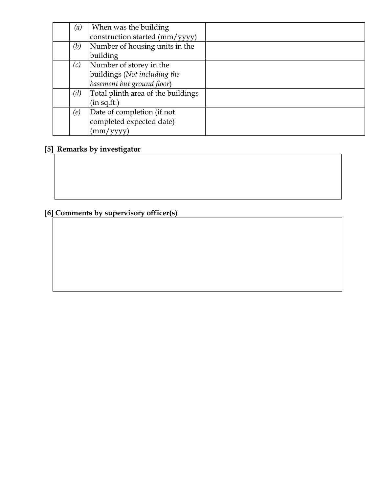| (a) | When was the building              |  |
|-----|------------------------------------|--|
|     | construction started (mm/yyyy)     |  |
| (b) | Number of housing units in the     |  |
|     | building                           |  |
| (c) | Number of storey in the            |  |
|     | buildings (Not including the       |  |
|     | basement but ground floor)         |  |
| (d) | Total plinth area of the buildings |  |
|     | (in sq.fit.)                       |  |
| (e) | Date of completion (if not         |  |
|     | completed expected date)           |  |
|     | 'mm/yyyy                           |  |

# **[5] Remarks by investigator**

# **[6] Comments by supervisory officer(s)**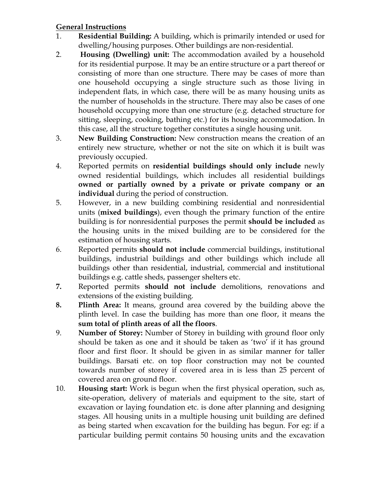# **General Instructions**

- 1. **Residential Building:** A building, which is primarily intended or used for dwelling/housing purposes. Other buildings are non-residential.
- 2. **Housing (Dwelling) unit:** The accommodation availed by a household for its residential purpose. It may be an entire structure or a part thereof or consisting of more than one structure. There may be cases of more than one household occupying a single structure such as those living in independent flats, in which case, there will be as many housing units as the number of households in the structure. There may also be cases of one household occupying more than one structure (e.g. detached structure for sitting, sleeping, cooking, bathing etc.) for its housing accommodation. In this case, all the structure together constitutes a single housing unit.
- 3. **New Building Construction:** New construction means the creation of an entirely new structure, whether or not the site on which it is built was previously occupied.
- 4. Reported permits on **residential buildings should only include** newly owned residential buildings, which includes all residential buildings **owned or partially owned by a private or private company or an individual** during the period of construction.
- 5. However, in a new building combining residential and nonresidential units (**mixed buildings**), even though the primary function of the entire building is for nonresidential purposes the permit **should be included** as the housing units in the mixed building are to be considered for the estimation of housing starts.
- 6. Reported permits **should not include** commercial buildings, institutional buildings, industrial buildings and other buildings which include all buildings other than residential, industrial, commercial and institutional buildings e.g. cattle sheds, passenger shelters etc.
- **7.** Reported permits **should not include** demolitions, renovations and extensions of the existing building.
- **8. Plinth Area:** It means, ground area covered by the building above the plinth level. In case the building has more than one floor, it means the **sum total of plinth areas of all the floors**.
- 9. **Number of Storey:** Number of Storey in building with ground floor only should be taken as one and it should be taken as 'two' if it has ground floor and first floor. It should be given in as similar manner for taller buildings. Barsati etc. on top floor construction may not be counted towards number of storey if covered area in is less than 25 percent of covered area on ground floor.
- 10. **Housing start:** Work is begun when the first physical operation, such as, site-operation, delivery of materials and equipment to the site, start of excavation or laying foundation etc. is done after planning and designing stages. All housing units in a multiple housing unit building are defined as being started when excavation for the building has begun. For eg: if a particular building permit contains 50 housing units and the excavation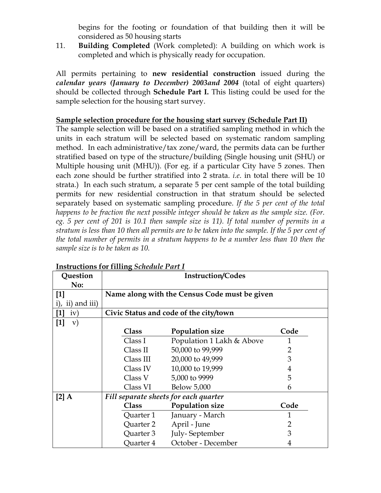begins for the footing or foundation of that building then it will be considered as 50 housing starts

11. **Building Completed** (Work completed): A building on which work is completed and which is physically ready for occupation.

All permits pertaining to **new residential construction** issued during the *calendar years (January to December) 2003and 2004* (total of eight quarters) should be collected through **Schedule Part I.** This listing could be used for the sample selection for the housing start survey.

# **Sample selection procedure for the housing start survey (Schedule Part II)**

The sample selection will be based on a stratified sampling method in which the units in each stratum will be selected based on systematic random sampling method. In each administrative/tax zone/ward, the permits data can be further stratified based on type of the structure/building (Single housing unit (SHU) or Multiple housing unit (MHU)). (For eg. if a particular City have 5 zones. Then each zone should be further stratified into 2 strata. *i.e*. in total there will be 10 strata.) In each such stratum, a separate 5 per cent sample of the total building permits for new residential construction in that stratum should be selected separately based on systematic sampling procedure. *If the 5 per cent of the total happens to be fraction the next possible integer should be taken as the sample size. (For. eg. 5 per cent of 201 is 10.1 then sample size is 11). If total number of permits in a stratum is less than 10 then all permits are to be taken into the sample. If the 5 per cent of the total number of permits in a stratum happens to be a number less than 10 then the sample size is to be taken as 10.*

| Question          | <b>Instruction/Codes</b> |                                               |                |  |  |
|-------------------|--------------------------|-----------------------------------------------|----------------|--|--|
| No:               |                          |                                               |                |  |  |
| $[1]$             |                          | Name along with the Census Code must be given |                |  |  |
| i), ii) and iii)  |                          |                                               |                |  |  |
| iv)               |                          | Civic Status and code of the city/town        |                |  |  |
| $[1]$<br>$\rm v)$ |                          |                                               |                |  |  |
|                   | <b>Class</b>             | Population size                               | Code           |  |  |
|                   | Class I                  | Population 1 Lakh & Above                     | 1              |  |  |
|                   | Class II                 | 50,000 to 99,999                              | $\overline{2}$ |  |  |
|                   | Class III                | 20,000 to 49,999                              | 3              |  |  |
|                   | Class IV                 | 10,000 to 19,999                              | 4              |  |  |
|                   | Class V                  | 5,000 to 9999                                 | 5              |  |  |
|                   | Class VI                 | <b>Below 5,000</b>                            | 6              |  |  |
| $[2]$ A           |                          | Fill separate sheets for each quarter         |                |  |  |
|                   | Class                    | Population size                               | Code           |  |  |
|                   | Quarter 1                | January - March                               | 1              |  |  |
|                   | Quarter 2                | April - June                                  | 2              |  |  |
|                   | Quarter 3                | July-September                                | 3              |  |  |
|                   | Quarter 4                | October - December                            | 4              |  |  |

#### **Instructions for filling** *Schedule Part I*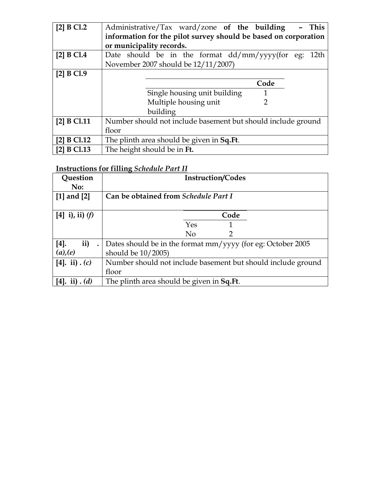| [2] B C1.2   | Administrative/Tax ward/zone of the building<br><b>This</b>        |
|--------------|--------------------------------------------------------------------|
|              | information for the pilot survey should be based on corporation    |
|              | or municipality records.                                           |
| [2] $B$ Cl.4 | Date should be in the format $\frac{dd}{mm}$ /yyyy(for eg:<br>12th |
|              | November 2007 should be 12/11/2007)                                |
| [2] B C1.9   |                                                                    |
|              | Code                                                               |
|              | Single housing unit building<br>1                                  |
|              | Multiple housing unit<br>2                                         |
|              | building                                                           |
| [2] B C1.11  | Number should not include basement but should include ground       |
|              | floor                                                              |
| [2] B C1.12  | The plinth area should be given in Sq. Ft.                         |
| [2] B C1.13  | The height should be in Ft.                                        |

# **Instructions for filling** *Schedule Part II*

| Question<br>No:           | <b>Instruction/Codes</b>                                     |  |  |  |  |  |
|---------------------------|--------------------------------------------------------------|--|--|--|--|--|
| [1] and $[2]$             | Can be obtained from Schedule Part I                         |  |  |  |  |  |
| [4] i), ii) $(f)$         | Code                                                         |  |  |  |  |  |
|                           | Yes<br>1                                                     |  |  |  |  |  |
|                           | $\overline{2}$<br>N <sub>o</sub>                             |  |  |  |  |  |
| ii)<br>$[4]$ .            | Dates should be in the format mm/yyyy (for eg: October 2005  |  |  |  |  |  |
| (a), (e)                  | should be $10/2005$ )                                        |  |  |  |  |  |
| $[4]$ , ii) . (c)         | Number should not include basement but should include ground |  |  |  |  |  |
|                           | floor                                                        |  |  |  |  |  |
| $[4]$ . ii). ( <i>d</i> ) | The plinth area should be given in Sq.Ft.                    |  |  |  |  |  |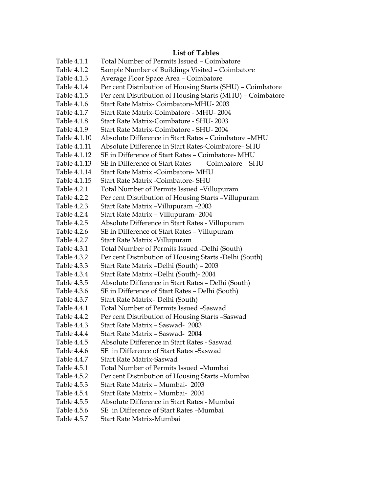#### **List of Tables**

| Table 4.1.1  | Total Number of Permits Issued - Coimbatore                |
|--------------|------------------------------------------------------------|
| Table 4.1.2  | Sample Number of Buildings Visited - Coimbatore            |
| Table 4.1.3  | Average Floor Space Area - Coimbatore                      |
| Table 4.1.4  | Per cent Distribution of Housing Starts (SHU) - Coimbatore |
| Table 4.1.5  | Per cent Distribution of Housing Starts (MHU) - Coimbatore |
| Table 4.1.6  | Start Rate Matrix- Coimbatore-MHU-2003                     |
| Table 4.1.7  | Start Rate Matrix-Coimbatore - MHU-2004                    |
| Table 4.1.8  | Start Rate Matrix-Coimbatore - SHU-2003                    |
| Table 4.1.9  | Start Rate Matrix-Coimbatore - SHU-2004                    |
| Table 4.1.10 | Absolute Difference in Start Rates - Coimbatore -MHU       |
| Table 4.1.11 | Absolute Difference in Start Rates-Coimbatore- SHU         |
| Table 4.1.12 | SE in Difference of Start Rates - Coimbatore- MHU          |
| Table 4.1.13 | SE in Difference of Start Rates - Coimbatore - SHU         |
| Table 4.1.14 | Start Rate Matrix -Coimbatore- MHU                         |
| Table 4.1.15 | Start Rate Matrix - Coimbatore- SHU                        |
| Table 4.2.1  | Total Number of Permits Issued -Villupuram                 |
| Table 4.2.2  | Per cent Distribution of Housing Starts - Villupuram       |
| Table 4.2.3  | Start Rate Matrix - Villupuram - 2003                      |
| Table 4.2.4  | Start Rate Matrix - Villupuram-2004                        |
| Table 4.2.5  | Absolute Difference in Start Rates - Villupuram            |
| Table 4.2.6  | SE in Difference of Start Rates - Villupuram               |
| Table 4.2.7  | Start Rate Matrix - Villupuram                             |
| Table 4.3.1  | Total Number of Permits Issued -Delhi (South)              |
| Table 4.3.2  | Per cent Distribution of Housing Starts -Delhi (South)     |
| Table 4.3.3  | Start Rate Matrix -Delhi (South) - 2003                    |
| Table 4.3.4  | Start Rate Matrix -Delhi (South)- 2004                     |
| Table 4.3.5  | Absolute Difference in Start Rates - Delhi (South)         |
| Table 4.3.6  | SE in Difference of Start Rates - Delhi (South)            |
| Table 4.3.7  | Start Rate Matrix-Delhi (South)                            |
| Table 4.4.1  | Total Number of Permits Issued -Saswad                     |
| Table 4.4.2  | Per cent Distribution of Housing Starts -Saswad            |
| Table 4.4.3  | Start Rate Matrix - Saswad- 2003                           |
| Table 4.4.4  | Start Rate Matrix - Saswad- 2004                           |
| Table 4.4.5  | Absolute Difference in Start Rates - Saswad                |
| Table 4.4.6  | SE in Difference of Start Rates -Saswad                    |
| Table 4.4.7  | <b>Start Rate Matrix-Saswad</b>                            |
| Table 4.5.1  | Total Number of Permits Issued -Mumbai                     |
| Table 4.5.2  | Per cent Distribution of Housing Starts -Mumbai            |
| Table 4.5.3  | Start Rate Matrix - Mumbai- 2003                           |
| Table 4.5.4  | Start Rate Matrix - Mumbai- 2004                           |
| Table 4.5.5  | Absolute Difference in Start Rates - Mumbai                |
| Table 4.5.6  | SE in Difference of Start Rates -Mumbai                    |
|              |                                                            |

Table 4.5.7 Start Rate Matrix-Mumbai